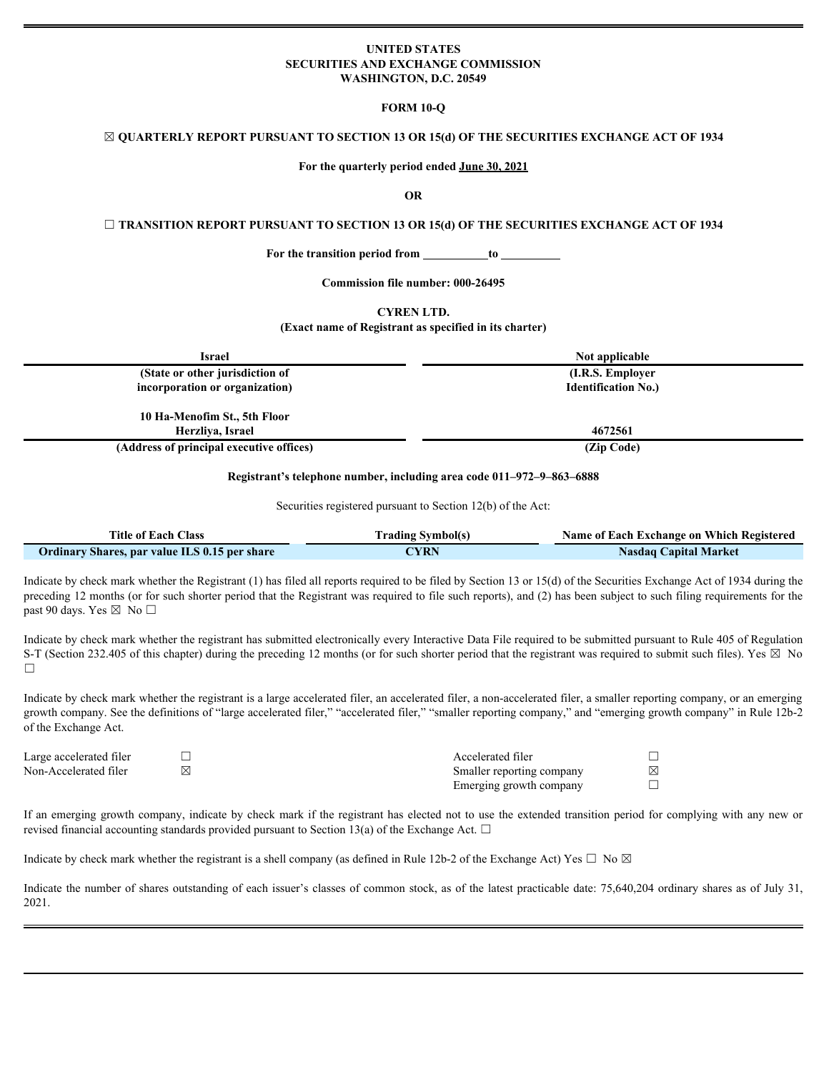## **UNITED STATES SECURITIES AND EXCHANGE COMMISSION WASHINGTON, D.C. 20549**

#### **FORM 10-Q**

### ☒ **QUARTERLY REPORT PURSUANT TO SECTION 13 OR 15(d) OF THE SECURITIES EXCHANGE ACT OF 1934**

**For the quarterly period ended June 30, 2021**

#### **OR**

☐ **TRANSITION REPORT PURSUANT TO SECTION 13 OR 15(d) OF THE SECURITIES EXCHANGE ACT OF 1934**

**For the transition period from to Commission file number: 000-26495**

**CYREN LTD.**

**(Exact name of Registrant as specified in its charter)**

| <b>Israel</b>                            | Not applicable             |
|------------------------------------------|----------------------------|
| (State or other jurisdiction of          | (I.R.S. Employer           |
| incorporation or organization)           | <b>Identification No.)</b> |
| 10 Ha-Menofim St., 5th Floor             |                            |
| Herzliva, Israel                         | 4672561                    |
| (Address of principal executive offices) | (Zip Code)                 |
|                                          |                            |

#### **Registrant's telephone number, including area code 011–972–9–863–6888**

Securities registered pursuant to Section 12(b) of the Act:

| $\sim$<br><b>Title of Each Class</b>                  | Trading Symbol(s) | Name of Each Exchange on Which.<br>h Registered |  |
|-------------------------------------------------------|-------------------|-------------------------------------------------|--|
| , par value ILS 0.15 per share<br>Ordinary<br>Shares. | CYRN              | <b>Capital Market</b><br>Nasdaq U<br>- 21       |  |

Indicate by check mark whether the Registrant (1) has filed all reports required to be filed by Section 13 or 15(d) of the Securities Exchange Act of 1934 during the preceding 12 months (or for such shorter period that the Registrant was required to file such reports), and (2) has been subject to such filing requirements for the past 90 days. Yes  $\boxtimes$  No  $\square$ 

Indicate by check mark whether the registrant has submitted electronically every Interactive Data File required to be submitted pursuant to Rule 405 of Regulation S-T (Section 232.405 of this chapter) during the preceding 12 months (or for such shorter period that the registrant was required to submit such files). Yes  $\boxtimes$  No ☐

Indicate by check mark whether the registrant is a large accelerated filer, an accelerated filer, a non-accelerated filer, a smaller reporting company, or an emerging growth company. See the definitions of "large accelerated filer," "accelerated filer," "smaller reporting company," and "emerging growth company" in Rule 12b-2 of the Exchange Act.

| $\sim$<br>Large accelerated filer | Accelerated filer              |   |
|-----------------------------------|--------------------------------|---|
| Non-Accelerated filer             | Smaller reporting company      | ∸ |
|                                   | Emerging growth company<br>- - |   |

If an emerging growth company, indicate by check mark if the registrant has elected not to use the extended transition period for complying with any new or revised financial accounting standards provided pursuant to Section 13(a) of the Exchange Act.  $\Box$ 

Indicate by check mark whether the registrant is a shell company (as defined in Rule 12b-2 of the Exchange Act) Yes  $\Box$  No  $\boxtimes$ 

Indicate the number of shares outstanding of each issuer's classes of common stock, as of the latest practicable date: 75,640,204 ordinary shares as of July 31, 2021.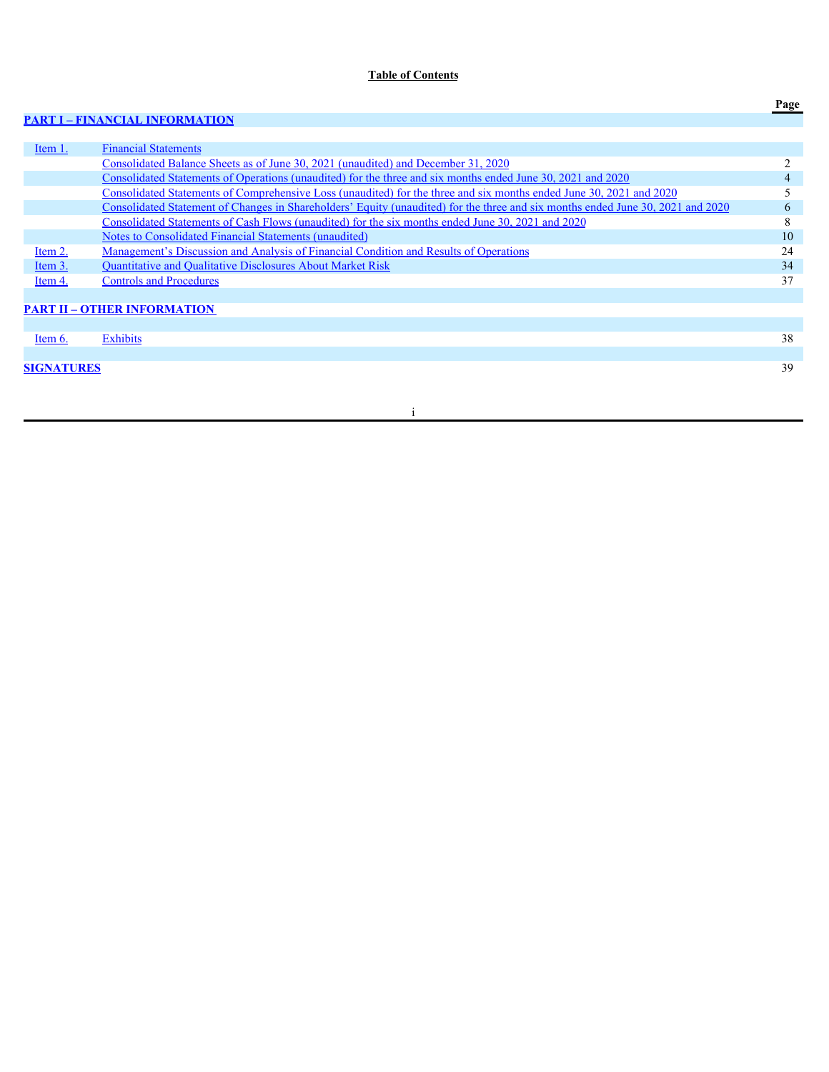# **Table of Contents**

# **[PART I – FINANCIAL INFORMATION](#page-3-0)**

| Item 1.           | <b>Financial Statements</b>                                                                                                     |    |
|-------------------|---------------------------------------------------------------------------------------------------------------------------------|----|
|                   | Consolidated Balance Sheets as of June 30, 2021 (unaudited) and December 31, 2020                                               |    |
|                   | Consolidated Statements of Operations (unaudited) for the three and six months ended June 30, 2021 and 2020                     |    |
|                   | Consolidated Statements of Comprehensive Loss (unaudited) for the three and six months ended June 30, 2021 and 2020             |    |
|                   | Consolidated Statement of Changes in Shareholders' Equity (unaudited) for the three and six months ended June 30, 2021 and 2020 |    |
|                   | Consolidated Statements of Cash Flows (unaudited) for the six months ended June 30, 2021 and 2020                               |    |
|                   | <b>Notes to Consolidated Financial Statements (unaudited)</b>                                                                   | 10 |
| Item 2.           | <u>Management's Discussion and Analysis of Financial Condition and Results of Operations</u>                                    | 24 |
| Item 3.           | Quantitative and Qualitative Disclosures About Market Risk                                                                      | 34 |
| Item 4.           | <b>Controls and Procedures</b>                                                                                                  | 37 |
|                   |                                                                                                                                 |    |
|                   | <b>PART II - OTHER INFORMATION</b>                                                                                              |    |
|                   |                                                                                                                                 |    |
| Item 6.           | Exhibits                                                                                                                        | 38 |
|                   |                                                                                                                                 |    |
| <b>SIGNATURES</b> |                                                                                                                                 | 39 |
|                   |                                                                                                                                 |    |

i

**Page**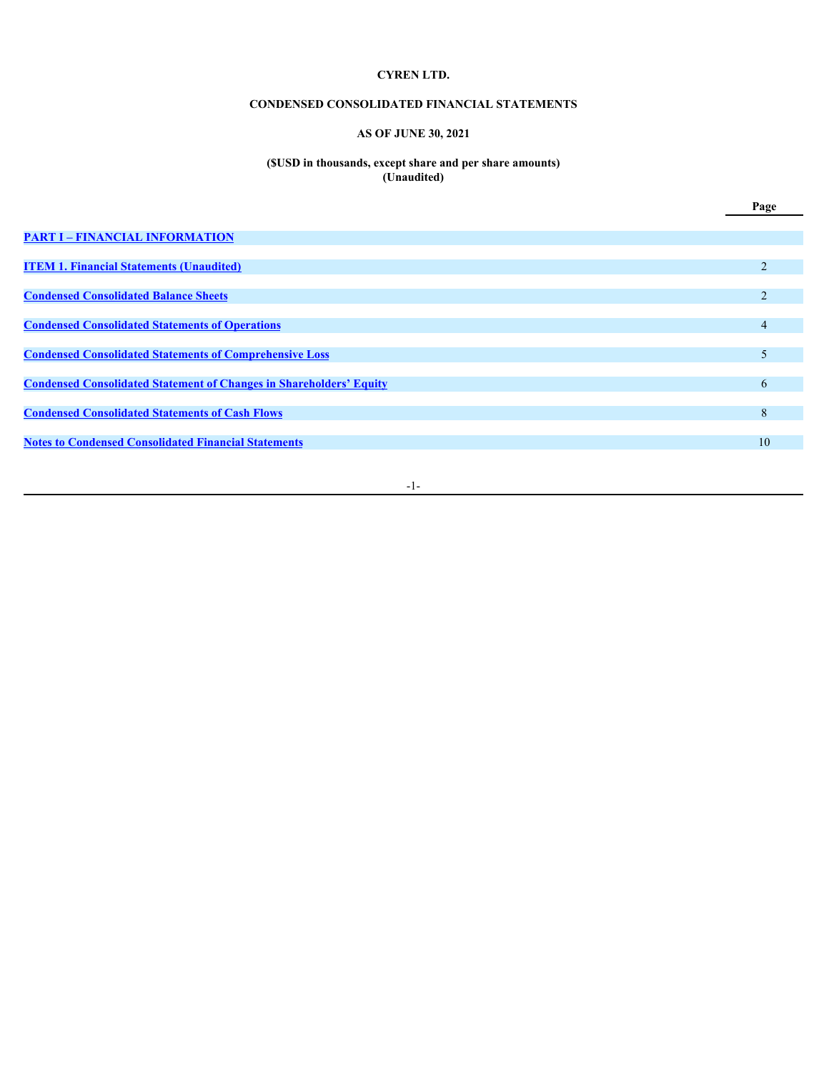## **CYREN LTD.**

## **CONDENSED CONSOLIDATED FINANCIAL STATEMENTS**

# **AS OF JUNE 30, 2021**

## **(\$USD in thousands, except share and per share amounts) (Unaudited)**

**Page**

| <b>PART I - FINANCIAL INFORMATION</b>                                      |               |
|----------------------------------------------------------------------------|---------------|
|                                                                            |               |
| <b>ITEM 1. Financial Statements (Unaudited)</b>                            |               |
|                                                                            |               |
| <b>Condensed Consolidated Balance Sheets</b>                               |               |
|                                                                            |               |
| <b>Condensed Consolidated Statements of Operations</b>                     | 4             |
|                                                                            |               |
| <b>Condensed Consolidated Statements of Comprehensive Loss</b>             | $\mathcal{L}$ |
|                                                                            |               |
| <b>Condensed Consolidated Statement of Changes in Shareholders' Equity</b> | 6             |
|                                                                            |               |
| <b>Condensed Consolidated Statements of Cash Flows</b>                     | 8             |
|                                                                            |               |
| <b>Notes to Condensed Consolidated Financial Statements</b>                | 10            |
|                                                                            |               |

#### -1-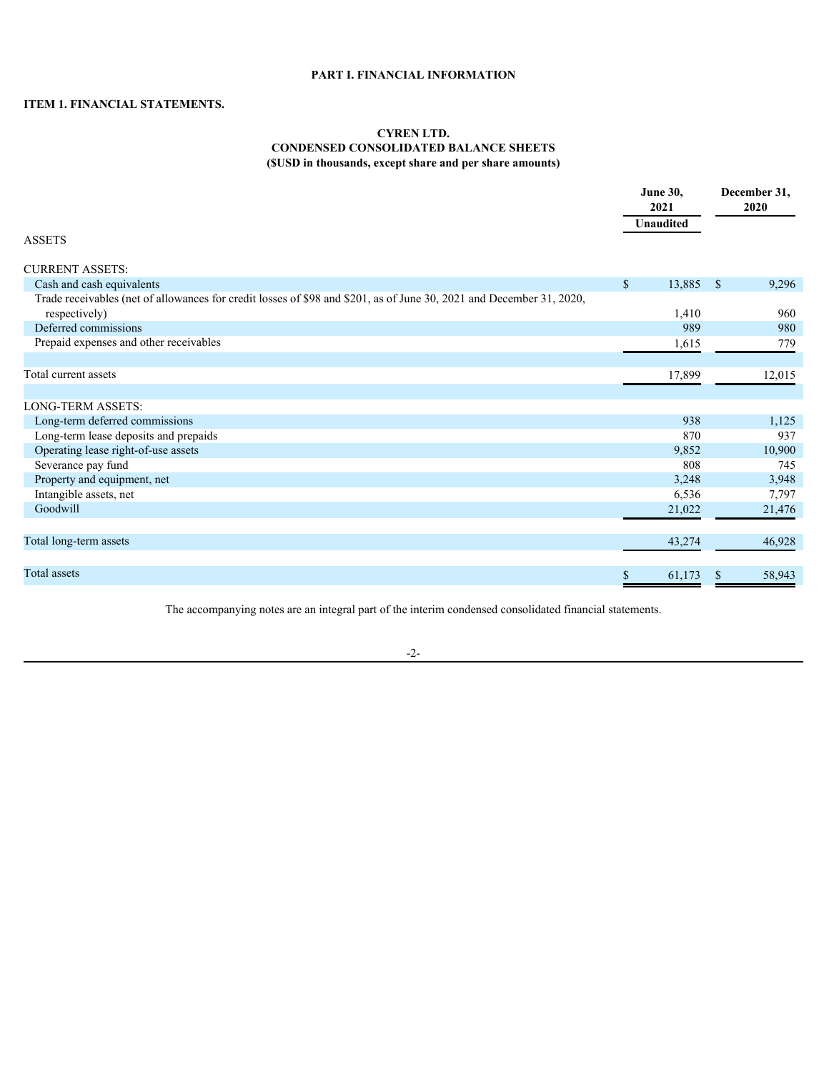## **PART I. FINANCIAL INFORMATION**

## <span id="page-3-2"></span><span id="page-3-1"></span><span id="page-3-0"></span>**ITEM 1. FINANCIAL STATEMENTS.**

## **CYREN LTD. CONDENSED CONSOLIDATED BALANCE SHEETS (\$USD in thousands, except share and per share amounts)**

|                                                                                                                      |              | <b>June 30,</b><br>2021<br><b>Unaudited</b> | December 31,<br>2020 |       |
|----------------------------------------------------------------------------------------------------------------------|--------------|---------------------------------------------|----------------------|-------|
| <b>ASSETS</b>                                                                                                        |              |                                             |                      |       |
| <b>CURRENT ASSETS:</b>                                                                                               |              |                                             |                      |       |
| Cash and cash equivalents                                                                                            | $\mathbb{S}$ | 13,885 \$                                   |                      | 9,296 |
| Trade receivables (net of allowances for credit losses of \$98 and \$201, as of June 30, 2021 and December 31, 2020, |              |                                             |                      |       |
| respectively)                                                                                                        |              | 1,410                                       |                      | 960   |
| Deferred commissions                                                                                                 |              | 989                                         |                      | 980   |
| Prepaid expenses and other receivables                                                                               |              | 1,615                                       |                      | 779   |
|                                                                                                                      |              |                                             |                      |       |
| Total current assets                                                                                                 |              | 17,899                                      | 12,015               |       |
|                                                                                                                      |              |                                             |                      |       |
| LONG-TERM ASSETS:                                                                                                    |              |                                             |                      |       |
| Long-term deferred commissions                                                                                       |              | 938                                         |                      | 1,125 |
| Long-term lease deposits and prepaids                                                                                |              | 870                                         |                      | 937   |
| Operating lease right-of-use assets                                                                                  |              | 9,852                                       | 10,900               |       |
| Severance pay fund                                                                                                   |              | 808                                         |                      | 745   |
| Property and equipment, net                                                                                          |              | 3,248                                       |                      | 3,948 |
| Intangible assets, net                                                                                               |              | 6,536                                       | 7,797                |       |
| Goodwill                                                                                                             |              | 21,022                                      | 21,476               |       |
|                                                                                                                      |              |                                             |                      |       |
| Total long-term assets                                                                                               |              | 43,274                                      | 46,928               |       |
|                                                                                                                      |              |                                             |                      |       |
| Total assets                                                                                                         |              | 61,173                                      | 58,943<br>-8         |       |
|                                                                                                                      |              |                                             |                      |       |

The accompanying notes are an integral part of the interim condensed consolidated financial statements.

-2-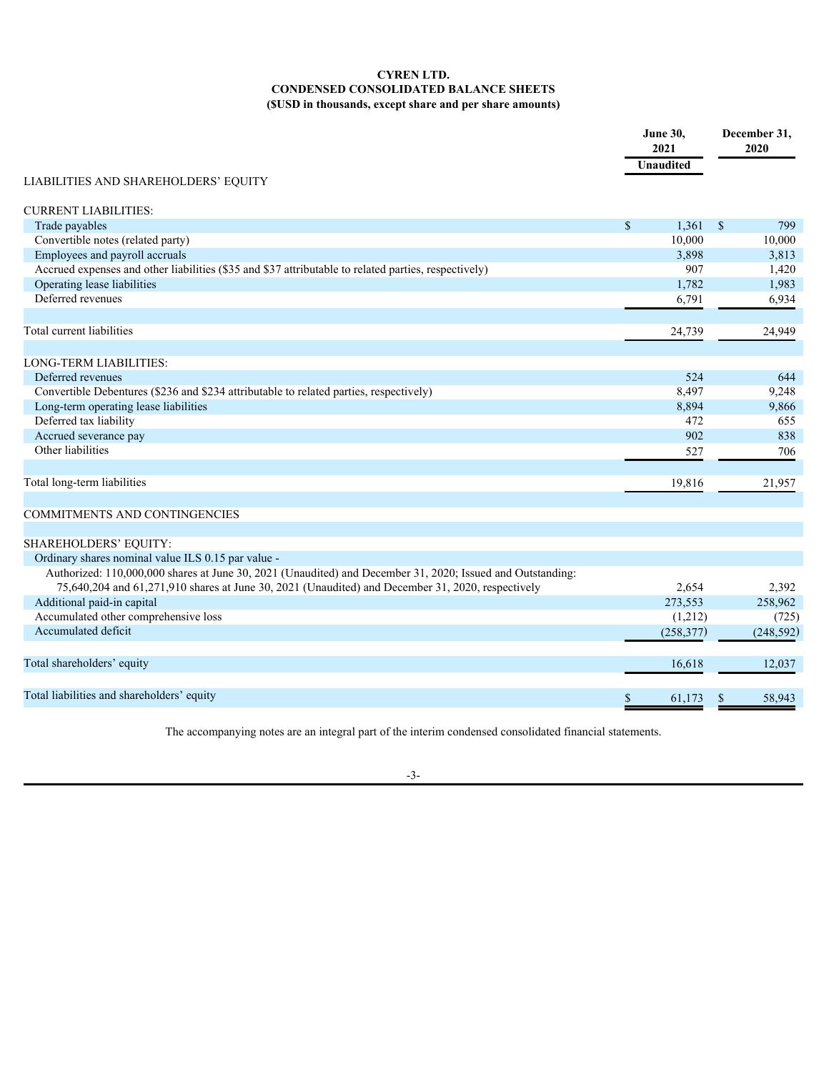## **CYREN LTD. CONDENSED CONSOLIDATED BALANCE SHEETS (\$USD in thousands, except share and per share amounts)**

|                                                                                                            |               | <b>June 30,</b><br>2021 |              | December 31,<br>2020 |
|------------------------------------------------------------------------------------------------------------|---------------|-------------------------|--------------|----------------------|
|                                                                                                            |               | <b>Unaudited</b>        |              |                      |
| LIABILITIES AND SHAREHOLDERS' EQUITY                                                                       |               |                         |              |                      |
| <b>CURRENT LIABILITIES:</b>                                                                                |               |                         |              |                      |
| Trade payables                                                                                             | $\mathbb{S}$  | $1,361$ \$              |              | 799                  |
| Convertible notes (related party)                                                                          |               | 10,000                  |              | 10,000               |
| Employees and payroll accruals                                                                             |               | 3,898                   |              | 3,813                |
| Accrued expenses and other liabilities (\$35 and \$37 attributable to related parties, respectively)       |               | 907                     |              | 1,420                |
| Operating lease liabilities                                                                                |               | 1,782                   |              | 1,983                |
| Deferred revenues                                                                                          |               | 6,791                   |              | 6,934                |
|                                                                                                            |               |                         |              |                      |
| Total current liabilities                                                                                  |               | 24,739                  |              | 24,949               |
| <b>LONG-TERM LIABILITIES:</b>                                                                              |               |                         |              |                      |
|                                                                                                            |               |                         |              |                      |
| Deferred revenues                                                                                          |               | 524                     |              | 644                  |
| Convertible Debentures (\$236 and \$234 attributable to related parties, respectively)                     |               | 8,497                   |              | 9,248                |
| Long-term operating lease liabilities                                                                      |               | 8,894                   |              | 9,866                |
| Deferred tax liability                                                                                     |               | 472                     |              | 655                  |
| Accrued severance pay                                                                                      |               | 902                     |              | 838                  |
| Other liabilities                                                                                          |               | 527                     |              | 706                  |
| Total long-term liabilities                                                                                |               | 19,816                  |              | 21,957               |
|                                                                                                            |               |                         |              |                      |
| <b>COMMITMENTS AND CONTINGENCIES</b>                                                                       |               |                         |              |                      |
|                                                                                                            |               |                         |              |                      |
| SHAREHOLDERS' EQUITY:                                                                                      |               |                         |              |                      |
| Ordinary shares nominal value ILS 0.15 par value -                                                         |               |                         |              |                      |
| Authorized: 110,000,000 shares at June 30, 2021 (Unaudited) and December 31, 2020; Issued and Outstanding: |               |                         |              |                      |
| 75,640,204 and 61,271,910 shares at June 30, 2021 (Unaudited) and December 31, 2020, respectively          |               | 2,654                   |              | 2,392                |
| Additional paid-in capital                                                                                 |               | 273,553                 |              | 258,962              |
| Accumulated other comprehensive loss                                                                       |               | (1,212)                 |              | (725)                |
| Accumulated deficit                                                                                        |               | (258,377)               |              | (248, 592)           |
| Total shareholders' equity                                                                                 |               | 16,618                  |              | 12,037               |
|                                                                                                            |               |                         |              |                      |
| Total liabilities and shareholders' equity                                                                 | <sup>\$</sup> | 61,173                  | <sup>S</sup> | 58,943               |

The accompanying notes are an integral part of the interim condensed consolidated financial statements.

## -3-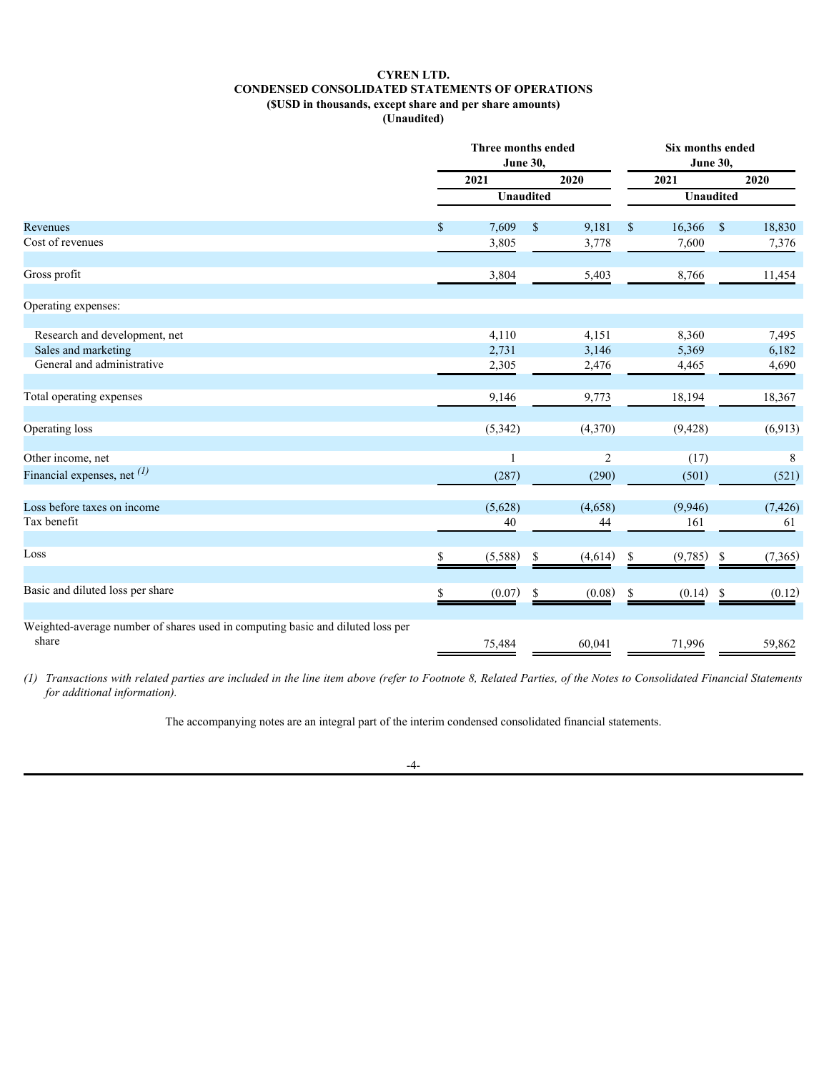# **CYREN LTD. CONDENSED CONSOLIDATED STATEMENTS OF OPERATIONS (\$USD in thousands, except share and per share amounts)**

**(Unaudited)**

<span id="page-5-0"></span>

|                                                                                         | Three months ended<br><b>June 30,</b> |                  |                       |         | Six months ended<br><b>June 30,</b> |                  |          |  |  |  |
|-----------------------------------------------------------------------------------------|---------------------------------------|------------------|-----------------------|---------|-------------------------------------|------------------|----------|--|--|--|
|                                                                                         |                                       | 2021             | 2020                  |         | 2021                                | 2020             |          |  |  |  |
|                                                                                         |                                       | <b>Unaudited</b> |                       |         |                                     | <b>Unaudited</b> |          |  |  |  |
| Revenues                                                                                | <sup>\$</sup>                         | 7,609            | 9,181<br>$\mathbb{S}$ |         | $\$$<br>$16,366$ \$                 |                  | 18,830   |  |  |  |
| Cost of revenues                                                                        |                                       | 3,805            | 3,778                 |         | 7,600                               |                  | 7,376    |  |  |  |
| Gross profit                                                                            |                                       | 3,804            | 5,403                 |         | 8,766                               |                  | 11,454   |  |  |  |
| Operating expenses:                                                                     |                                       |                  |                       |         |                                     |                  |          |  |  |  |
| Research and development, net                                                           |                                       | 4,110            | 4,151                 |         | 8,360                               |                  | 7,495    |  |  |  |
| Sales and marketing                                                                     |                                       | 2,731            | 3,146                 |         | 5,369                               |                  | 6,182    |  |  |  |
| General and administrative                                                              |                                       | 2,305            | 2,476                 |         | 4,465                               |                  | 4,690    |  |  |  |
| Total operating expenses                                                                |                                       | 9,146            | 9,773                 |         | 18,194                              |                  | 18,367   |  |  |  |
| Operating loss                                                                          |                                       | (5,342)          | (4,370)               |         | (9, 428)                            |                  | (6, 913) |  |  |  |
| Other income, net                                                                       |                                       |                  |                       | 2       | (17)                                |                  | 8        |  |  |  |
| Financial expenses, net $(1)$                                                           |                                       | (287)            |                       | (290)   | (501)                               |                  | (521)    |  |  |  |
| Loss before taxes on income                                                             |                                       | (5,628)          | (4,658)               |         | (9,946)                             |                  | (7, 426) |  |  |  |
| Tax benefit                                                                             |                                       | 40               |                       | 44      | 161                                 |                  | 61       |  |  |  |
| Loss                                                                                    |                                       | (5,588)          | $\mathbf{\hat{s}}$    | (4,614) | $(9,785)$ \$<br>\$                  |                  | (7,365)  |  |  |  |
| Basic and diluted loss per share                                                        |                                       | $(0.07)$ \$      |                       | (0.08)  | $(0.14)$ \$<br><sup>\$</sup>        |                  | (0.12)   |  |  |  |
| Weighted-average number of shares used in computing basic and diluted loss per<br>share |                                       |                  |                       |         |                                     |                  |          |  |  |  |
|                                                                                         |                                       | 75,484           | 60,041                |         | 71,996                              |                  | 59,862   |  |  |  |

*(1) Transactions with related parties are included in the line item above (refer to Footnote 8, Related Parties, of the Notes to Consolidated Financial Statements for additional information).*

The accompanying notes are an integral part of the interim condensed consolidated financial statements.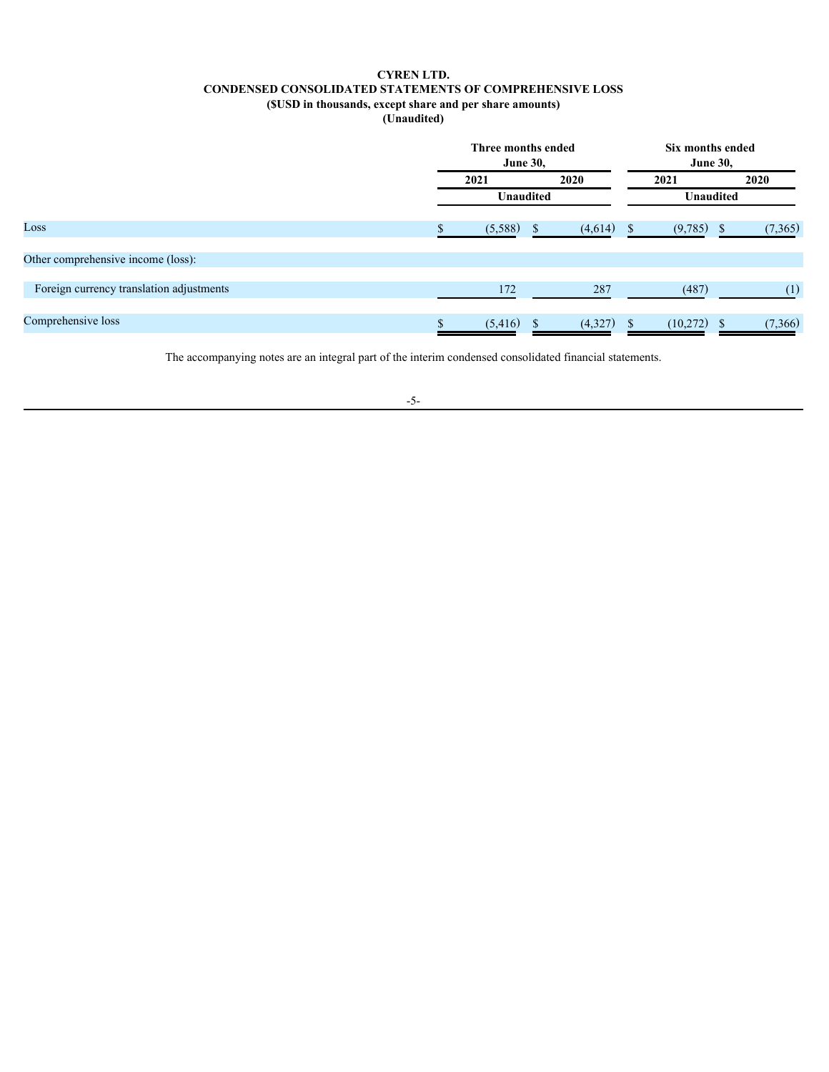## **CYREN LTD. CONDENSED CONSOLIDATED STATEMENTS OF COMPREHENSIVE LOSS (\$USD in thousands, except share and per share amounts)**

**(Unaudited)**

<span id="page-6-0"></span>

|                                          | Three months ended<br><b>June 30,</b> |         |              | Six months ended<br><b>June 30,</b> |         |  |  |  |
|------------------------------------------|---------------------------------------|---------|--------------|-------------------------------------|---------|--|--|--|
|                                          | 2021                                  | 2020    |              | 2020<br>2021                        |         |  |  |  |
|                                          | <b>Unaudited</b>                      |         |              | Unaudited                           |         |  |  |  |
| Loss                                     | (5,588)<br>- \$                       | (4,614) | $\mathbf{S}$ | $(9,785)$ \$                        | (7,365) |  |  |  |
| Other comprehensive income (loss):       |                                       |         |              |                                     |         |  |  |  |
| Foreign currency translation adjustments | 172                                   | 287     |              | (487)                               |         |  |  |  |
| Comprehensive loss                       | $(5,416)$ \$                          | (4,327) |              | $(10,272)$ \$                       | (7,366) |  |  |  |

The accompanying notes are an integral part of the interim condensed consolidated financial statements.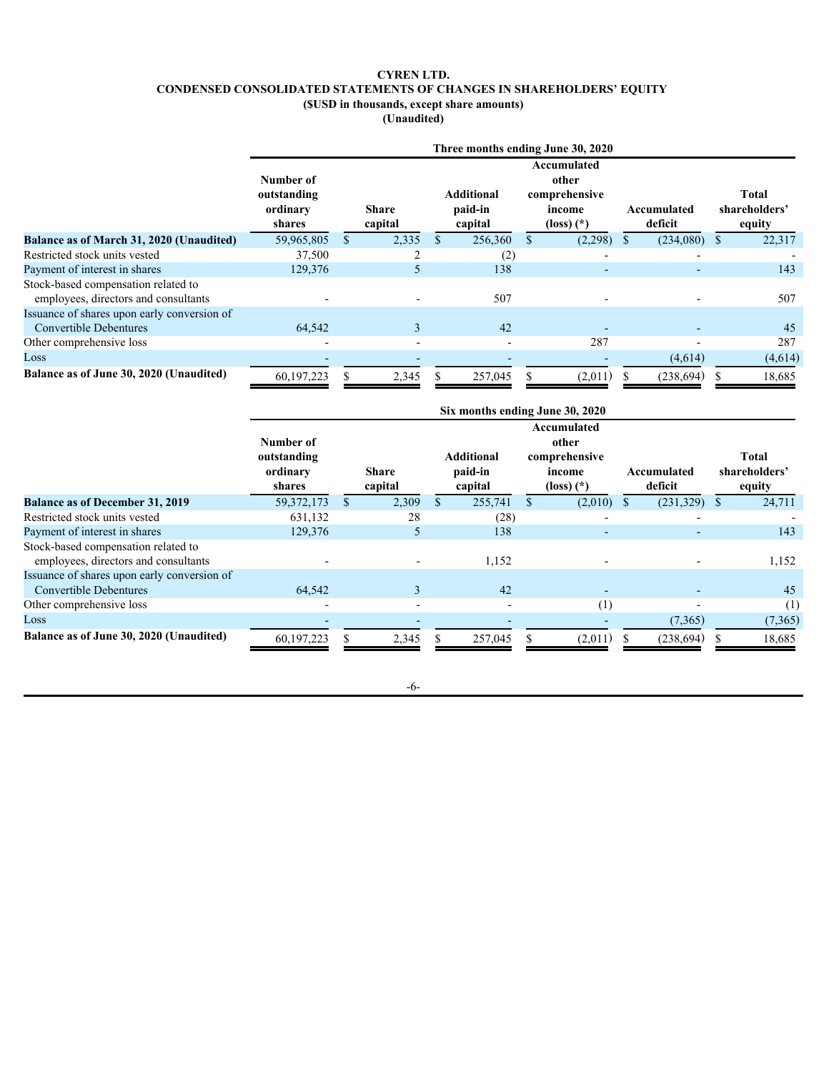## **CYREN LTD. CONDENSED CONSOLIDATED STATEMENTS OF CHANGES IN SHAREHOLDERS' EQUITY (\$USD in thousands, except share amounts) (Unaudited)**

<span id="page-7-0"></span>

|                                                                             | Three months ending June 30, 2020              |                          |  |                                         |                                                 |                                                                              |                          |  |                  |  |  |
|-----------------------------------------------------------------------------|------------------------------------------------|--------------------------|--|-----------------------------------------|-------------------------------------------------|------------------------------------------------------------------------------|--------------------------|--|------------------|--|--|
|                                                                             | Number of<br>outstanding<br>ordinary<br>shares | <b>Share</b><br>capital  |  | <b>Additional</b><br>paid-in<br>capital | Accumulated<br>other<br>comprehensive<br>income | Accumulated<br>deficit<br>$\left(\text{loss}\right)\left(\frac{1}{2}\right)$ |                          |  |                  |  |  |
| Balance as of March 31, 2020 (Unaudited)                                    | 59,965,805                                     | 2,335                    |  | 256,360                                 | (2,298)                                         |                                                                              | $(234,080)$ \$           |  | equity<br>22,317 |  |  |
| Restricted stock units vested                                               | 37,500                                         |                          |  | (2)                                     |                                                 |                                                                              | $\overline{\phantom{0}}$ |  |                  |  |  |
| Payment of interest in shares                                               | 129,376                                        |                          |  | 138                                     |                                                 |                                                                              | $\sim$                   |  | 143              |  |  |
| Stock-based compensation related to<br>employees, directors and consultants |                                                |                          |  | 507                                     |                                                 |                                                                              |                          |  | 507              |  |  |
| Issuance of shares upon early conversion of                                 |                                                |                          |  |                                         |                                                 |                                                                              |                          |  |                  |  |  |
| <b>Convertible Debentures</b>                                               | 64,542                                         |                          |  | 42                                      |                                                 |                                                                              | $\overline{\phantom{a}}$ |  | 45               |  |  |
| Other comprehensive loss                                                    |                                                | $\overline{\phantom{0}}$ |  |                                         | 287                                             |                                                                              | $\overline{\phantom{0}}$ |  | 287              |  |  |
| Loss                                                                        |                                                |                          |  |                                         |                                                 |                                                                              | (4,614)                  |  | (4,614)          |  |  |
| Balance as of June 30, 2020 (Unaudited)                                     | 60, 197, 223                                   | 2,345                    |  | 257,045                                 | $(2,011)$ \$                                    |                                                                              | $(238, 694)$ \$          |  | 18,685           |  |  |

| Six months ending June 30, 2020                                             |                                                                           |                          |                                         |                          |                                                                                        |  |                          |                                  |         |  |  |  |  |
|-----------------------------------------------------------------------------|---------------------------------------------------------------------------|--------------------------|-----------------------------------------|--------------------------|----------------------------------------------------------------------------------------|--|--------------------------|----------------------------------|---------|--|--|--|--|
|                                                                             | Accumulated                                                               |                          |                                         |                          |                                                                                        |  |                          |                                  |         |  |  |  |  |
|                                                                             | Number of<br>outstanding<br>ordinary<br><b>Share</b><br>capital<br>shares |                          | <b>Additional</b><br>paid-in<br>capital |                          | other<br>comprehensive<br>income<br>$\left(\text{loss}\right)\left(\frac{1}{2}\right)$ |  | Accumulated<br>deficit   | Total<br>shareholders'<br>equity |         |  |  |  |  |
| <b>Balance as of December 31, 2019</b>                                      | 59, 372, 173                                                              | 2,309                    |                                         | 255,741                  | $(2,010)$ \$                                                                           |  | $(231,329)$ \$           |                                  | 24,711  |  |  |  |  |
| Restricted stock units vested                                               | 631,132                                                                   | 28                       |                                         | (28)                     |                                                                                        |  | $\overline{\phantom{0}}$ |                                  |         |  |  |  |  |
| Payment of interest in shares                                               | 129,376                                                                   |                          |                                         | 138                      |                                                                                        |  | $\overline{\phantom{0}}$ |                                  | 143     |  |  |  |  |
| Stock-based compensation related to<br>employees, directors and consultants |                                                                           |                          |                                         | 1,152                    |                                                                                        |  |                          |                                  | 1,152   |  |  |  |  |
| Issuance of shares upon early conversion of                                 |                                                                           |                          |                                         |                          |                                                                                        |  |                          |                                  |         |  |  |  |  |
| <b>Convertible Debentures</b>                                               | 64,542                                                                    |                          |                                         | 42                       |                                                                                        |  | $\overline{\phantom{a}}$ |                                  | 45      |  |  |  |  |
| Other comprehensive loss                                                    | $\overline{\phantom{0}}$                                                  | $\overline{\phantom{0}}$ |                                         | $\overline{\phantom{a}}$ | (1)                                                                                    |  | $\overline{\phantom{0}}$ |                                  | (1)     |  |  |  |  |
| Loss                                                                        |                                                                           |                          |                                         |                          |                                                                                        |  | (7,365)                  |                                  | (7,365) |  |  |  |  |
| Balance as of June 30, 2020 (Unaudited)                                     | 60,197,223                                                                | 2,345                    |                                         | 257,045                  | $(2,011)$ \$                                                                           |  | (238, 694)               |                                  | 18,685  |  |  |  |  |

-6-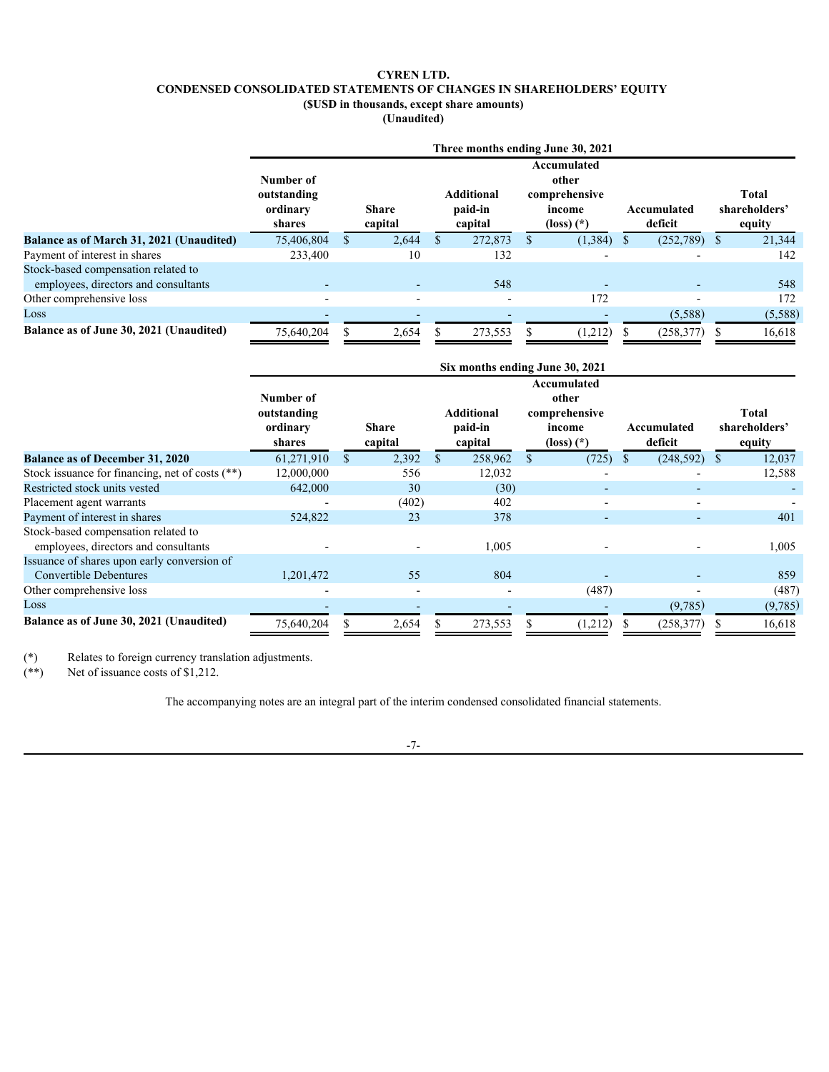# **CYREN LTD. CONDENSED CONSOLIDATED STATEMENTS OF CHANGES IN SHAREHOLDERS' EQUITY (\$USD in thousands, except share amounts)**

**(Unaudited)**

|                                                                             | Three months ending June 30, 2021 |                                                                     |                                               |  |                          |                                                              |          |  |                          |  |                         |
|-----------------------------------------------------------------------------|-----------------------------------|---------------------------------------------------------------------|-----------------------------------------------|--|--------------------------|--------------------------------------------------------------|----------|--|--------------------------|--|-------------------------|
|                                                                             | Number of<br>outstanding          | Accumulated<br>other<br><b>Additional</b><br>comprehensive<br>Total |                                               |  |                          |                                                              |          |  |                          |  |                         |
|                                                                             | ordinary<br>shares                |                                                                     | paid-in<br><b>Share</b><br>capital<br>capital |  |                          | income<br>$\left(\text{loss}\right)\left(\frac{1}{2}\right)$ |          |  | Accumulated<br>deficit   |  | shareholders'<br>equity |
| Balance as of March 31, 2021 (Unaudited)                                    | 75,406,804                        |                                                                     | 2,644                                         |  | 272,873                  |                                                              | (1, 384) |  | $(252,789)$ \$           |  | 21,344                  |
| Payment of interest in shares                                               | 233,400                           |                                                                     | 10                                            |  | 132                      |                                                              |          |  |                          |  | 142                     |
| Stock-based compensation related to<br>employees, directors and consultants |                                   |                                                                     | $\overline{\phantom{0}}$                      |  | 548                      |                                                              |          |  | $\overline{\phantom{a}}$ |  | 548                     |
| Other comprehensive loss                                                    |                                   |                                                                     | $\overline{\phantom{0}}$                      |  | $\overline{\phantom{0}}$ |                                                              | 172      |  | $\overline{\phantom{0}}$ |  | 172                     |
| Loss                                                                        |                                   |                                                                     |                                               |  |                          |                                                              |          |  | (5,588)                  |  | (5,588)                 |
| Balance as of June 30, 2021 (Unaudited)                                     | 75,640,204                        |                                                                     | 2,654                                         |  | 273,553                  |                                                              | (1,212)  |  | (258, 377)               |  | 16,618                  |

|                                                                             |                                                                           |                          |  | Six months ending June 30, 2021  |                                                                                                       |     |                          |  |                                  |  |
|-----------------------------------------------------------------------------|---------------------------------------------------------------------------|--------------------------|--|----------------------------------|-------------------------------------------------------------------------------------------------------|-----|--------------------------|--|----------------------------------|--|
|                                                                             | Number of<br>outstanding<br><b>Share</b><br>ordinary<br>capital<br>shares |                          |  | Additional<br>paid-in<br>capital | Accumulated<br>other<br>comprehensive<br>income<br>$\left(\text{loss}\right)\left(\frac{1}{2}\right)$ |     | Accumulated<br>deficit   |  | Total<br>shareholders'<br>equity |  |
| <b>Balance as of December 31, 2020</b>                                      | 61,271,910                                                                | 2,392                    |  | 258,962                          | (725)                                                                                                 | - S | $(248,592)$ \$           |  | 12,037                           |  |
| Stock issuance for financing, net of costs $(**)$                           | 12,000,000                                                                | 556                      |  | 12,032                           |                                                                                                       |     | $\overline{\phantom{0}}$ |  | 12,588                           |  |
| Restricted stock units vested                                               | 642,000                                                                   | 30                       |  | (30)                             |                                                                                                       |     | $\overline{\phantom{0}}$ |  |                                  |  |
| Placement agent warrants                                                    |                                                                           | (402)                    |  | 402                              |                                                                                                       |     | $\overline{\phantom{0}}$ |  |                                  |  |
| Payment of interest in shares                                               | 524,822                                                                   | 23                       |  | 378                              |                                                                                                       |     | $\overline{\phantom{0}}$ |  | 401                              |  |
| Stock-based compensation related to<br>employees, directors and consultants |                                                                           |                          |  | 1,005                            |                                                                                                       |     |                          |  | 1,005                            |  |
| Issuance of shares upon early conversion of                                 |                                                                           |                          |  |                                  |                                                                                                       |     |                          |  |                                  |  |
| <b>Convertible Debentures</b>                                               | 1,201,472                                                                 | 55                       |  | 804                              |                                                                                                       |     | $\overline{\phantom{a}}$ |  | 859                              |  |
| Other comprehensive loss                                                    | $\overline{\phantom{0}}$                                                  | $\overline{\phantom{a}}$ |  | $\overline{\phantom{0}}$         | (487)                                                                                                 |     |                          |  | (487)                            |  |
| Loss                                                                        |                                                                           |                          |  |                                  |                                                                                                       |     | (9,785)                  |  | (9,785)                          |  |
| Balance as of June 30, 2021 (Unaudited)                                     | 75,640,204                                                                | 2,654                    |  | 273,553                          | (1,212)                                                                                               | - S | $(258,377)$ \$           |  | 16,618                           |  |

(\*) Relates to foreign currency translation adjustments.<br>
Net of issuance costs of \$1,212.

Net of issuance costs of \$1,212.

The accompanying notes are an integral part of the interim condensed consolidated financial statements.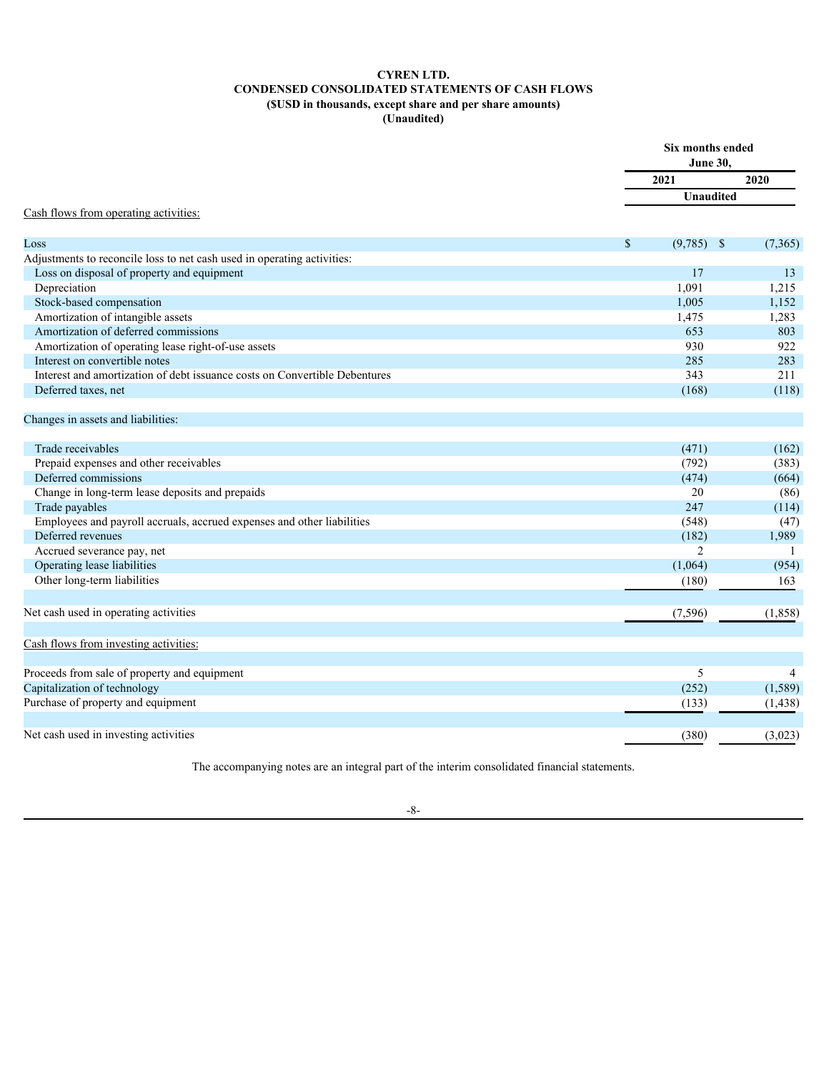## **CYREN LTD. CONDENSED CONSOLIDATED STATEMENTS OF CASH FLOWS (\$USD in thousands, except share and per share amounts) (Unaudited)**

<span id="page-9-0"></span>

|                                                                            | Six months ended<br><b>June 30,</b> |          |
|----------------------------------------------------------------------------|-------------------------------------|----------|
|                                                                            | 2021                                | 2020     |
|                                                                            | <b>Unaudited</b>                    |          |
| Cash flows from operating activities:                                      |                                     |          |
|                                                                            |                                     |          |
| Loss                                                                       | $\mathbb{S}$<br>$(9,785)$ \$        | (7,365)  |
| Adjustments to reconcile loss to net cash used in operating activities:    |                                     |          |
| Loss on disposal of property and equipment                                 | 17                                  | 13       |
| Depreciation                                                               | 1,091                               | 1,215    |
| Stock-based compensation                                                   | 1,005                               | 1,152    |
| Amortization of intangible assets                                          | 1,475                               | 1,283    |
| Amortization of deferred commissions                                       | 653                                 | 803      |
| Amortization of operating lease right-of-use assets                        | 930                                 | 922      |
| Interest on convertible notes                                              | 285                                 | 283      |
| Interest and amortization of debt issuance costs on Convertible Debentures | 343                                 | 211      |
| Deferred taxes, net                                                        | (168)                               | (118)    |
| Changes in assets and liabilities:                                         |                                     |          |
|                                                                            |                                     |          |
| Trade receivables                                                          | (471)                               | (162)    |
| Prepaid expenses and other receivables                                     | (792)                               | (383)    |
| Deferred commissions                                                       | (474)                               | (664)    |
| Change in long-term lease deposits and prepaids                            | 20                                  | (86)     |
| Trade payables                                                             | 247                                 | (114)    |
| Employees and payroll accruals, accrued expenses and other liabilities     | (548)                               | (47)     |
| Deferred revenues                                                          | (182)                               | 1,989    |
| Accrued severance pay, net                                                 | 2                                   |          |
| Operating lease liabilities                                                | (1,064)                             | (954)    |
| Other long-term liabilities                                                | (180)                               | 163      |
|                                                                            |                                     |          |
| Net cash used in operating activities                                      | (7, 596)                            | (1, 858) |
| Cash flows from investing activities:                                      |                                     |          |
| Proceeds from sale of property and equipment                               | 5                                   |          |
| Capitalization of technology                                               | (252)                               | (1, 589) |
| Purchase of property and equipment                                         | (133)                               | (1, 438) |
| Net cash used in investing activities                                      | (380)                               | (3,023)  |
|                                                                            |                                     |          |

The accompanying notes are an integral part of the interim consolidated financial statements.

-8-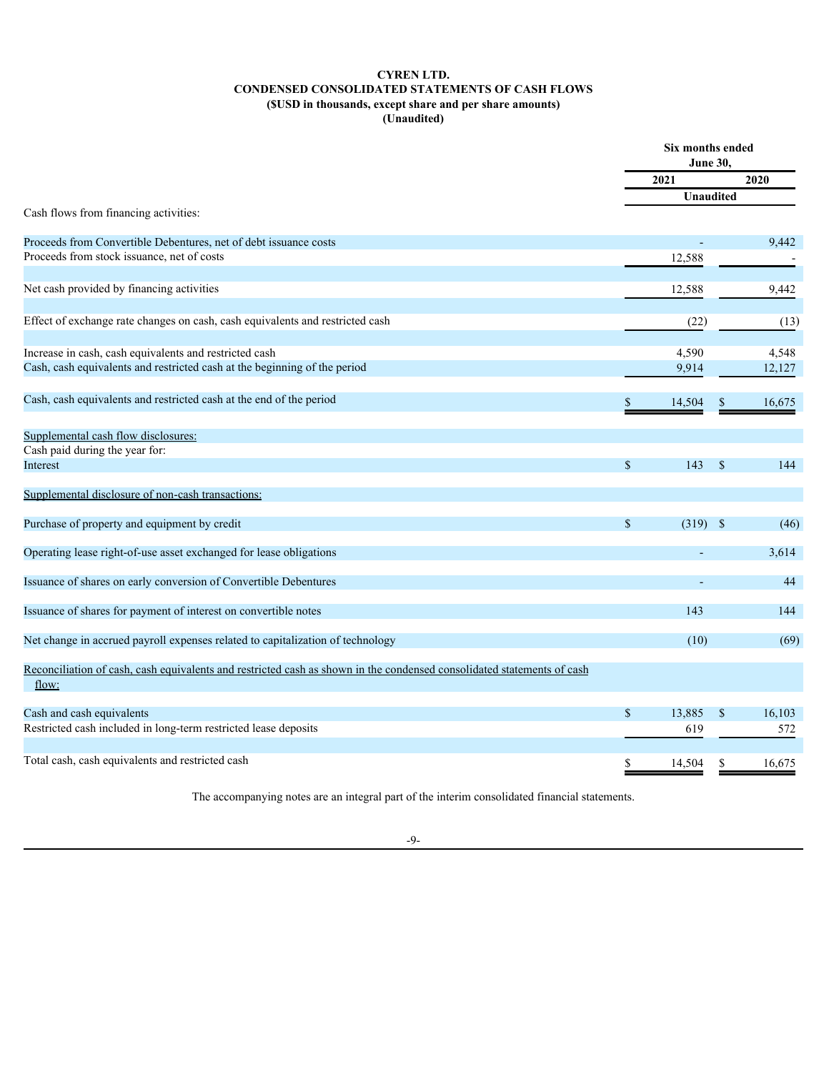## **CYREN LTD. CONDENSED CONSOLIDATED STATEMENTS OF CASH FLOWS (\$USD in thousands, except share and per share amounts) (Unaudited)**

|                                                                                                                        | Six months ended<br><b>June 30,</b> |                |                  |        |  |  |  |
|------------------------------------------------------------------------------------------------------------------------|-------------------------------------|----------------|------------------|--------|--|--|--|
|                                                                                                                        |                                     | 2021           |                  | 2020   |  |  |  |
|                                                                                                                        |                                     |                | <b>Unaudited</b> |        |  |  |  |
| Cash flows from financing activities:                                                                                  |                                     |                |                  |        |  |  |  |
| Proceeds from Convertible Debentures, net of debt issuance costs                                                       |                                     |                |                  | 9,442  |  |  |  |
| Proceeds from stock issuance, net of costs                                                                             |                                     | 12,588         |                  |        |  |  |  |
| Net cash provided by financing activities                                                                              |                                     | 12,588         |                  | 9,442  |  |  |  |
| Effect of exchange rate changes on cash, cash equivalents and restricted cash                                          |                                     | (22)           |                  | (13)   |  |  |  |
|                                                                                                                        |                                     |                |                  |        |  |  |  |
| Increase in cash, cash equivalents and restricted cash                                                                 |                                     | 4,590          |                  | 4,548  |  |  |  |
| Cash, cash equivalents and restricted cash at the beginning of the period                                              |                                     | 9,914          |                  | 12,127 |  |  |  |
| Cash, cash equivalents and restricted cash at the end of the period                                                    |                                     | 14,504         | $\mathbb{S}$     | 16,675 |  |  |  |
| Supplemental cash flow disclosures:                                                                                    |                                     |                |                  |        |  |  |  |
| Cash paid during the year for:                                                                                         |                                     |                |                  |        |  |  |  |
| Interest                                                                                                               | $\mathbf S$                         | 143            | $^{\circ}$       | 144    |  |  |  |
| Supplemental disclosure of non-cash transactions:                                                                      |                                     |                |                  |        |  |  |  |
| Purchase of property and equipment by credit                                                                           | $\mathsf{\$}$                       | $(319)$ \$     |                  | (46)   |  |  |  |
| Operating lease right-of-use asset exchanged for lease obligations                                                     |                                     |                |                  | 3,614  |  |  |  |
| Issuance of shares on early conversion of Convertible Debentures                                                       |                                     | $\overline{a}$ |                  | 44     |  |  |  |
|                                                                                                                        |                                     |                |                  |        |  |  |  |
| Issuance of shares for payment of interest on convertible notes                                                        |                                     | 143            |                  | 144    |  |  |  |
| Net change in accrued payroll expenses related to capitalization of technology                                         |                                     | (10)           |                  | (69)   |  |  |  |
| Reconciliation of cash, cash equivalents and restricted cash as shown in the condensed consolidated statements of cash |                                     |                |                  |        |  |  |  |
| flow:                                                                                                                  |                                     |                |                  |        |  |  |  |
| Cash and cash equivalents                                                                                              | $\mathbb{S}$                        | 13,885         | - \$             | 16,103 |  |  |  |
| Restricted cash included in long-term restricted lease deposits                                                        |                                     | 619            |                  | 572    |  |  |  |
| Total cash, cash equivalents and restricted cash                                                                       |                                     | 14,504         |                  | 16,675 |  |  |  |
|                                                                                                                        |                                     |                |                  |        |  |  |  |

The accompanying notes are an integral part of the interim consolidated financial statements.

-9-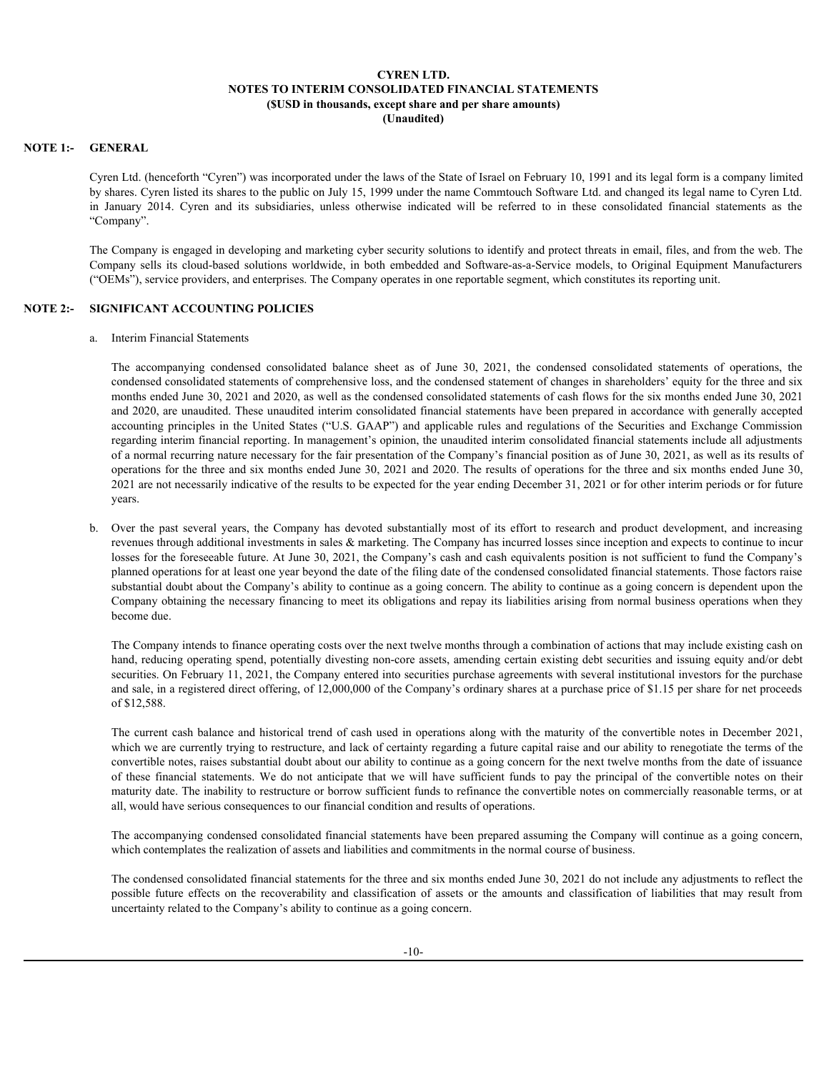## <span id="page-11-0"></span>**NOTE 1:- GENERAL**

Cyren Ltd. (henceforth "Cyren") was incorporated under the laws of the State of Israel on February 10, 1991 and its legal form is a company limited by shares. Cyren listed its shares to the public on July 15, 1999 under the name Commtouch Software Ltd. and changed its legal name to Cyren Ltd. **IMPERT CONTERT CONTERT (SUSD in thousands, except share and per share amounts)**<br>
(Cinaudited)<br>
(Cyren Ltd. (henceforth "Cyren") was incorporated under the laws of the State of Israel on February 10, 1991 and its legal for "Company". COMPRITO INTERIM CONSIDIATED FINANCIAL STATEMENTS<br>
(SUSD in thousands, except share and per share amounts)<br>
CENERAL<br>
Cyren Lud (henceforth "Cyren") was incorporated under the laws of the State of Israel on February 10, 199

The Company is engaged in developing and marketing cyber security solutions to identify and protect threats in email, files, and from the web. The ("OEMs"), service providers, and enterprises. The Company operates in one reportable segment, which constitutes its reporting unit.

## **NOTE 2:- SIGNIFICANT ACCOUNTING POLICIES**

### a. Interim Financial Statements

**CYREN LTD.**<br> **SERAT.** (SUSD in thousands, except that are all operation and per share amounts)<br> **SERAT.** (CHER) in thousands correlated consolidated that are comparison in the consolidated balance in the companying consi condensed consolidated statements of comprehensive loss, and the condensed statement of changes in shareholders' equity for the three and six months ended June 30, 2021 and 2020, as well as the condensed consolidated statements of cash flows for the six months ended June 30, 2021 and 2020, are unaudited. These unaudited interim consolidated financial statements have been prepared in accordance with generally accepted **EXAL COUNTERIM CONSOLIDATED FINANCIAL STATEMENTS**<br> **EXAL**<br> **EXAL COUNTERIM CONSOLIDATED FINANCIAL STATEMENTS**<br> **EXAL COUNTERIM (SUSD)** in thousands, except share of the State of Isna or February 10, 1991 and its legal ro regarding interim financial reporting. In management's opinion, the unaudited interim consolidated financial statements include all adjustments of a normal recurring nature necessary for the fair presentation of the Company's financial position as of June 30, 2021, as well as its results of operations for the three and six months ended June 30, 2021 and 2020. The results of operations for the three and six months ended June 30, 2021 are not necessarily indicative of the results to be expected for the year ending December 31, 2021 or for other interim periods or for future years. **BOTES TO INTERMIO CONSOLIDATED ETANCANCELLA STATEMENTS**<br>
(Several tail, (Synch 12) (Synch and the pass of the State of University (1991 and is legal form is a company brinded<br>
(Synchian Company) and increase the past of Hearin Framcuid Statements. Or decompting consolidated balance sheet as of Jane 30, 2021, the conclusion consolidated statements of operations, the conclusion conclusion of the present-of the methods were alleged above.

revenues through additional investments in sales & marketing. The Company has incurred losses since inception and expects to continue to incur losses for the foreseeable future. At June 30, 2021, the Company's cash and cash equivalents position is not sufficient to fund the Company's planned operations for at least one year beyond the date of the filing date of the condensed consolidated financial statements. Those factors raise substantial doubt about the Company's ability to continue as a going concern. The ability to continue as a going concern is dependent upon the Company obtaining the necessary financing to meet its obligations and repay its liabilities arising from normal business operations when they become due. of a normal equating namor locations for the Euli presentation of the Company's funarial possible as of Class 201 as well as in the classification of the classification of the classical orientation of the recoverability m

The Company intends to finance operating costs over the next twelve months through a combination of actions that may include existing cash on hand, reducing operating spend, potentially divesting non-core assets, amending certain existing debt securities and issuing equity and/or debt securities. On February 11, 2021, the Company entered into securities purchase agreements with several institutional investors for the purchase and sale, in a registered direct offering, of 12,000,000 of the Company's ordinary shares at a purchase price of \$1.15 per share for net proceeds of \$12,588.

The current cash balance and historical trend of cash used in operations along with the maturity of the convertible notes in December 2021, which we are currently trying to restructure, and lack of certainty regarding a future capital raise and our ability to renegotiate the terms of the convertible notes, raises substantial doubt about our ability to continue as a going concern for the next twelve months from the date of issuance maturity date. The inability to restructure or borrow sufficient funds to refinance the convertible notes on commercially reasonable terms, or at all, would have serious consequences to our financial condition and results of operations.

The accompanying condensed consolidated financial statements have been prepared assuming the Company will continue as a going concern, which contemplates the realization of assets and liabilities and commitments in the normal course of business.

The condensed consolidated financial statements for the three and six months ended June 30, 2021 do not include any adjustments to reflect the uncertainty related to the Company's ability to continue as a going concern.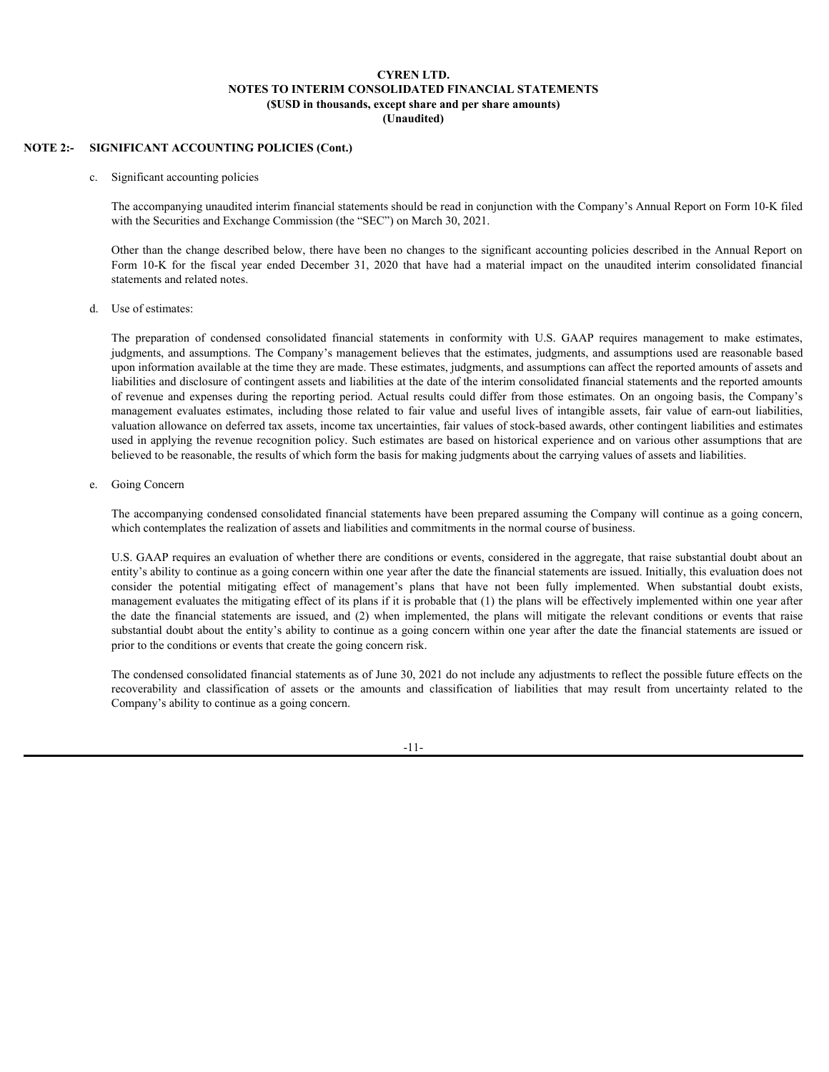## **NOTE 2:- SIGNIFICANT ACCOUNTING POLICIES (Cont.)**

c. Significant accounting policies

The accompanying unaudited interim financial statements should be read in conjunction with the Company's Annual Report on Form 10-K filed with the Securities and Exchange Commission (the "SEC") on March 30, 2021.

Other than the change described below, there have been no changes to the significant accounting policies described in the Annual Report on statements and related notes.

d. Use of estimates:

**EXERN 1.TD.**<br> **EXERN FORM CONCENTIFY (SUSD in thousands, except share and per share amounts)**<br> **EXERN ACCOUNTING POLICIES (Cont.)**<br> **EXERN ACCOUNTING POLICIES (Cont.)**<br> **EXERN ACCOUNTING POLICIES (Cont.)**<br> **EXERN ACCOUNTI EXEN LTD.**<br> **THE CANT ACCOUNTING POLICIES (Cont.)**<br> **CERN ACCOUNTING POLICIES (Cont.)**<br> **CERN ACCOUNTING POLICIES (Cont.)**<br> **EXENT ACCOUNTING POLICIES (Cont.)**<br> **EXENT ACCOUNTING POLICIES (Cont.)**<br> **EXENT ACCOUNTING POLIC** judgments, and assumptions. The Company's management believes that the estimates, judgments, and assumptions used are reasonable based upon information available at the time they are made. These estimates, judgments, and assumptions can affect the reported amounts of assets and liabilities and disclosure of contingent assets and liabilities at the date of the interim consolidated financial statements and the reported amounts CYREN LTD.<br>
(SUSD in thousands, every share and get share and per share around to<br>
Significant accounting policies<br>
The accompanying unadited interim financial statement should be read in conjunction with the Company's Ann CYREN LTD.<br>
(SUSD in thousands, except share and ger share amounts)<br>
(Imagineei)<br>
Significant accounting policies<br>
NIFICANT ACCOUNTING POLICIES (Cont.)<br>
Significant accounting policies<br>
The accompanying municipated interme valuation allowance on deferred tax assets, income tax uncertainties, fair values of stock-based awards, other contingent liabilities and estimates used in applying the revenue recognition policy. Such estimates are based on historical experience and on various other assumptions that are believed to be reasonable, the results of which form the basis for making judgments about the carrying values of assets and liabilities. **NIFICANT ACCOUNTING POLICIES (Cont.)**<br>Significant accounting policies<br>
The accompanying mutation interim functial alternative shall be read in example, which the Correspony's Armad Report is the Nomal Report on<br>
Which th Significant accounting policies<br>
or economizying manufactularies interaction (the "SEC") on March 30, 2021.<br>
Other than the change described below, there have been no changes to the significant accounting policies describ Other than the change described bolow, duce have been an changes to the significant accounting policies described in the Amount Report or the amount of the amount Report or the simulation recoverable statements to recoilan

e. Going Concern

The accompanying condensed consolidated financial statements have been prepared assuming the Company will continue as a going concern, which contemplates the realization of assets and liabilities and commitments in the normal course of business.

U.S. GAAP requires an evaluation of whether there are conditions or events, considered in the aggregate, that raise substantial doubt about an entity's ability to continue as a going concern within one year after the date the financial statements are issued. Initially, this evaluation does not management evaluates the mitigating effect of its plans if it is probable that (1) the plans will be effectively implemented within one year after substantial doubt about the entity's ability to continue as a going concern within one year after the date the financial statements are issued or prior to the conditions or events that create the going concern risk.

The condensed consolidated financial statements as of June 30, 2021 do not include any adjustments to reflect the possible future effects on the Company's ability to continue as a going concern.

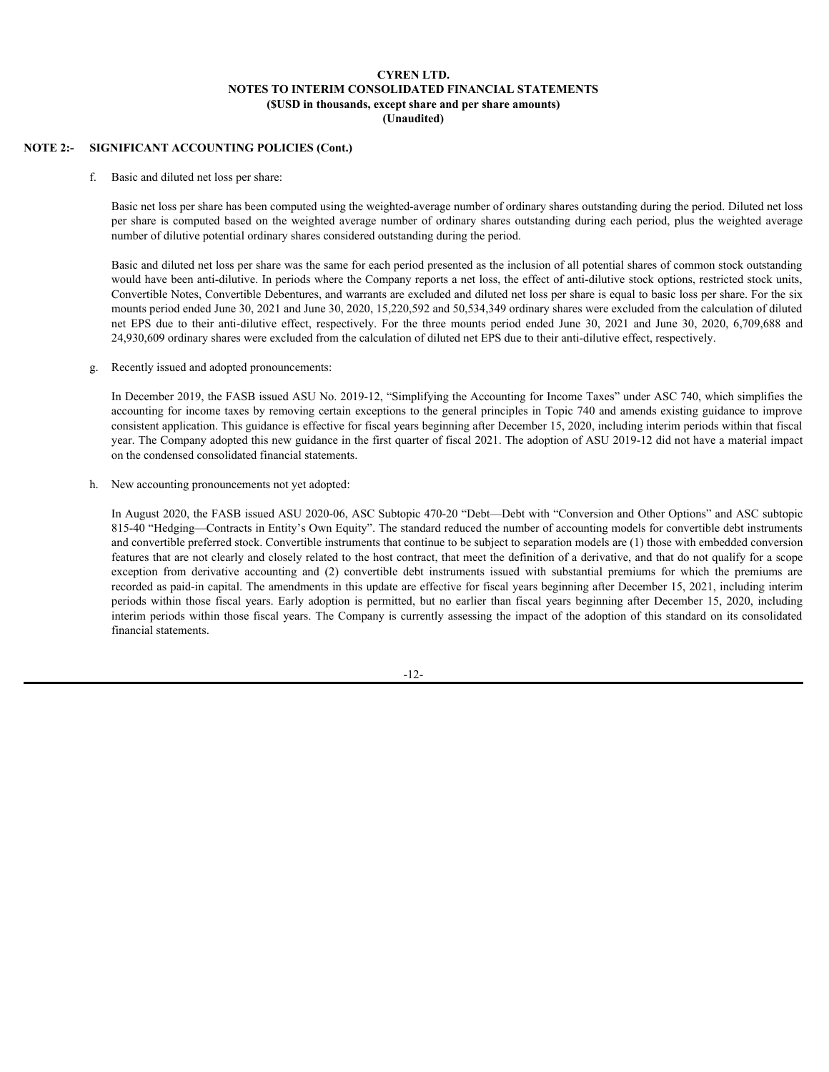### **NOTE 2:- SIGNIFICANT ACCOUNTING POLICIES (Cont.)**

f. Basic and diluted net loss per share:

Basic net loss per share has been computed using the weighted-average number of ordinary shares outstanding during the period. Diluted net loss number of dilutive potential ordinary shares considered outstanding during the period.

**EXERY LTD.**<br> **EXERY ACCOUNTING POLICIES (Cont.)**<br> **CURRENT ACCOUNTING POLICIES (Cont.)**<br> **CURRENT ACCOUNTING POLICIES (Cont.)**<br> **Rasic and diluted net loss per share:**<br> **Dasic net is computed based on number of outstandin** Basic and diluted net loss per share was the same for each period presented as the inclusion of all potential shares of common stock outstanding would have been anti-dilutive. In periods where the Company reports a net loss, the effect of anti-dilutive stock options, restricted stock units, Convertible Notes, Convertible Debentures, and warrants are excluded and diluted net loss per share is equal to basic loss per share. For the six mounts period ended June 30, 2021 and June 30, 2020, 15,220,592 and 50,534,349 ordinary shares were excluded from the calculation of diluted CYREN LTD.<br>
NOTES TO INTERIM CONSOLIDATED FINANCIAL STATEMENTS<br>
(SUSD in flowsands, except share and per share amounts)<br>
NEICANT ACCOUNTING POLICIES (Cont.)<br>
Basic and diluted net loss per share as be encomputed using the 24,930,609 ordinary shares were excluded from the calculation of diluted net EPS due to their anti-dilutive effect, respectively.

g. Recently issued and adopted pronouncements:

In December 2019, the FASB issued ASU No. 2019-12, "Simplifying the Accounting for Income Taxes" under ASC 740, which simplifies the accounting for income taxes by removing certain exceptions to the general principles in Topic 740 and amends existing guidance to improve consistent application. This guidance is effective for fiscal years beginning after December 15, 2020, including interim periods within that fiscal year. The Company adopted this new guidance in the first quarter of fiscal 2021. The adoption of ASU 2019-12 did not have a material impact on the condensed consolidated financial statements.

h. New accounting pronouncements not yet adopted:

In August 2020, the FASB issued ASU 2020-06, ASC Subtopic 470-20 "Debt—Debt with "Conversion and Other Options" and ASC subtopic 815-40 "Hedging—Contracts in Entity's Own Equity". The standard reduced the number of accounting models for convertible debt instruments and convertible preferred stock. Convertible instruments that continue to be subject to separation models are (1) those with embedded conversion features that are not clearly and closely related to the host contract, that meet the definition of a derivative, and that do not qualify for a scope **NIFICANT ACOUNTING POLICIES (Cont.)**<br>Hence and distinct leas per share:<br>Basic and basic between the state per significal secession of ordinary shares outstanding during the period. Diluted net loss<br>per showed by computed recorded as paid-in capital. The amendments in this update are effective for fiscal years beginning after December 15, 2021, including interim Basic and diluted act loss per share:<br>
Hose ne loss per share:<br>
Hose ne loss per share:<br>
Hose oscipares based on the weighted average number of ordinary shares outstanding during the<br>period has the simulation of this weig interim periods within those fiscal years. The Company is currently assessing the impact of the adoption of this standard on its consolidated financial statements.

-12-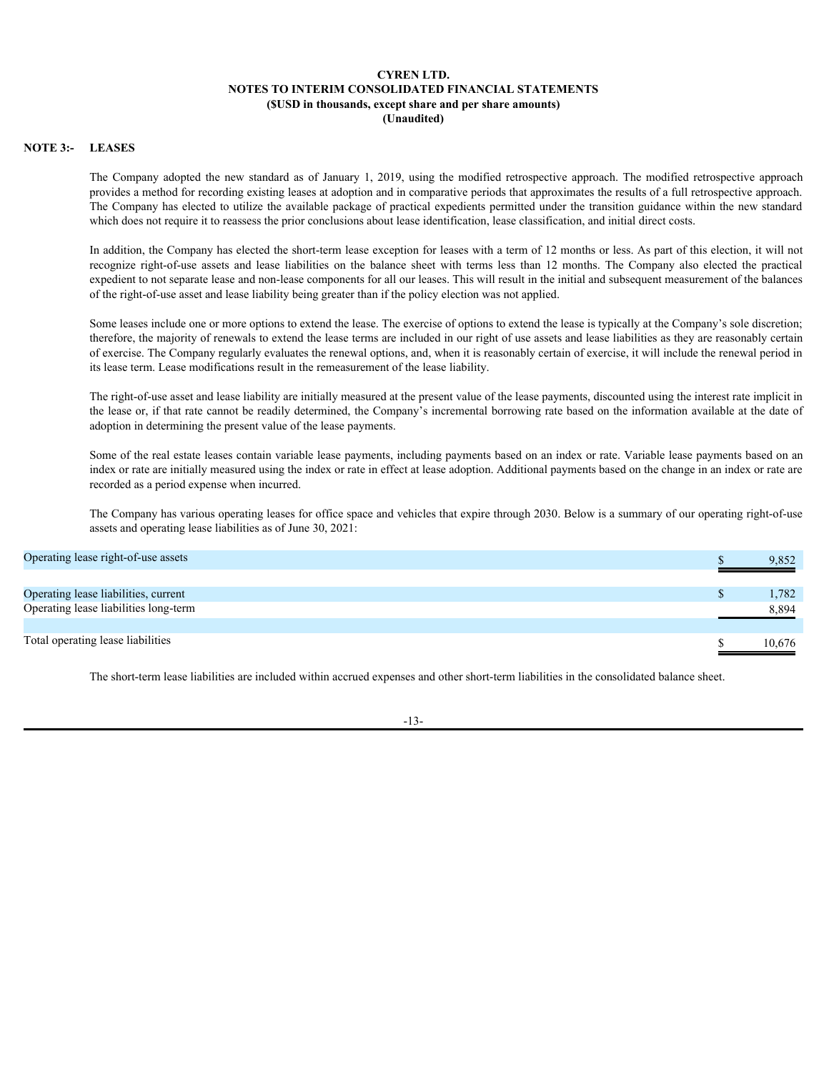## **NOTE 3:- LEASES**

**CYREN LTD.**<br> **COMPATED FINANCIAL STATEMENTS**<br> **COMPATED FINANCIAL STATEMENTS**<br> **COMPATED COMPATED (UNITED FINANCIAL STATEMENTS**<br> **COMPATED COMPATED (UNITED TRANCIAL STATEMENTS**<br>
The Company adopted the new standard as of provides a method for recording existing leases at adoption and in comparative periods that approximates the results of a full retrospective approach. The Company has elected to utilize the available package of practical expedients permitted under the transition guidance within the new standard which does not require it to reassess the prior conclusions about lease identification, lease classification, and initial direct costs. **EXASES**<br> **RECOUTE ANCES (SUSD in thousands, except share and per share amounts)**<br> **(Unaudited)**<br>
The Company adopted the new standard as of January 1, 2019, using the modified retrospective approach. Fine Company has elec

In addition, the Company has elected the short-term lease exception for leases with a term of 12 months or less. As part of this election, it will not expedient to not separate lease and non-lease components for all our leases. This will result in the initial and subsequent measurement of the balances of the right-of-use asset and lease liability being greater than if the policy election was not applied.

Some leases include one or more options to extend the lease. The exercise of options to extend the lease is typically at the Company's sole discretion; therefore, the majority of renewals to extend the lease terms are included in our right of use assets and lease liabilities as they are reasonably certain of exercise. The Company regularly evaluates the renewal options, and, when it is reasonably certain of exercise, it will include the renewal period in its lease term. Lease modifications result in the remeasurement of the lease liability.

The right-of-use asset and lease liability are initially measured at the present value of the lease payments, discounted using the interest rate implicit in the lease or, if that rate cannot be readily determined, the Company's incremental borrowing rate based on the information available at the date of adoption in determining the present value of the lease payments.

Some of the real estate leases contain variable lease payments, including payments based on an index or rate. Variable lease payments based on an index or rate are initially measured using the index or rate in effect at lease adoption. Additional payments based on the change in an index or rate are recorded as a period expense when incurred.

The Company has various operating leases for office space and vehicles that expire through 2030. Below is a summary of our operating right-of-use assets and operating lease liabilities as of June 30, 2021:

| Operating lease right-of-use assets   | 9,852                             |
|---------------------------------------|-----------------------------------|
|                                       |                                   |
| Operating lease liabilities, current  | 1,782                             |
| Operating lease liabilities long-term | 8,894<br>$\overline{\phantom{a}}$ |
|                                       |                                   |
| Total operating lease liabilities     | 10,676<br>$\overline{a}$          |

The short-term lease liabilities are included within accrued expenses and other short-term liabilities in the consolidated balance sheet.

-13-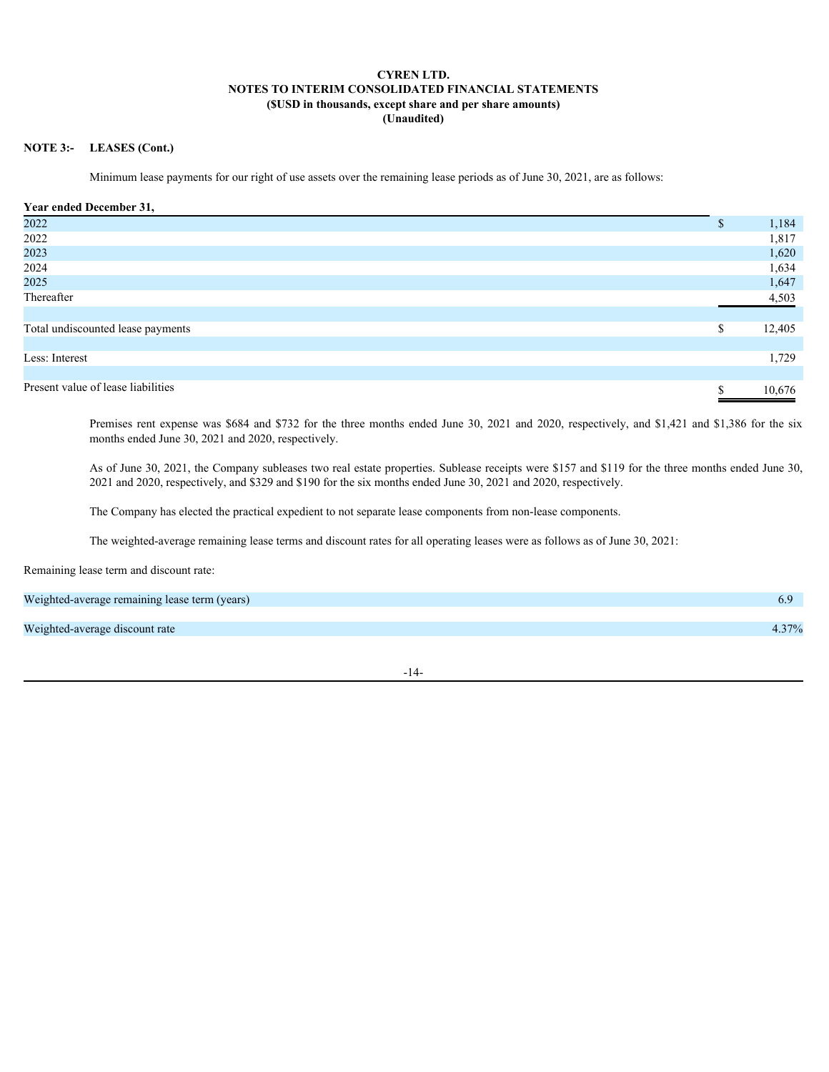## **NOTE 3:- LEASES (Cont.)**

#### **Year ended December 31,**

|                 | <b>CYREN LTD.</b><br>NOTES TO INTERIM CONSOLIDATED FINANCIAL STATEMENTS<br>(\$USD in thousands, except share and per share amounts)<br>(Unaudited)                                                                                                                                                           |               |        |
|-----------------|--------------------------------------------------------------------------------------------------------------------------------------------------------------------------------------------------------------------------------------------------------------------------------------------------------------|---------------|--------|
| <b>NOTE 3:-</b> | <b>LEASES</b> (Cont.)                                                                                                                                                                                                                                                                                        |               |        |
|                 | Minimum lease payments for our right of use assets over the remaining lease periods as of June 30, 2021, are as follows:                                                                                                                                                                                     |               |        |
|                 | Year ended December 31,                                                                                                                                                                                                                                                                                      |               |        |
| 2022            |                                                                                                                                                                                                                                                                                                              | $\mathcal{S}$ | 1,184  |
| 2022            |                                                                                                                                                                                                                                                                                                              |               | 1,817  |
| 2023            |                                                                                                                                                                                                                                                                                                              |               | 1,620  |
| 2024            |                                                                                                                                                                                                                                                                                                              |               | 1,634  |
| 2025            |                                                                                                                                                                                                                                                                                                              |               | 1,647  |
| Thereafter      |                                                                                                                                                                                                                                                                                                              |               | 4,503  |
|                 | Total undiscounted lease payments                                                                                                                                                                                                                                                                            | <sup>S</sup>  | 12,405 |
| Less: Interest  |                                                                                                                                                                                                                                                                                                              |               | 1,729  |
|                 |                                                                                                                                                                                                                                                                                                              |               |        |
|                 | Present value of lease liabilities                                                                                                                                                                                                                                                                           |               | 10,676 |
|                 | Premises rent expense was \$684 and \$732 for the three months ended June 30, 2021 and 2020, respectively, and \$1,421 and \$1,386 for the six<br>months ended June 30, 2021 and 2020, respectively.                                                                                                         |               |        |
|                 | As of June 30, 2021, the Company subleases two real estate properties. Sublease receipts were \$157 and \$119 for the three months ended June 30,<br>2021 and 2020, respectively, and \$329 and \$190 for the six months ended June 30, 2021 and 2020, respectively.                                         |               |        |
|                 | The Company has elected the practical expedient to not separate lease components from non-lease components.                                                                                                                                                                                                  |               |        |
|                 | the contract of the contract of the contract of the contract of the contract of the contract of the contract of<br>and the state of the state of the<br>the contract of the contract of the contract of the contract of the contract of the contract of the contract of<br>and the state of the state of the |               |        |

The weighted-average remaining lease terms and discount rates for all operating leases were as follows as of June 30, 2021:

Remaining lease term and discount rate: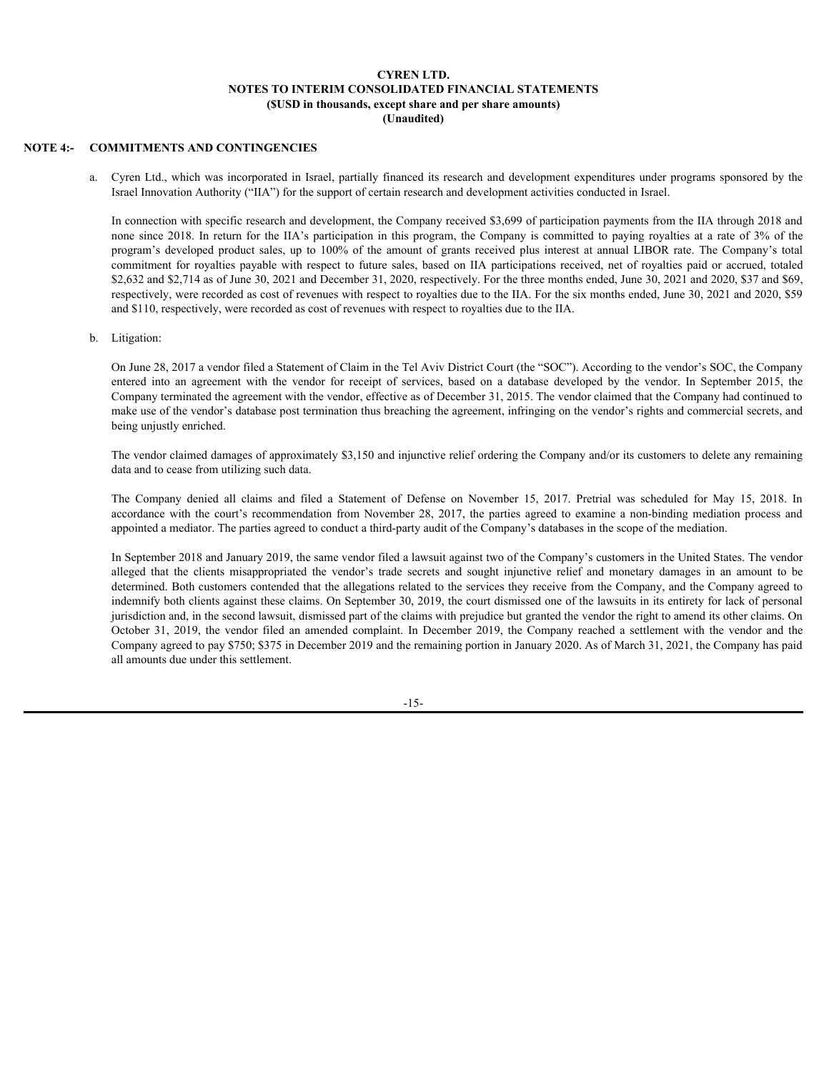## **NOTE 4:- COMMITMENTS AND CONTINGENCIES**

a. Cyren Ltd., which was incorporated in Israel, partially financed its research and development expenditures under programs sponsored by the Israel Innovation Authority ("IIA") for the support of certain research and development activities conducted in Israel.

In connection with specific research and development, the Company received \$3,699 of participation payments from the IIA through 2018 and CYREN LTD.<br>
(CITRERIM CONSOLIDATED FINANCIAL STATEMENTS<br>
(CITRERIM (SUSD in thousands, except share and per share amounts)<br>
(CITRERIM (CITRERIM CONTINGENCIES)<br>
CONTINGENCIES<br>
Cyren 1.td., which was incorporated in Israel, **EXEN CONTERNAT CONCERTS**<br>
(SUSD in thousands, except share and per share amounts)<br>
(Unaudited)<br>
(Character of the supper of extrained in streaments and development expenditures under programs sponsored by the<br>
Statel Inno CYREN I.TD.<br>
(SUSD in thousands, except share and per share anounts)<br>
(Unaudited)<br>
(Unaudited)<br>
(Unaudited)<br>
Commitment Expect of Commitment expect of certain research and development expenditures under programs sponsored \$2,632 and \$2,714 as of June 30, 2021 and December 31, 2020, respectively. For the three months ended, June 30, 2021 and 2020, \$37 and \$69, respectively, were recorded as cost of revenues with respect to royalties due to the IIA. For the six months ended, June 30, 2021 and 2020, \$59 and \$110, respectively, were recorded as cost of revenues with respect to royalties due to the IIA. **EVEEN LTD.**<br> **ENTYIENTS (SUSD in thousands, except share and or share amounts)**<br> **(SI-SD in thousands, except share and development expenditures under programs sponsored by the<br>
Eyren Ltd., which was incorporated in Isra** COREN COMEN ETD (VIEN MOTEST ON (SUS) in the most of the Company (Unauble 15, 2017). The particle are the company speed by the Company speed by the Company speed on the Company speed and the Company speed and the Company s **EXTEN CONTESTO ENTERIM CONSOLIDATED FINANCIAL STATEMENTS**<br> **CAUSE ON DESCRIPTION (USER)** the momenta of particular momenta per share and per share amounts)<br> **CAUSE THE CONTENT CONTENT**<br>
CAUSE CONTENT IS (FOR THE CONTENT

b. Litigation:

On June 28, 2017 a vendor filed a Statement of Claim in the Tel Aviv District Court (the "SOC"). According to the vendor's SOC, the Company Company terminated the agreement with the vendor, effective as of December 31, 2015. The vendor claimed that the Company had continued to make use of the vendor's database post termination thus breaching the agreement, infringing on the vendor's rights and commercial secrets, and being unjustly enriched.

The vendor claimed damages of approximately \$3,150 and injunctive relief ordering the Company and/or its customers to delete any remaining data and to cease from utilizing such data.

appointed a mediator. The parties agreed to conduct a third-party audit of the Company's databases in the scope of the mediation.

In September 2018 and January 2019, the same vendor filed a lawsuit against two of the Company's customers in the United States. The vendor **IMITMENTS AND CONTINGENTES**<br>
Cyter 1 tal., which was mearporated in branch partially frameond and envelopment achievable in branch<br>
sharehold the consensus of the support of secrets meants but development achieves tradic determined. Both customers contended that the allegations related to the services they receive from the Company, and the Company agreed to indemnify both clients against these claims. On September 30, 2019, the court dismissed one of the lawsuits in its entirety for lack of personal jurisdiction and, in the second lawsuit, dismissed part of the claims with prejudice but granted the vendor the right to amend its other claims. On Usual transidum Authority (\*I1A") for the support of certain research and decohyment achivities convention of the Company reduct of Society of participation approach in the file of the street of the Society of the company Company agreed to pay \$750; \$375 in December 2019 and the remaining portion in January 2020. As of March 31, 2021, the Company has paid all amounts due under this settlement.

-15-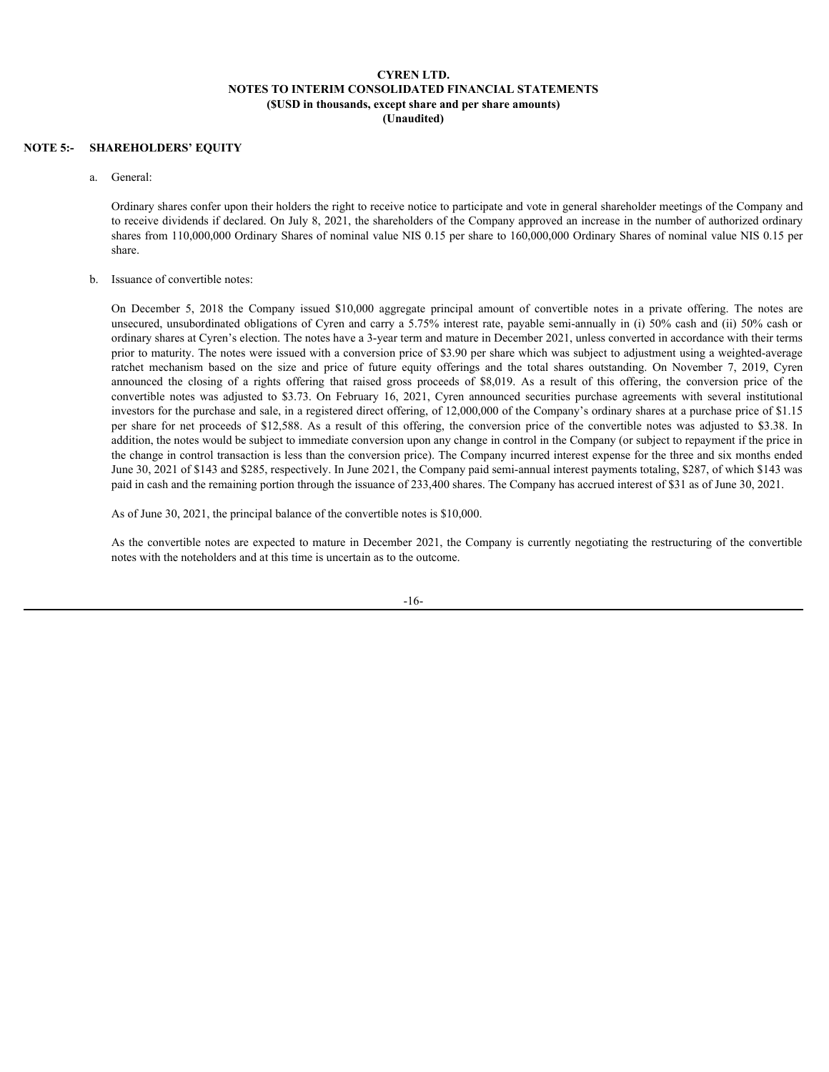## **NOTE 5:- SHAREHOLDERS' EQUITY**

a. General:

Ordinary shares confer upon their holders the right to receive notice to participate and vote in general shareholder meetings of the Company and to receive dividends if declared. On July 8, 2021, the shareholders of the Company approved an increase in the number of authorized ordinary shares from 110,000,000 Ordinary Shares of nominal value NIS 0.15 per share to 160,000,000 Ordinary Shares of nominal value NIS 0.15 per share.

b. Issuance of convertible notes:

CVREN I.TD.<br>
SONDER TO INTERIM CONSOLIDATED PINANCIAL STATEMENTS<br>
(SUSD in thousands, eccept share and per share amounts)<br>
Commany shares confer upon their holders the right to receive notice to participate and vote in gen unsecured, unsubordinated obligations of Cyren and carry a 5.75% interest rate, payable semi-annually in (i) 50% cash and (ii) 50% cash or ordinary shares at Cyren's election. The notes have a 3-year term and mature in December 2021, unless converted in accordance with their terms prior to maturity. The notes were issued with a conversion price of \$3.90 per share which was subject to adjustment using a weighted-average **CYREN LTD.**<br> **CYREN LTD.** (SUSD in thousands, eccept that are due to methanism and the interest and based based based based and the size equity of the company and one of the company and  $\alpha$  the company and  $\alpha$  of  $\alpha$  **EVEEN LTD.**<br> **SCESD in thousands, except share and or share amounts)**<br> **(SLSD in thousands, except share and or share amounts)**<br> **Containy shares coulit upon their holders the right to receive notice to purticipate and v** CYREN LTD.<br>
(CISD in thousands, every share and get share and gene starts and one in general distribution the Company and<br>
On Tests To Distribution (CISD in thousands, every share and gene starts and vote in general distr investors for the purchase and sale, in a registered direct offering, of 12,000,000 of the Company's ordinary shares at a purchase price of \$1.15 **EXERY SOURT SOURTERIM CONSOLIDATED FINANCIAL STATEMENTS** (SUSD in thousanask, except share and ear share and early asset of the company interval of the converse of the converse of the converse of the converse of the conv addition, the notes would be subject to immediate conversion upon any change in control in the Company (or subject to repayment if the price in the change in control transaction is less than the conversion price). The Company incurred interest expense for the three and six months ended June 30, 2021 of \$143 and \$285, respectively. In June 2021, the Company paid semi-annual interest payments totaling, \$287, of which \$143 was paid in cash and the remaining portion through the issuance of 233,400 shares. The Company has accrued interest of \$31 as of June 30, 2021.

As of June 30, 2021, the principal balance of the convertible notes is \$10,000.

As the convertible notes are expected to mature in December 2021, the Company is currently negotiating the restructuring of the convertible notes with the noteholders and at this time is uncertain as to the outcome.

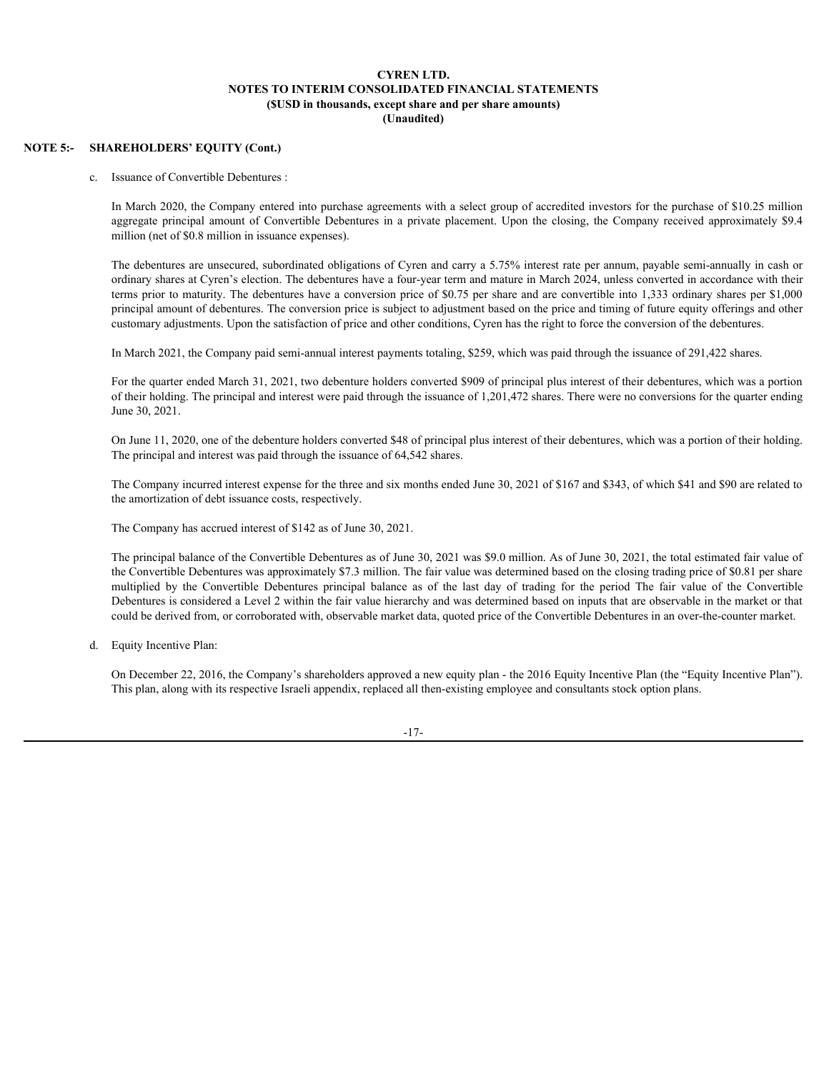## **NOTE 5:- SHAREHOLDERS' EQUITY (Cont.)**

c. Issuance of Convertible Debentures :

In March 2020, the Company entered into purchase agreements with a select group of accredited investors for the purchase of \$10.25 million million (net of \$0.8 million in issuance expenses).

**EXERY LTD.**<br> **CYREN LTD.**<br> **(SUSD in thousands, except share and per share amounts)**<br> **(Unaddited)**<br> **(Linddited)**<br> **ERHOLDERS' EQUITY (Cont.)**<br> **ENHOLDERS'** EQUITY (Cont.)<br> **ENHOLDERS'** EQUITY (Cont.)<br> **ENHOLDERS'** EQUI The debentures are unsecured, subordinated obligations of Cyren and carry a 5.75% interest rate per annum, payable semi-annually in cash or ordinary shares at Cyren's election. The debentures have a four-year term and mature in March 2024, unless converted in accordance with their terms prior to maturity. The debentures have a conversion price of \$0.75 per share and are convertible into 1,333 ordinary shares per \$1,000 principal amount of debentures. The conversion price is subject to adjustment based on the price and timing of future equity offerings and other customary adjustments. Upon the satisfaction of price and other conditions, Cyren has the right to force the conversion of the debentures. REHOLDERS' EQUITY (Cont.)<br>
Issuance of Convertible Debentures :<br>
In March 2202, the Compary entered intit purchase appearents with a select group of accredited investors for the particles of \$10.25 million<br>
in heads 2021,

In March 2021, the Company paid semi-annual interest payments totaling, \$259, which was paid through the issuance of 291,422 shares.

For the quarter ended March 31, 2021, two debenture holders converted \$909 of principal plus interest of their debentures, which was a portion of their holding. The principal and interest were paid through the issuance of 1,201,472 shares. There were no conversions for the quarter ending June 30, 2021.

On June 11, 2020, one of the debenture holders converted \$48 of principal plus interest of their debentures, which was a portion of their holding. The principal and interest was paid through the issuance of 64,542 shares.

The Company incurred interest expense for the three and six months ended June 30, 2021 of \$167 and \$343, of which \$41 and \$90 are related to the amortization of debt issuance costs, respectively.

The Company has accrued interest of \$142 as of June 30, 2021.

The principal balance of the Convertible Debentures as of June 30, 2021 was \$9.0 million. As of June 30, 2021, the total estimated fair value of the Convertible Debentures was approximately \$7.3 million. The fair value was determined based on the closing trading price of \$0.81 per share Debentures is considered a Level 2 within the fair value hierarchy and was determined based on inputs that are observable in the market or that could be derived from, or corroborated with, observable market data, quoted price of the Convertible Debentures in an over-the-counter market.

d. Equity Incentive Plan:

On December 22, 2016, the Company's shareholders approved a new equity plan - the 2016 Equity Incentive Plan (the "Equity Incentive Plan"). This plan, along with its respective Israeli appendix, replaced all then-existing employee and consultants stock option plans.

-17-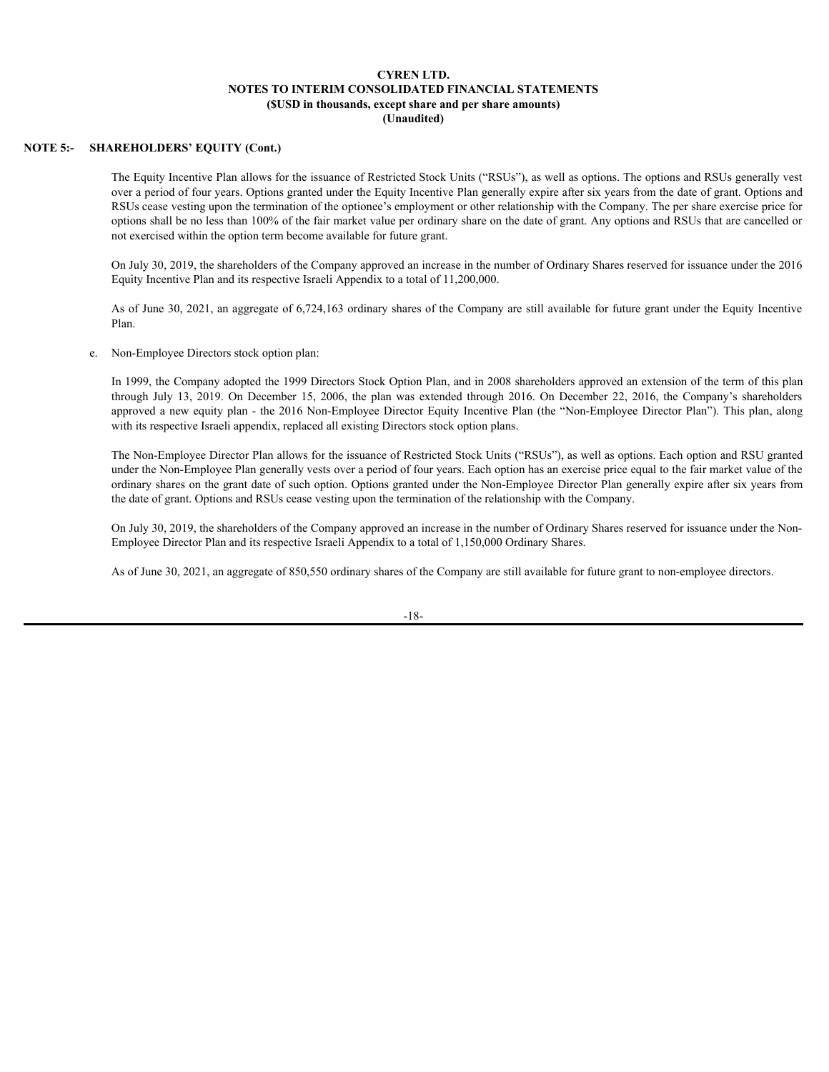## **NOTE 5:- SHAREHOLDERS' EQUITY (Cont.)**

The Equity Incentive Plan allows for the issuance of Restricted Stock Units ("RSUs"), as well as options. The options and RSUs generally vest over a period of four years. Options granted under the Equity Incentive Plan generally expire after six years from the date of grant. Options and RSUs cease vesting upon the termination of the optionee's employment or other relationship with the Company. The per share exercise price for options shall be no less than 100% of the fair market value per ordinary share on the date of grant. Any options and RSUs that are cancelled or not exercised within the option term become available for future grant. CYREN LTD.<br>
(SUSD in thousands, every share and per share annonts)<br>
(SUSD in thousands, every share and per share annonts)<br>
The Family hecerity of the issuance of Restricted Stock Units ("RSUs"), as well as options. The o

On July 30, 2019, the shareholders of the Company approved an increase in the number of Ordinary Shares reserved for issuance under the 2016 Equity Incentive Plan and its respective Israeli Appendix to a total of 11,200,000.

As of June 30, 2021, an aggregate of 6,724,163 ordinary shares of the Company are still available for future grant under the Equity Incentive Plan.

e. Non-Employee Directors stock option plan:

In 1999, the Company adopted the 1999 Directors Stock Option Plan, and in 2008 shareholders approved an extension of the term of this plan approved a new equity plan - the 2016 Non-Employee Director Equity Incentive Plan (the "Non-Employee Director Plan"). This plan, along with its respective Israeli appendix, replaced all existing Directors stock option plans.

The Non-Employee Director Plan allows for the issuance of Restricted Stock Units ("RSUs"), as well as options. Each option and RSU granted under the Non-Employee Plan generally vests over a period of four years. Each option has an exercise price equal to the fair market value of the ordinary shares on the grant date of such option. Options granted under the Non-Employee Director Plan generally expire after six years from the date of grant. Options and RSUs cease vesting upon the termination of the relationship with the Company.

On July 30, 2019, the shareholders of the Company approved an increase in the number of Ordinary Shares reserved for issuance under the Non-Employee Director Plan and its respective Israeli Appendix to a total of 1,150,000 Ordinary Shares.

As of June 30, 2021, an aggregate of 850,550 ordinary shares of the Company are still available for future grant to non-employee directors.

-18-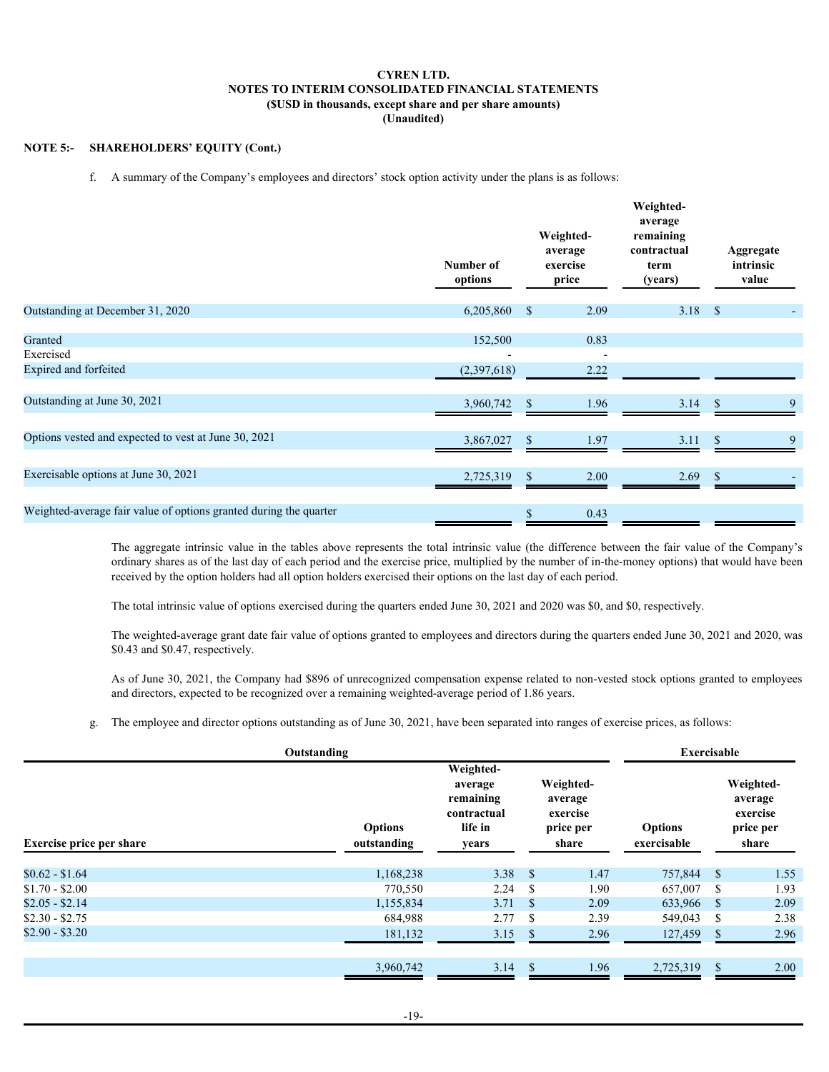## **NOTE 5:- SHAREHOLDERS' EQUITY (Cont.)**

f. A summary of the Company's employees and directors' stock option activity under the plans is as follows:

|                                                                   | Number of<br>options | Weighted-<br>average<br>exercise<br>price |                          | Weighted-<br>average<br>remaining<br>contractual<br>term<br>(years) |      | Aggregate<br>intrinsic<br>value |
|-------------------------------------------------------------------|----------------------|-------------------------------------------|--------------------------|---------------------------------------------------------------------|------|---------------------------------|
| Outstanding at December 31, 2020                                  | 6,205,860 \$         |                                           | 2.09                     | $3.18$ \$                                                           |      |                                 |
| Granted                                                           | 152,500              |                                           | 0.83                     |                                                                     |      |                                 |
| Exercised                                                         |                      |                                           | $\overline{\phantom{a}}$ |                                                                     |      |                                 |
| Expired and forfeited                                             | (2,397,618)          |                                           | 2.22                     |                                                                     |      |                                 |
| Outstanding at June 30, 2021                                      | 3,960,742            |                                           | 1.96                     | 3.14                                                                | -S   |                                 |
| Options vested and expected to vest at June 30, 2021              | 3,867,027            |                                           | 1.97                     | 3.11                                                                | - \$ |                                 |
| Exercisable options at June 30, 2021                              | 2,725,319            |                                           | 2.00                     | 2.69                                                                |      |                                 |
| Weighted-average fair value of options granted during the quarter |                      |                                           | 0.43                     |                                                                     |      |                                 |

The aggregate intrinsic value in the tables above represents the total intrinsic value (the difference between the fair value of the Company's ordinary shares as of the last day of each period and the exercise price, multiplied by the number of in-the-money options) that would have been received by the option holders had all option holders exercised their options on the last day of each period.

The total intrinsic value of options exercised during the quarters ended June 30, 2021 and 2020 was \$0, and \$0, respectively.

The weighted-average grant date fair value of options granted to employees and directors during the quarters ended June 30, 2021 and 2020, was \$0.43 and \$0.47, respectively.

As of June 30, 2021, the Company had \$896 of unrecognized compensation expense related to non-vested stock options granted to employees and directors, expected to be recognized over a remaining weighted-average period of 1.86 years.

g. The employee and director options outstanding as of June 30, 2021, have been separated into ranges of exercise prices, as follows:

|                                 | Exercisable                   |                                                                      |                                                        |      |                               |                                                        |      |
|---------------------------------|-------------------------------|----------------------------------------------------------------------|--------------------------------------------------------|------|-------------------------------|--------------------------------------------------------|------|
| <b>Exercise price per share</b> | <b>Options</b><br>outstanding | Weighted-<br>average<br>remaining<br>contractual<br>life in<br>years | Weighted-<br>average<br>exercise<br>price per<br>share |      | <b>Options</b><br>exercisable | Weighted-<br>average<br>exercise<br>price per<br>share |      |
| $$0.62 - $1.64$                 | 1,168,238                     | 3.38                                                                 | -\$                                                    | 1.47 | 757,844 \$                    |                                                        | 1.55 |
| $$1.70 - $2.00$                 | 770,550                       | 2.24                                                                 | -S                                                     | 1.90 | 657,007 \$                    |                                                        | 1.93 |
| $$2.05 - $2.14$                 | 1,155,834                     | 3.71                                                                 | -S                                                     | 2.09 | 633,966 \$                    |                                                        | 2.09 |
| $$2.30 - $2.75$                 | 684,988                       | 2.77                                                                 | <sup>S</sup>                                           | 2.39 | 549,043 \$                    |                                                        | 2.38 |
| $$2.90 - $3.20$                 | 181,132                       | 3.15                                                                 | -5                                                     | 2.96 | 127,459                       |                                                        | 2.96 |
|                                 | 3,960,742                     | 3.14                                                                 | <sup>S</sup>                                           | 1.96 | 2,725,319 \$                  |                                                        | 2.00 |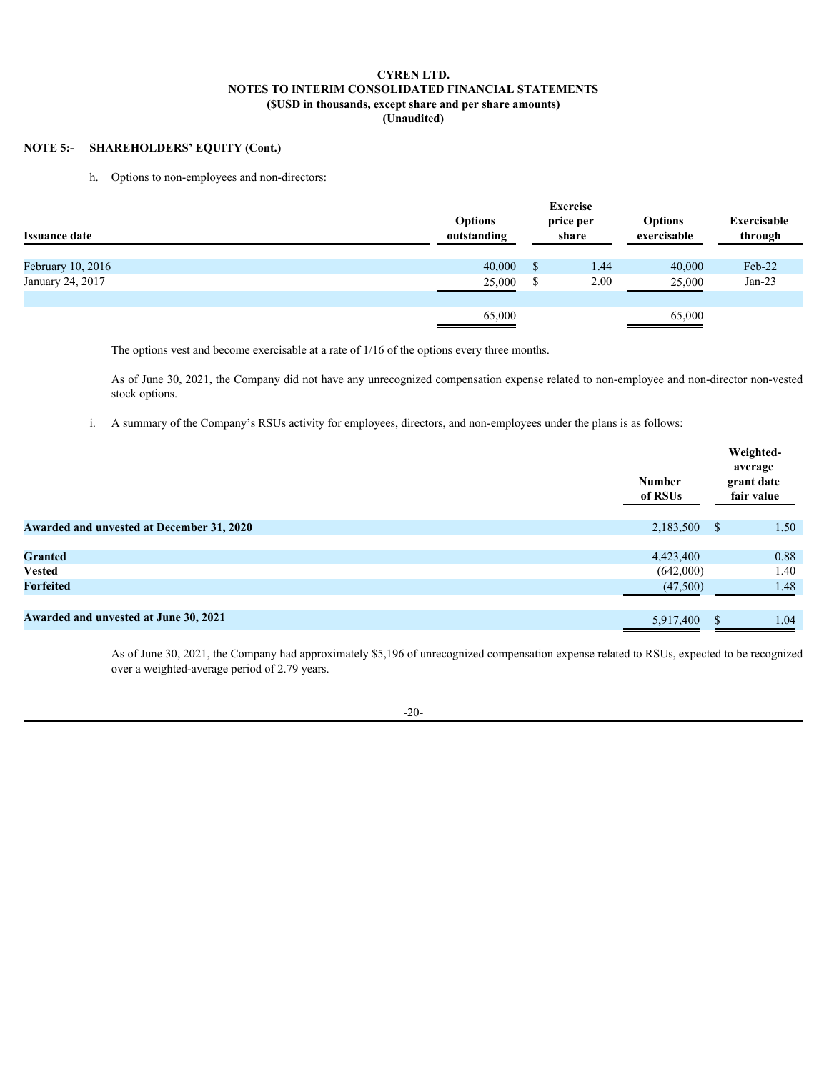## **NOTE 5:- SHAREHOLDERS' EQUITY (Cont.)**

h. Options to non-employees and non-directors:

| <b>Issuance date</b> | <b>Options</b><br>outstanding | <b>Exercise</b><br>price per<br>share |      | Options<br>exercisable | Exercisable<br>through |  |
|----------------------|-------------------------------|---------------------------------------|------|------------------------|------------------------|--|
| February 10, 2016    | 40,000                        |                                       | 1.44 | 40,000                 | Feb-22                 |  |
| January 24, 2017     | 25,000                        |                                       | 2.00 | 25,000                 | $Jan-23$               |  |
|                      |                               |                                       |      |                        |                        |  |
|                      | 65,000                        |                                       |      | 65,000                 |                        |  |

The options vest and become exercisable at a rate of 1/16 of the options every three months.

As of June 30, 2021, the Company did not have any unrecognized compensation expense related to non-employee and non-director non-vested stock options.

i. A summary of the Company's RSUs activity for employees, directors, and non-employees under the plans is as follows:

|                                           | <b>Number</b><br>of RSUs | Weighted-<br>average<br>grant date<br>fair value |  |
|-------------------------------------------|--------------------------|--------------------------------------------------|--|
| Awarded and unvested at December 31, 2020 | 2,183,500 \$             | 1.50                                             |  |
|                                           |                          |                                                  |  |
| <b>Granted</b>                            | 4,423,400                | 0.88                                             |  |
| <b>Vested</b>                             | (642,000)                | 1.40                                             |  |
| <b>Forfeited</b>                          | (47,500)                 | 1.48                                             |  |
|                                           |                          |                                                  |  |
| Awarded and unvested at June 30, 2021     | 5,917,400 \$             | 1.04                                             |  |

As of June 30, 2021, the Company had approximately \$5,196 of unrecognized compensation expense related to RSUs, expected to be recognized over a weighted-average period of 2.79 years.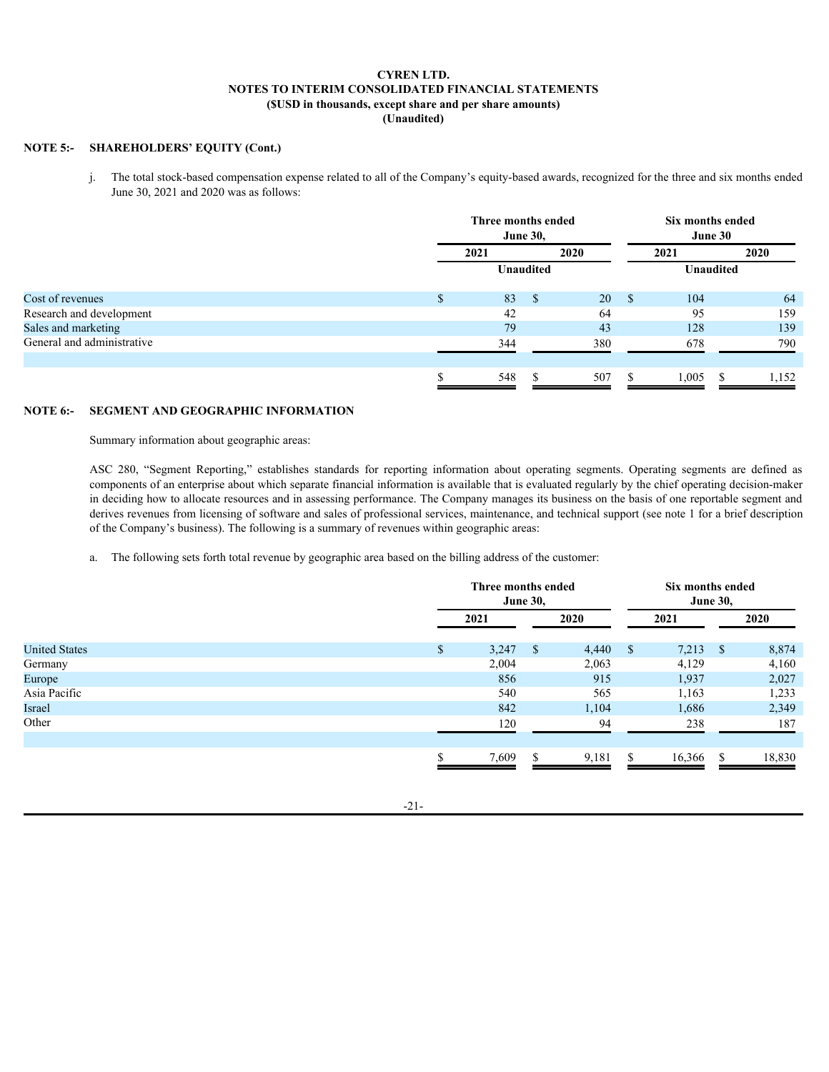## **NOTE 5:- SHAREHOLDERS' EQUITY (Cont.)**

|                     | NOTES TO INTERIM CONSOLIDATED FINANCIAL STATEMENTS<br>(SUSD in thousands, except share and per share amounts)                                                                                                                                                                                                                                                                                                                                                                                                                                                                                                                                                                                                  | <b>CYREN LTD.</b> |                                       |           |     |                             |            |
|---------------------|----------------------------------------------------------------------------------------------------------------------------------------------------------------------------------------------------------------------------------------------------------------------------------------------------------------------------------------------------------------------------------------------------------------------------------------------------------------------------------------------------------------------------------------------------------------------------------------------------------------------------------------------------------------------------------------------------------------|-------------------|---------------------------------------|-----------|-----|-----------------------------|------------|
|                     |                                                                                                                                                                                                                                                                                                                                                                                                                                                                                                                                                                                                                                                                                                                | (Unaudited)       |                                       |           |     |                             |            |
| NOTE $5$ :-         | <b>SHAREHOLDERS' EQUITY (Cont.)</b>                                                                                                                                                                                                                                                                                                                                                                                                                                                                                                                                                                                                                                                                            |                   |                                       |           |     |                             |            |
|                     | The total stock-based compensation expense related to all of the Company's equity-based awards, recognized for the three and six months ended<br>June 30, 2021 and 2020 was as follows:                                                                                                                                                                                                                                                                                                                                                                                                                                                                                                                        |                   |                                       |           |     |                             |            |
|                     |                                                                                                                                                                                                                                                                                                                                                                                                                                                                                                                                                                                                                                                                                                                |                   | Three months ended<br><b>June 30,</b> |           |     | Six months ended<br>June 30 |            |
|                     |                                                                                                                                                                                                                                                                                                                                                                                                                                                                                                                                                                                                                                                                                                                | 2021              |                                       | 2020      |     | 2021                        | 2020       |
|                     |                                                                                                                                                                                                                                                                                                                                                                                                                                                                                                                                                                                                                                                                                                                |                   | Unaudited                             |           |     | <b>Unaudited</b>            |            |
| Cost of revenues    |                                                                                                                                                                                                                                                                                                                                                                                                                                                                                                                                                                                                                                                                                                                | <sup>S</sup>      | 83 \$                                 |           | 20S | 104                         | 64         |
|                     | Research and development                                                                                                                                                                                                                                                                                                                                                                                                                                                                                                                                                                                                                                                                                       |                   | 42                                    | 64        |     | 95                          | 159        |
| Sales and marketing | General and administrative                                                                                                                                                                                                                                                                                                                                                                                                                                                                                                                                                                                                                                                                                     |                   | 79<br>344                             | 43<br>380 |     | 128<br>678                  | 139<br>790 |
|                     |                                                                                                                                                                                                                                                                                                                                                                                                                                                                                                                                                                                                                                                                                                                |                   |                                       |           |     |                             |            |
|                     |                                                                                                                                                                                                                                                                                                                                                                                                                                                                                                                                                                                                                                                                                                                |                   | 548                                   | 507       |     | 1,005                       | 1.152      |
| <b>NOTE 6:-</b>     | SEGMENT AND GEOGRAPHIC INFORMATION                                                                                                                                                                                                                                                                                                                                                                                                                                                                                                                                                                                                                                                                             |                   |                                       |           |     |                             |            |
|                     | Summary information about geographic areas:                                                                                                                                                                                                                                                                                                                                                                                                                                                                                                                                                                                                                                                                    |                   |                                       |           |     |                             |            |
|                     | ASC 280, "Segment Reporting," establishes standards for reporting information about operating segments. Operating segments are defined as<br>components of an enterprise about which separate financial information is available that is evaluated regularly by the chief operating decision-maker<br>in deciding how to allocate resources and in assessing performance. The Company manages its business on the basis of one reportable segment and<br>derives revenues from licensing of software and sales of professional services, maintenance, and technical support (see note 1 for a brief description<br>of the Company's business). The following is a summary of revenues within geographic areas: |                   |                                       |           |     |                             |            |
|                     | The following sets forth total revenue by geographic area based on the billing address of the customer:<br>a.                                                                                                                                                                                                                                                                                                                                                                                                                                                                                                                                                                                                  |                   |                                       |           |     |                             |            |
|                     |                                                                                                                                                                                                                                                                                                                                                                                                                                                                                                                                                                                                                                                                                                                |                   |                                       |           |     |                             |            |

## **NOTE 6:- SEGMENT AND GEOGRAPHIC INFORMATION**

|                      |                    | Three months ended<br><b>June 30,</b> |             |       | Six months ended<br><b>June 30,</b> |            |  |        |  |
|----------------------|--------------------|---------------------------------------|-------------|-------|-------------------------------------|------------|--|--------|--|
|                      |                    | 2021                                  |             | 2020  |                                     | 2021       |  | 2020   |  |
| <b>United States</b> | $\mathbf{\hat{S}}$ | 3,247                                 | $\mathbf S$ | 4,440 | -S                                  | $7,213$ \$ |  | 8,874  |  |
| Germany              |                    | 2,004                                 |             | 2,063 |                                     | 4,129      |  | 4,160  |  |
| Europe               |                    | 856                                   |             | 915   |                                     | 1,937      |  | 2,027  |  |
| Asia Pacific         |                    | 540                                   |             | 565   |                                     | 1,163      |  | 1,233  |  |
| Israel               |                    | 842                                   |             | 1,104 |                                     | 1,686      |  | 2,349  |  |
| Other                |                    | 120                                   |             | 94    |                                     | 238        |  | 187    |  |
|                      |                    |                                       |             |       |                                     |            |  |        |  |
|                      |                    | 7,609                                 |             | 9,181 |                                     | 16,366     |  | 18,830 |  |

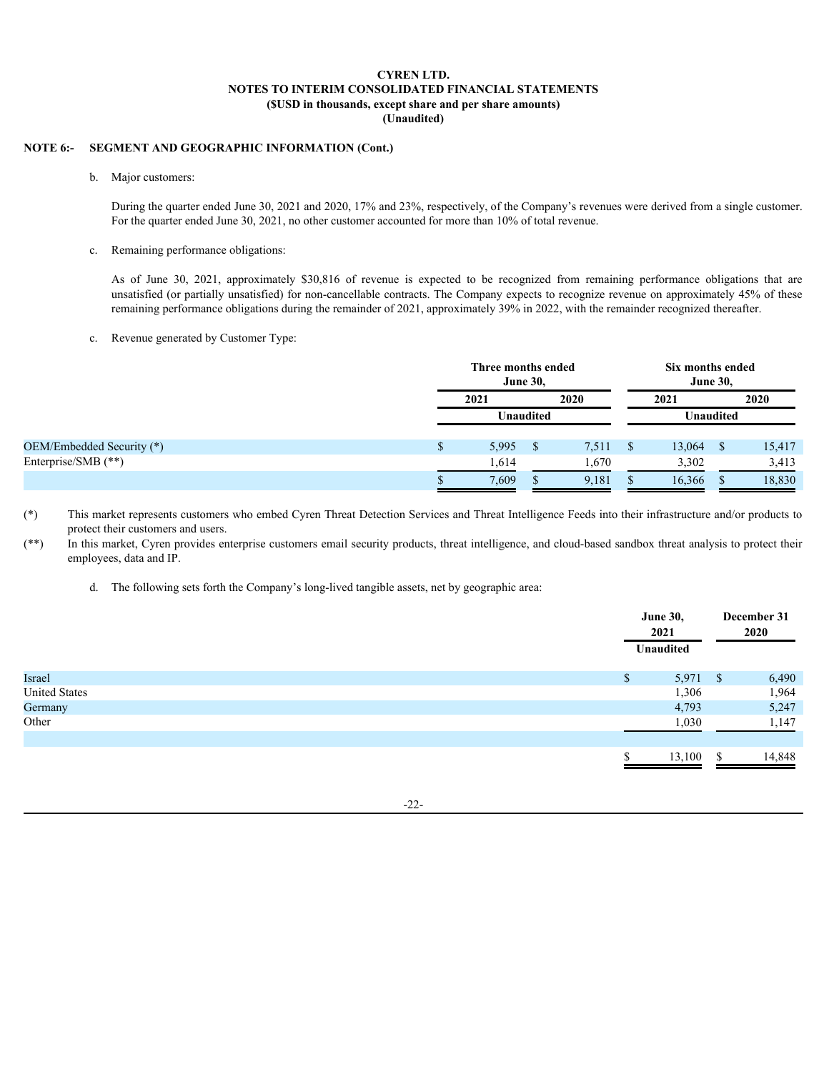## **NOTE 6:- SEGMENT AND GEOGRAPHIC INFORMATION (Cont.)**

b. Major customers:

During the quarter ended June 30, 2021 and 2020, 17% and 23%, respectively, of the Company's revenues were derived from a single customer. For the quarter ended June 30, 2021, no other customer accounted for more than 10% of total revenue.

c. Remaining performance obligations:

**EXEN LTD.** CYREN LTD.<br>
(SUSD in thousnads, except share and per share amounts)<br>
(Chaudited)<br>
(Chaudited)<br>
MAS OF AS AS THE CONSOLUTION (Cont.)<br>
Diator customers the quarter ended June 30, 2021 and 2020. 17% and 23%, resp unsatisfied (or partially unsatisfied) for non-cancellable contracts. The Company expects to recognize revenue on approximately 45% of these remaining performance obligations during the remainder of 2021, approximately 39% in 2022, with the remainder recognized thereafter.

c. Revenue generated by Customer Type:

|                           | Three months ended<br><b>June 30,</b> |  | Six months ended<br><b>June 30,</b> |           |             |  |        |  |
|---------------------------|---------------------------------------|--|-------------------------------------|-----------|-------------|--|--------|--|
|                           | 2021                                  |  | 2020                                |           | 2021        |  | 2020   |  |
|                           | <b>Unaudited</b>                      |  |                                     | Unaudited |             |  |        |  |
| OEM/Embedded Security (*) | 5,995                                 |  | 7,511                               |           | $13,064$ \$ |  | 15,417 |  |
| Enterprise/SMB (**)       | 1,614                                 |  | 1,670                               |           | 3,302       |  | 3,413  |  |
|                           | 7,609                                 |  | 9,181                               |           | 16,366      |  | 18,830 |  |

(\*) This market represents customers who embed Cyren Threat Detection Services and Threat Intelligence Feeds into their infrastructure and/or products to protect their customers and users.

(\*\*) In this market, Cyren provides enterprise customers email security products, threat intelligence, and cloud-based sandbox threat analysis to protect their employees, data and IP.

d. The following sets forth the Company's long-lived tangible assets, net by geographic area:

|                      | <b>June 30,</b><br>2021 | December 31<br>2020 |                               |
|----------------------|-------------------------|---------------------|-------------------------------|
|                      | <b>Unaudited</b>        |                     |                               |
| Israel               | $5,971$ \$              |                     | $6,490$<br>$1,964$<br>$5,247$ |
| <b>United States</b> | 1,306                   |                     |                               |
| Germany              | 4,793                   |                     |                               |
| Other                | 1,030                   |                     | 1,147                         |
|                      | 13,100                  | $\mathcal{S}$       | 14,848                        |

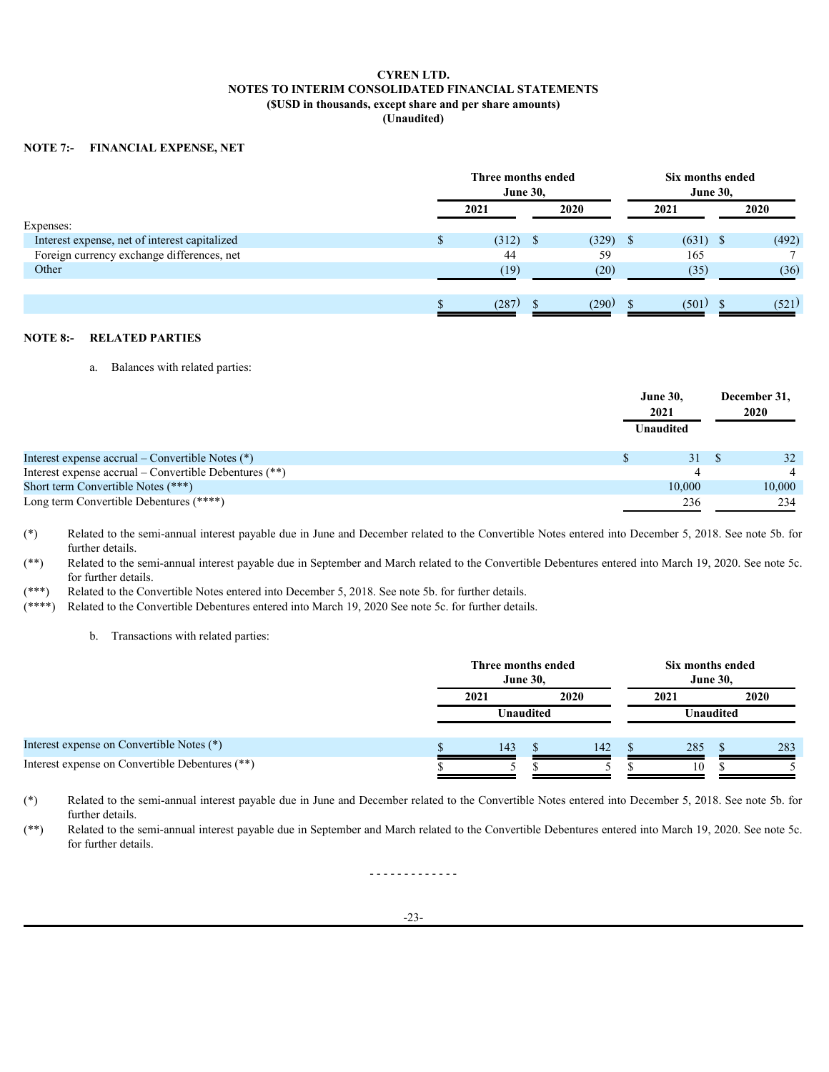## **NOTE 7:- FINANCIAL EXPENSE, NET**

|                                               | Three months ended | <b>June 30,</b> |            |  | Six months ended<br><b>June 30,</b> |  |       |  |
|-----------------------------------------------|--------------------|-----------------|------------|--|-------------------------------------|--|-------|--|
|                                               | 2021               |                 | 2020       |  | 2021                                |  | 2020  |  |
| Expenses:                                     |                    |                 |            |  |                                     |  |       |  |
| Interest expense, net of interest capitalized | $(312)$ \$         |                 | $(329)$ \$ |  | $(631)$ \$                          |  | (492) |  |
| Foreign currency exchange differences, net    | 44                 |                 | 59         |  | 165                                 |  |       |  |
| Other                                         | (19)               |                 | (20)       |  | (35)                                |  | (36)  |  |
|                                               |                    |                 |            |  |                                     |  |       |  |
|                                               | (287)              |                 | (290)      |  | (501)                               |  | (521) |  |
|                                               |                    |                 |            |  |                                     |  |       |  |

## **NOTE 8:- RELATED PARTIES**

a. Balances with related parties:

|                                                        | <b>June 30,</b><br>2021 |                  | December 31,<br>2020 |        |
|--------------------------------------------------------|-------------------------|------------------|----------------------|--------|
|                                                        |                         | <b>Unaudited</b> |                      |        |
| Interest expense accrual – Convertible Notes (*)       |                         | $31 \quad$       |                      | 32     |
| Interest expense accrual – Convertible Debentures (**) |                         |                  |                      |        |
| Short term Convertible Notes (***)                     |                         | 10,000           |                      | 10,000 |
| Long term Convertible Debentures (****)                |                         | 236              |                      | 234    |

(\*) Related to the semi-annual interest payable due in June and December related to the Convertible Notes entered into December 5, 2018. See note 5b. for further details.

(\*\*) Related to the semi-annual interest payable due in September and March related to the Convertible Debentures entered into March 19, 2020. See note 5c. for further details.

(\*\*\*) Related to the Convertible Notes entered into December 5, 2018. See note 5b. for further details.

(\*\*\*\*) Related to the Convertible Debentures entered into March 19, 2020 See note 5c. for further details.

b. Transactions with related parties:

|                                                 | Three months ended<br><b>June 30,</b> |           |     |  |           | Six months ended<br><b>June 30,</b> |     |  |  |  |
|-------------------------------------------------|---------------------------------------|-----------|-----|--|-----------|-------------------------------------|-----|--|--|--|
|                                                 | 2021                                  |           |     |  | 2021      | 2020                                |     |  |  |  |
|                                                 |                                       | Unaudited |     |  | Unaudited |                                     |     |  |  |  |
| Interest expense on Convertible Notes (*)       | 143                                   |           | 142 |  | 285       |                                     | 283 |  |  |  |
| Interest expense on Convertible Debentures (**) |                                       |           |     |  | 10        |                                     |     |  |  |  |

(\*) Related to the semi-annual interest payable due in June and December related to the Convertible Notes entered into December 5, 2018. See note 5b. for further details.

(\*\*) Related to the semi-annual interest payable due in September and March related to the Convertible Debentures entered into March 19, 2020. See note 5c. for further details.

- - - - - - - - - - - - -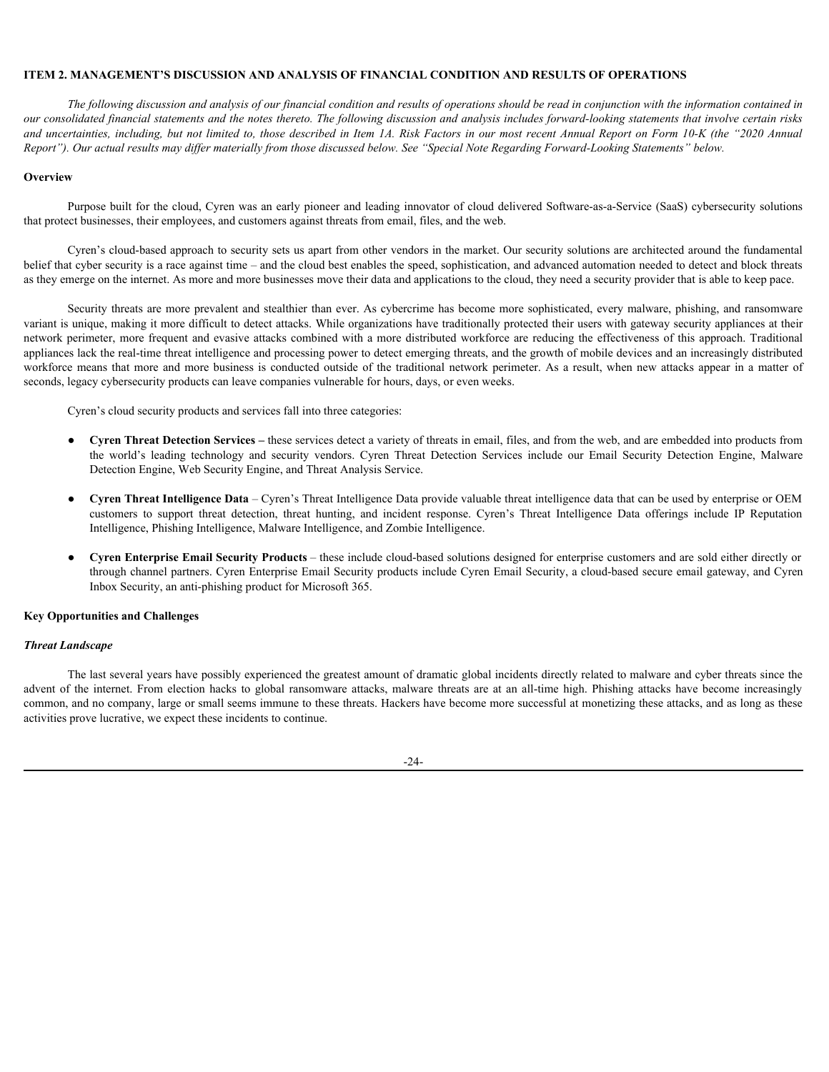### <span id="page-25-0"></span>**ITEM 2. MANAGEMENT'S DISCUSSION AND ANALYSIS OF FINANCIAL CONDITION AND RESULTS OF OPERATIONS**

*The following discussion and analysis of our financial condition and results of operations should be read in conjunction with the information contained in our consolidated financial statements and the notes thereto. The following discussion and analysis includes forward-looking statements that involve certain risks and uncertainties, including, but not limited to, those described in Item 1A. Risk Factors in our most recent Annual Report on Form 10-K (the "2020 Annual Report"). Our actual results may differ materially from those discussed below. See "Special Note Regarding Forward-Looking Statements" below.* 

#### **Overview Overview** *Overview*

Purpose built for the cloud, Cyren was an early pioneer and leading innovator of cloud delivered Software-as-a-Service (SaaS) cybersecurity solutions that protect businesses, their employees, and customers against threats from email, files, and the web.

Cyren's cloud-based approach to security sets us apart from other vendors in the market. Our security solutions are architected around the fundamental belief that cyber security is a race against time – and the cloud best enables the speed, sophistication, and advanced automation needed to detect and block threats as they emerge on the internet. As more and more businesses move their data and applications to the cloud, they need a security provider that is able to keep pace.

Security threats are more prevalent and stealthier than ever. As cybercrime has become more sophisticated, every malware, phishing, and ransomware variant is unique, making it more difficult to detect attacks. While organizations have traditionally protected their users with gateway security appliances at their network perimeter, more frequent and evasive attacks combined with a more distributed workforce are reducing the effectiveness of this approach. Traditional appliances lack the real-time threat intelligence and processing power to detect emerging threats, and the growth of mobile devices and an increasingly distributed **ITEM 2. MANIGEMENT'S DISCUSSION AND ANALYSIS OF FINANCIAL CONDITION AND RESULTS OF OPERATIONS**<br>
The following discussion and and/axis of our fluored conduction ond results of poperation should be read in conjunctions; in seconds, legacy cybersecurity products can leave companies vulnerable for hours, days, or even weeks. NAGEMENTS DISCUSSION AND ANALYSIS OF FINANCIAL CONDITION AND RESULTS OF OPERATIONS<br>informing distances and new strong our consistent condition and results of inprovintions should be read in conjunction with the reference **EXCEMENT'S DISCUSSION AND ANALYSIS OF FINANCIAL CONDITION AND RESULTS OF OPERATIONS**<br> *Columbus discussion and analysis of our Poincilia condition and regular out and our properties and the molecule or reach temperature* Cyers (which has a approximate to the malware internet of the male of the results of the state of the internet of the internet of the internet of the internet of the internet of the internet of the control of the state of

Cyren's cloud security products and services fall into three categories:

- **Cyren Threat Detection Services** these services detect a variety of threats in email, files, and from the web, and are embedded into products from Detection Engine, Web Security Engine, and Threat Analysis Service.
- **Cyren Threat Intelligence Data**  Cyren's Threat Intelligence Data provide valuable threat intelligence data that can be used by enterprise or OEM Intelligence, Phishing Intelligence, Malware Intelligence, and Zombie Intelligence.
- **Cyren Enterprise Email Security Products** these include cloud-based solutions designed for enterprise customers and are sold either directly or through channel partners. Cyren Enterprise Email Security products include Cyren Email Security, a cloud-based secure email gateway, and Cyren Inbox Security, an anti-phishing product for Microsoft 365.

### **Key Opportunities and Challenges**

#### *Threat Landscape*

The last several years have possibly experienced the greatest amount of dramatic global incidents directly related to malware and cyber threats since the common, and no company, large or small seems immune to these threats. Hackers have become more successful at monetizing these attacks, and as long as these activities prove lucrative, we expect these incidents to continue.

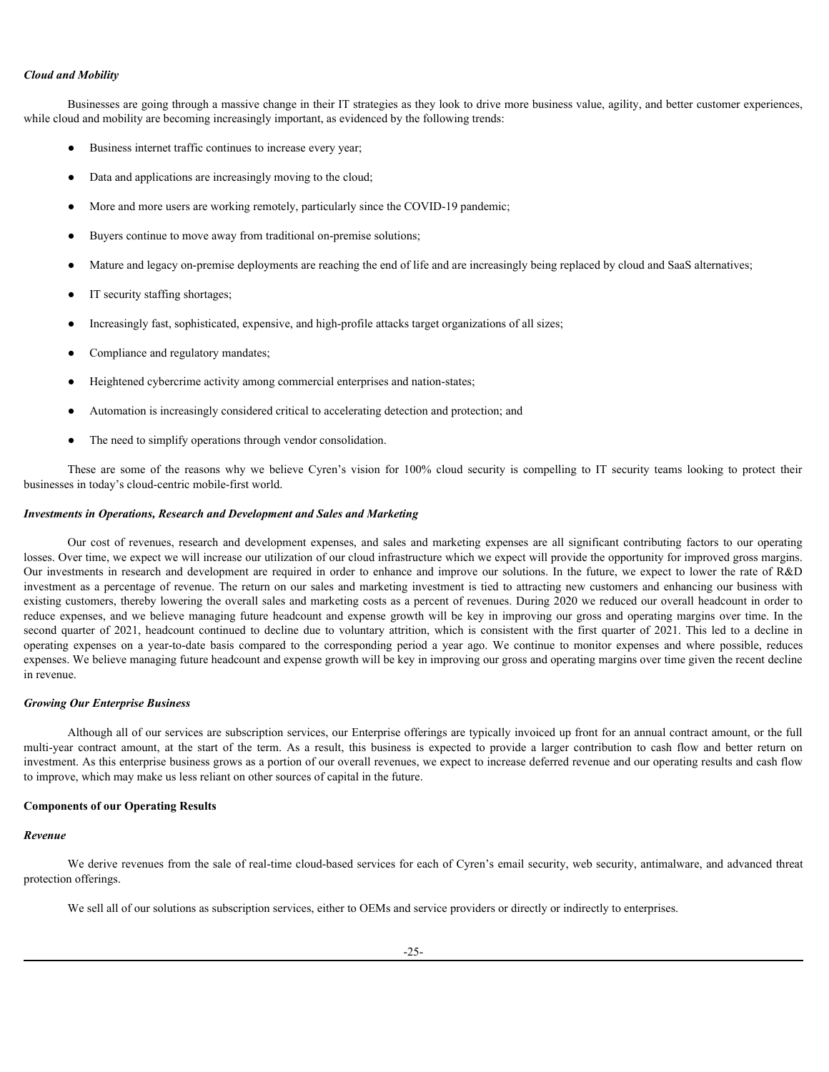### *Cloud and Mobility*

Businesses are going through a massive change in their IT strategies as they look to drive more business value, agility, and better customer experiences, while cloud and mobility are becoming increasingly important, as evidenced by the following trends:

- Business internet traffic continues to increase every year;
- Data and applications are increasingly moving to the cloud;
- More and more users are working remotely, particularly since the COVID-19 pandemic;
- Buyers continue to move away from traditional on-premise solutions;
- Mature and legacy on-premise deployments are reaching the end of life and are increasingly being replaced by cloud and SaaS alternatives;
- IT security staffing shortages;
- Increasingly fast, sophisticated, expensive, and high-profile attacks target organizations of all sizes;
- Compliance and regulatory mandates;
- Heightened cybercrime activity among commercial enterprises and nation-states;
- Automation is increasingly considered critical to accelerating detection and protection; and
- The need to simplify operations through vendor consolidation.

businesses in today's cloud-centric mobile-first world.

#### *Investments in Operations, Research and Development and Sales and Marketing*

*MAGhllity*<br> **Business are going through a massive change in their IT strategies as they look to drive more business value, agility, and better canonine experiences.<br>
• Business interact traffic continues to increase eve** Dustriess are going through a massive change in their T structules a they book to drive more business value, agilty, and better customer experiences,<br>
• Business internet traffic continues to increase every year.<br>
• Dustri losses. Over time, we expect we will increase our utilization of our cloud infrastructure which we expect will provide the opportunity for improved gross margins. 9 Business internet ratific continues to increase every year,<br>
9 Dust and applications are increasingly moving to the cloud.<br>
9 More and runs means are working remembely, periodially since the COVID-19 partierns;<br>
9 Hope investment as a percentage of revenue. The return on our sales and marketing investment is tied to attracting new customers and enhancing our business with existing customers, thereby lowering the overall sales and marketing costs as a percent of revenues. During 2020 we reduced our overall headcount in order to **•** Data and applications are increasingly meent to headcount and experiments as the distinct stations.<br>
• Moto can now be a more every form includious de-spension sharions:<br>
• Moto can all appey on promine deployments a • More and more users are wouking censurely, particularly since the COVID-19 pandemic.<br>
• Beyers continue to move away from traditional on-permiss abutions:<br>
• Matur and legacy on primine deployments are reaching the en • More and nore users are working crossely, particularly since the COVID-19 paradenic.<br>
• Buyers continue to move away from traditional on-persis solutions:<br>
• Harta and legacy on premise topicyments are reaching the onl expenses. We believe managing future headcount and expense growth will be key in improving our gross and operating margins over time given the recent decline in revenue. • Increasingly fract specifiest, expersive, and high-postile aniced started validary.<br>
• Compliance and requisitions amount of the started results and amount of the started in the started in the started in the started in

#### *Growing Our Enterprise Business*

Although all of our services are subscription services, our Enterprise offerings are typically invoiced up front for an annual contract amount, or the full investment. As this enterprise business grows as a portion of our overall revenues, we expect to increase deferred revenue and our operating results and cash flow to improve, which may make us less reliant on other sources of capital in the future.

#### **Components of our Operating Results**

#### *Revenue*

We derive revenues from the sale of real-time cloud-based services for each of Cyren's email security, web security, antimalware, and advanced threat protection offerings.

We sell all of our solutions as subscription services, either to OEMs and service providers or directly or indirectly to enterprises.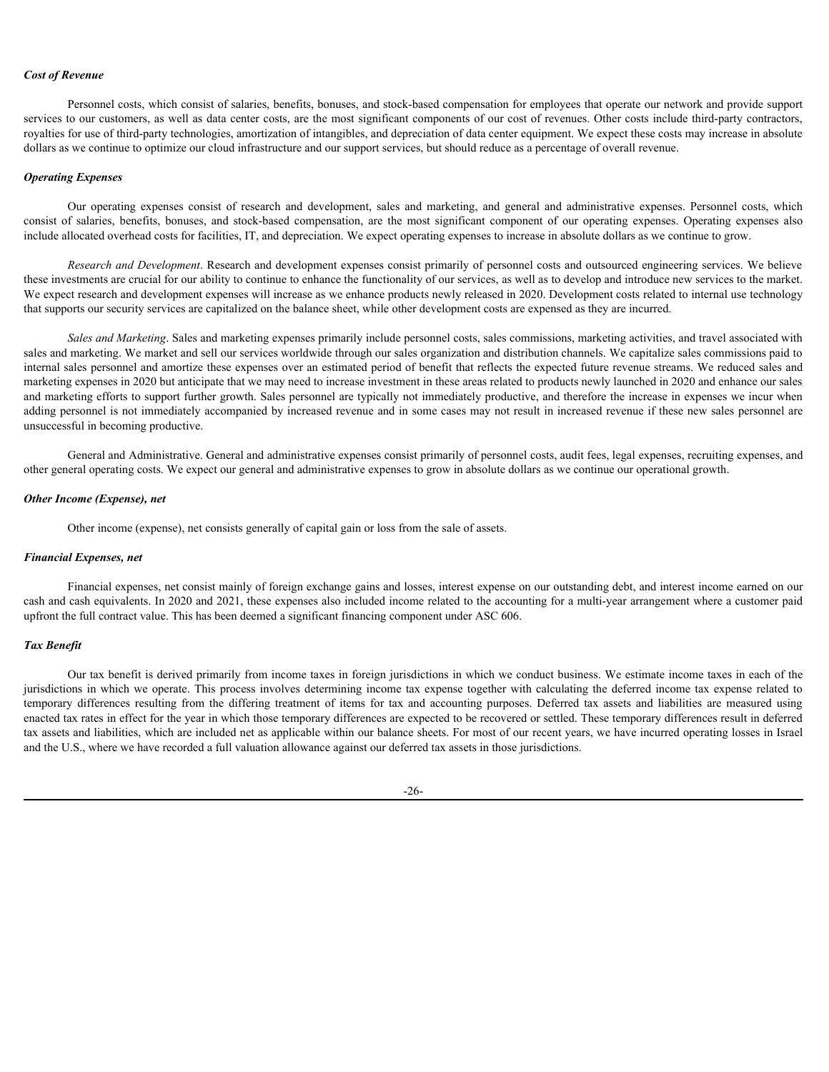### *Cost of Revenue*

Personnel costs, which consist of salaries, benefits, bonuses, and stock-based compensation for employees that operate our network and provide support services to our customers, as well as data center costs, are the most significant components of our cost of revenues. Other costs include third-party contractors, royalties for use of third-party technologies, amortization of intangibles, and depreciation of data center equipment. We expect these costs may increase in absolute dollars as we continue to optimize our cloud infrastructure and our support services, but should reduce as a percentage of overall revenue. **Everance**<br> **Personnel costs, which consist of salaries, benefits, bonuses, and stock-based compensation for employees that operate our network and provide support<br>
Our or customers, as well as data center costs, are the m Cost of Revenue**<br>
Personnel costs, which consist of salaries, benefits, bonuess, and stock-based compensation for employees that operate our network and provide support<br>
crytuces to our customers, as well as data center

## *Operating Expenses*

include allocated overhead costs for facilities, IT, and depreciation. We expect operating expenses to increase in absolute dollars as we continue to grow.

*Research and Development*. Research and development expenses consist primarily of personnel costs and outsourced engineering services. We believe these investments are crucial for our ability to continue to enhance the functionality of our services, as well as to develop and introduce new services to the market. We expect research and development expenses will increase as we enhance products newly released in 2020. Development costs related to internal use technology that supports our security services are capitalized on the balance sheet, while other development costs are expensed as they are incurred.

*Sales and Marketing*. Sales and marketing expenses primarily include personnel costs, sales commissions, marketing activities, and travel associated with sales and marketing. We market and sell our services worldwide through our sales organization and distribution channels. We capitalize sales commissions paid to internal sales personnel and amortize these expenses over an estimated period of benefit that reflects the expected future revenue streams. We reduced sales and marketing expenses in 2020 but anticipate that we may need to increase investment in these areas related to products newly launched in 2020 and enhance our sales and marketing efforts to support further growth. Sales personnel are typically not immediately productive, and therefore the increase in expenses we incur when adding personnel is not immediately accompanied by increased revenue and in some cases may not result in increased revenue if these new sales personnel are unsuccessful in becoming productive. Record and Developeraty. Resulted and the disposite results principal reports are the most of the most of the street of the street of the street of the street of the street of the street of the street in the street in the

General and Administrative. General and administrative expenses consist primarily of personnel costs, audit fees, legal expenses, recruiting expenses, and other general operating costs. We expect our general and administrative expenses to grow in absolute dollars as we continue our operational growth.

#### *Other Income (Expense), net*

Other income (expense), net consists generally of capital gain or loss from the sale of assets.

## *Financial Expenses, net*

Financial expenses, net consist mainly of foreign exchange gains and losses, interest expense on our outstanding debt, and interest income earned on our cash and cash equivalents. In 2020 and 2021, these expenses also included income related to the accounting for a multi-year arrangement where a customer paid upfront the full contract value. This has been deemed a significant financing component under ASC 606.

#### *Tax Benefit*

Our tax benefit is derived primarily from income taxes in foreign jurisdictions in which we conduct business. We estimate income taxes in each of the jurisdictions in which we operate. This process involves determining income tax expense together with calculating the deferred income tax expense related to enacted tax rates in effect for the year in which those temporary differences are expected to be recovered or settled. These temporary differences result in deferred tax assets and liabilities, which are included net as applicable within our balance sheets. For most of our recent years, we have incurred operating losses in Israel and the U.S., where we have recorded a full valuation allowance against our deferred tax assets in those jurisdictions.

#### -26-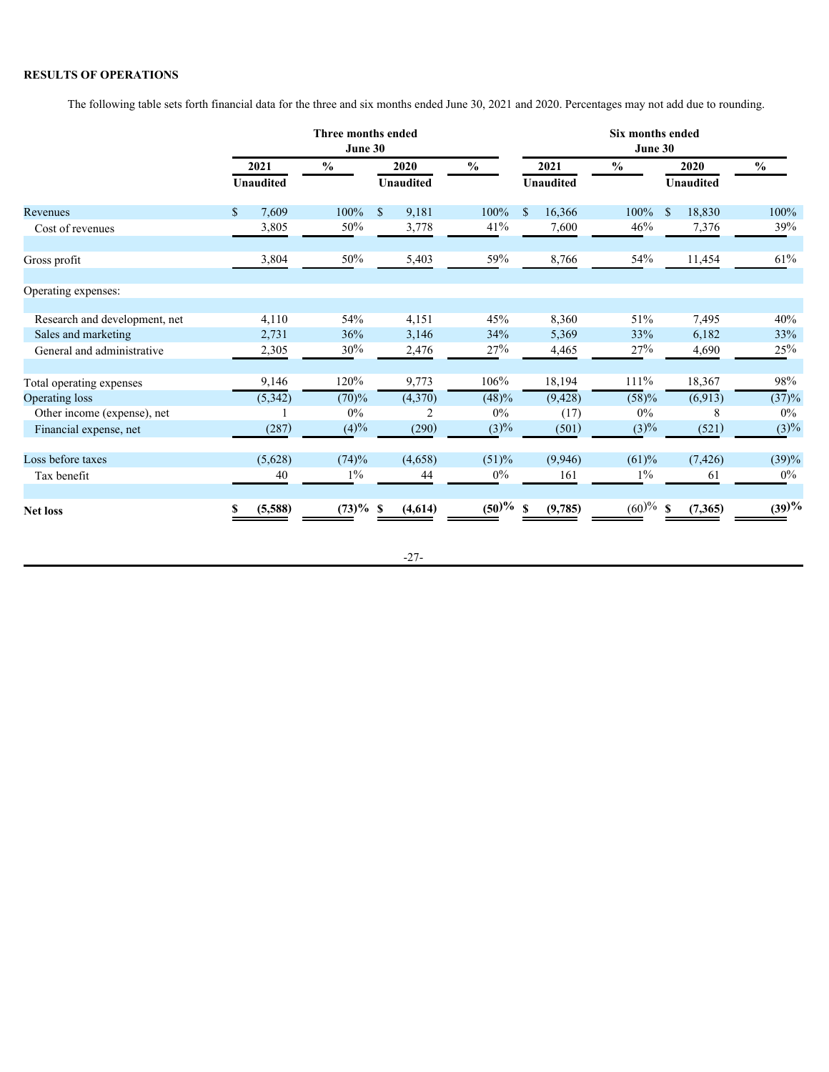# **RESULTS OF OPERATIONS**

The following table sets forth financial data for the three and six months ended June 30, 2021 and 2020. Percentages may not add due to rounding.

|                               |                          |               | Six months ended<br>June 30 |                |                   |                 |                   |         |
|-------------------------------|--------------------------|---------------|-----------------------------|----------------|-------------------|-----------------|-------------------|---------|
|                               | 2021<br><b>Unaudited</b> | $\frac{0}{0}$ | 2020<br><b>Unaudited</b>    | $\frac{6}{10}$ | 2021<br>Unaudited | $\frac{0}{0}$   | 2020<br>Unaudited | $\%$    |
| Revenues                      | 7,609<br>$\mathbf{S}$    | 100%          | 9,181<br>-SS                | 100%           | 16,366<br>- 8     | $100\%$ \$      | 18,830            | 100%    |
| Cost of revenues              | 3,805                    | 50%           | 3,778                       | 41%            | 7,600             | 46%             | 7,376             | 39%     |
| Gross profit                  | 3,804                    | 50%           | 5,403                       | 59%            | 8,766             | 54%             | 11,454            | 61%     |
| Operating expenses:           |                          |               |                             |                |                   |                 |                   |         |
| Research and development, net | 4,110                    | 54%           | 4,151                       | 45%            | 8,360             | 51%             | 7,495             | 40%     |
| Sales and marketing           | 2,731                    | 36%           | 3,146                       | 34%            | 5,369             | 33%             | 6,182             | 33%     |
| General and administrative    | 2,305                    | 30%           | 2,476                       | 27%            | 4,465             | 27%             | 4,690             | 25%     |
| Total operating expenses      | 9,146                    | 120%          | 9,773                       | 106%           | 18,194            | 111%            | 18,367            | 98%     |
| Operating loss                | (5,342)                  | (70)%         | (4,370)                     | (48)%          | (9, 428)          | (58)%           | (6,913)           | (37)%   |
| Other income (expense), net   |                          | $0\%$         |                             | $0\%$          | (17)              | $0\%$           | 8                 | $0\%$   |
| Financial expense, net        | (287)                    | (4)%          | (290)                       | $(3)\%$        | (501)             | $(3)\%$         | (521)             | $(3)\%$ |
| Loss before taxes             | (5,628)                  | (74)%         | (4,658)                     | (51)%          | (9,946)           | (61)%           | (7, 426)          | (39)%   |
| Tax benefit                   | 40                       | $1\%$         | 44                          | $0\%$          | 161               | $1\%$           | 61                | $0\%$   |
| Net loss                      | (5,588)                  | $(73) \%$ \$  | (4,614)                     | $(50) \%$      | (9,785)<br>SS.    | $(60)^{0/6}$ \$ | (7,365)           | (39)%   |

-27-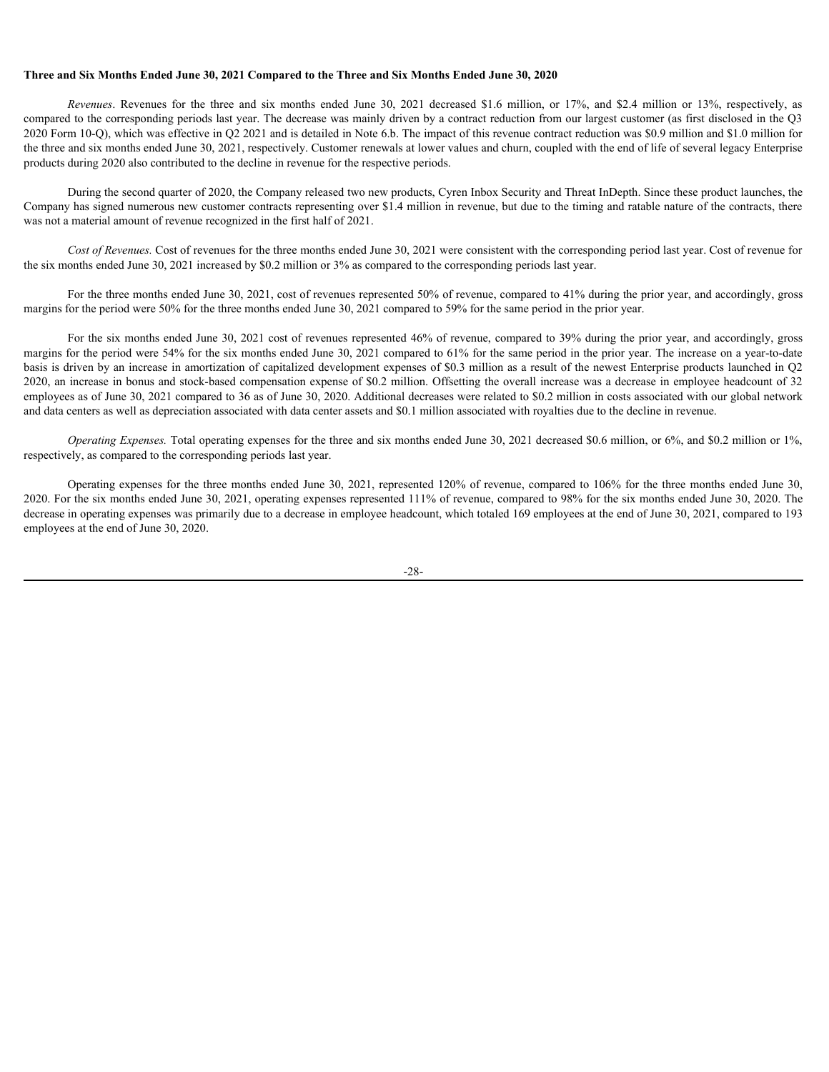## **Three and Six Months Ended June 30, 2021 Compared to the Three and Six Months Ended June 30, 2020**

*Revenues*. Revenues for the three and six months ended June 30, 2021 decreased \$1.6 million, or 17%, and \$2.4 million or 13%, respectively, as it to the corresponding periods last year. The decrease was mainly driven by a compared to the corresponding periods last year. The decrease was mainly driven by a contract reduction from our largest customer (as first disclosed in the Q3 2020 Form 10-Q), which was effective in Q2 2021 and is detailed in Note 6.b. The impact of this revenue contract reduction was \$0.9 million and \$1.0 million for the three and six months ended June 30, 2021, respectively. Customer renewals at lower values and churn, coupled with the end of life of several legacy Enterprise products during 2020 also contributed to the decline in revenue for the respective periods.

During the second quarter of 2020, the Company released two new products, Cyren Inbox Security and Threat InDepth. Since these product launches, the Company has signed numerous new customer contracts representing over \$1.4 million in revenue, but due to the timing and ratable nature of the contracts, there was not a material amount of revenue recognized in the first half of 2021.

*Cost of Revenues.* Cost of revenues for the three months ended June 30, 2021 were consistent with the corresponding period last year. Cost of revenue for the six months ended June 30, 2021 increased by \$0.2 million or 3% as compared to the corresponding periods last year.

For the three months ended June 30, 2021, cost of revenues represented 50% of revenue, compared to 41% during the prior year, and accordingly, gross margins for the period were 50% for the three months ended June 30, 2021 compared to 59% for the same period in the prior year.

For the six months ended June 30, 2021 cost of revenues represented 46% of revenue, compared to 39% during the prior year, and accordingly, gross margins for the period were 54% for the six months ended June 30, 2021 compared to 61% for the same period in the prior year. The increase on a year-to-date basis is driven by an increase in amortization of capitalized development expenses of \$0.3 million as a result of the newest Enterprise products launched in Q2 2020, an increase in bonus and stock-based compensation expense of \$0.2 million. Offsetting the overall increase was a decrease in employee headcount of 32 employees as of June 30, 2021 compared to 36 as of June 30, 2020. Additional decreases were related to \$0.2 million in costs associated with our global network and data centers as well as depreciation associated with data center assets and \$0.1 million associated with royalties due to the decline in revenue.

*Operating Expenses.* Total operating expenses for the three and six months ended June 30, 2021 decreased \$0.6 million, or 6%, and \$0.2 million or 1%, respectively, as compared to the corresponding periods last year.

Operating expenses for the three months ended June 30, 2021, represented 120% of revenue, compared to 106% for the three months ended June 30, 2020. For the six months ended June 30, 2021, operating expenses represented 111% of revenue, compared to 98% for the six months ended June 30, 2020. The decrease in operating expenses was primarily due to a decrease in employee headcount, which totaled 169 employees at the end of June 30, 2021, compared to 193 employees at the end of June 30, 2020.

-28-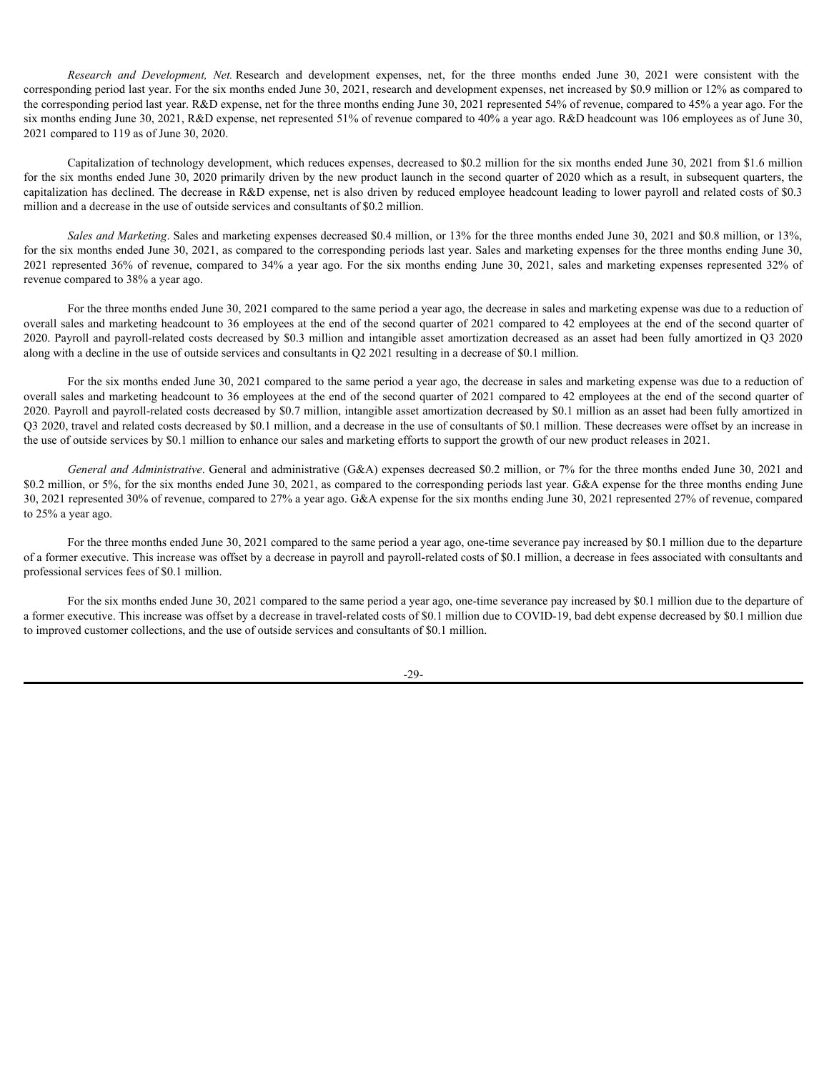*Research and Development, Net.* Research and development expenses, net, for the three months ended June 30, 2021 were consistent with the diding period last year. For the six months ended June 30, 2021, research and devel corresponding period last year. For the six months ended June 30, 2021, research and development expenses, net increased by \$0.9 million or 12% as compared to the corresponding period last year. R&D expense, net for the three months ending June 30, 2021 represented 54% of revenue, compared to 45% a year ago. For the six months ending June 30, 2021, R&D expense, net represented 51% of revenue compared to 40% a year ago. R&D headcount was 106 employees as of June 30, 2021 compared to 119 as of June 30, 2020. Research and Development. Net. Research and development expenses, net, for the three months ended June 30, 2021 were consistent with the hororsponding period is a year. For for six months ended han 90, 2021, research and

Capitalization of technology development, which reduces expenses, decreased to \$0.2 million for the six months ended June 30, 2021 from \$1.6 million for the six months ended June 30, 2020 primarily driven by the new product launch in the second quarter of 2020 which as a result, in subsequent quarters, the capitalization has declined. The decrease in R&D expense, net is also driven by reduced employee headcount leading to lower payroll and related costs of \$0.3 million and a decrease in the use of outside services and consultants of \$0.2 million.

*Sales and Marketing*. Sales and marketing expenses decreased \$0.4 million, or 13% for the three months ended June 30, 2021 and \$0.8 million, or 13%, for the six months ended June 30, 2021, as compared to the corresponding periods last year. Sales and marketing expenses for the three months ending June 30, revenue compared to 38% a year ago.

For the three months ended June 30, 2021 compared to the same period a year ago, the decrease in sales and marketing expense was due to a reduction of overall sales and marketing headcount to 36 employees at the end of the second quarter of 2021 compared to 42 employees at the end of the second quarter of 2020. Payroll and payroll-related costs decreased by \$0.3 million and intangible asset amortization decreased as an asset had been fully amortized in Q3 2020 along with a decline in the use of outside services and consultants in Q2 2021 resulting in a decrease of \$0.1 million.

For the six months ended June 30, 2021 compared to the same period a year ago, the decrease in sales and marketing expense was due to a reduction of overall sales and marketing headcount to 36 employees at the end of the second quarter of 2021 compared to 42 employees at the end of the second quarter of 2020. Payroll and payroll-related costs decreased by \$0.7 million, intangible asset amortization decreased by \$0.1 million as an asset had been fully amortized in Q3 2020, travel and related costs decreased by \$0.1 million, and a decrease in the use of consultants of \$0.1 million. These decreases were offset by an increase in the use of outside services by \$0.1 million to enhance our sales and marketing efforts to support the growth of our new product releases in 2021.

*General and Administrative*. General and administrative (G&A) expenses decreased \$0.2 million, or 7% for the three months ended June 30, 2021 and \$0.2 million, or 5%, for the six months ended June 30, 2021, as compared to the corresponding periods last year. G&A expense for the three months ending June 30, 2021 represented 30% of revenue, compared to 27% a year ago. G&A expense for the six months ending June 30, 2021 represented 27% of revenue, compared to 25% a year ago.

For the three months ended June 30, 2021 compared to the same period a year ago, one-time severance pay increased by \$0.1 million due to the departure of a former executive. This increase was offset by a decrease in payroll and payroll-related costs of \$0.1 million, a decrease in fees associated with consultants and professional services fees of \$0.1 million.

For the six months ended June 30, 2021 compared to the same period a year ago, one-time severance pay increased by \$0.1 million due to the departure of a former executive. This increase was offset by a decrease in travel-related costs of \$0.1 million due to COVID-19, bad debt expense decreased by \$0.1 million due to improved customer collections, and the use of outside services and consultants of \$0.1 million.

-29-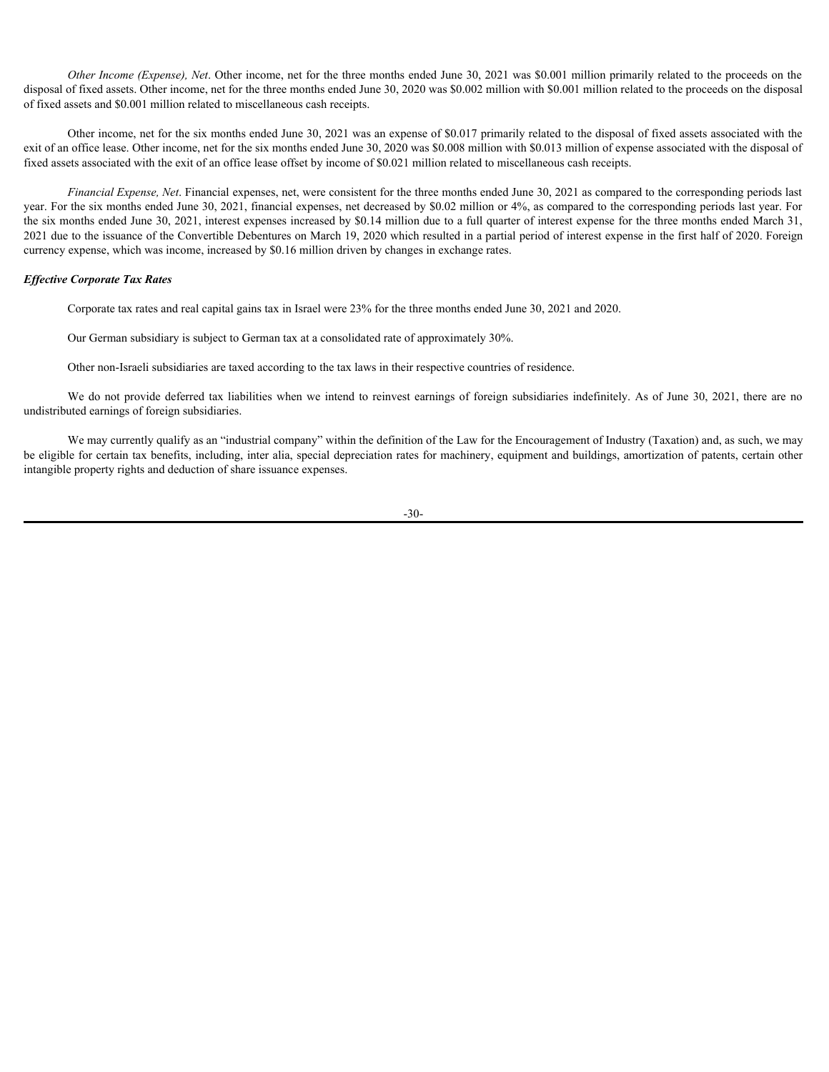*Other Income (Expense), Net*. Other income, net for the three months ended June 30, 2021 was \$0.001 million primarily related to the proceeds on the disposal of fixed assets. Other income, net for the three months ended June 30, 2020 was \$0.002 million with \$0.001 million related to the proceeds on the disposal of fixed assets and \$0.001 million related to miscellaneous cash receipts.

Other income, net for the six months ended June 30, 2021 was an expense of \$0.017 primarily related to the disposal of fixed assets associated with the exit of an office lease. Other income, net for the six months ended June 30, 2020 was \$0.008 million with \$0.013 million of expense associated with the disposal of fixed assets associated with the exit of an office lease offset by income of \$0.021 million related to miscellaneous cash receipts.

*Financial Expense, Net*. Financial expenses, net, were consistent for the three months ended June 30, 2021 as compared to the corresponding periods last year. For the six months ended June 30, 2021, financial expenses, net decreased by \$0.02 million or 4%, as compared to the corresponding periods last year. For the six months ended June 30, 2021, interest expenses increased by \$0.14 million due to a full quarter of interest expense for the three months ended March 31, 2021 due to the issuance of the Convertible Debentures on March 19, 2020 which resulted in a partial period of interest expense in the first half of 2020. Foreign currency expense, which was income, increased by \$0.16 million driven by changes in exchange rates. Other hocome (Exporas). Net, Other income, net for the three months enfed June 30, 2021 was \$0.001 million primarly related to the proceeds on the fried assets of the direct month cated on medidincous cash and 50.002 mill

#### *Effective Corporate Tax Rates*

Corporate tax rates and real capital gains tax in Israel were 23% for the three months ended June 30, 2021 and 2020.

Our German subsidiary is subject to German tax at a consolidated rate of approximately 30%.

Other non-Israeli subsidiaries are taxed according to the tax laws in their respective countries of residence.

undistributed earnings of foreign subsidiaries.

We may currently qualify as an "industrial company" within the definition of the Law for the Encouragement of Industry (Taxation) and, as such, we may be eligible for certain tax benefits, including, inter alia, special depreciation rates for machinery, equipment and buildings, amortization of patents, certain other intangible property rights and deduction of share issuance expenses.

$$
-30-
$$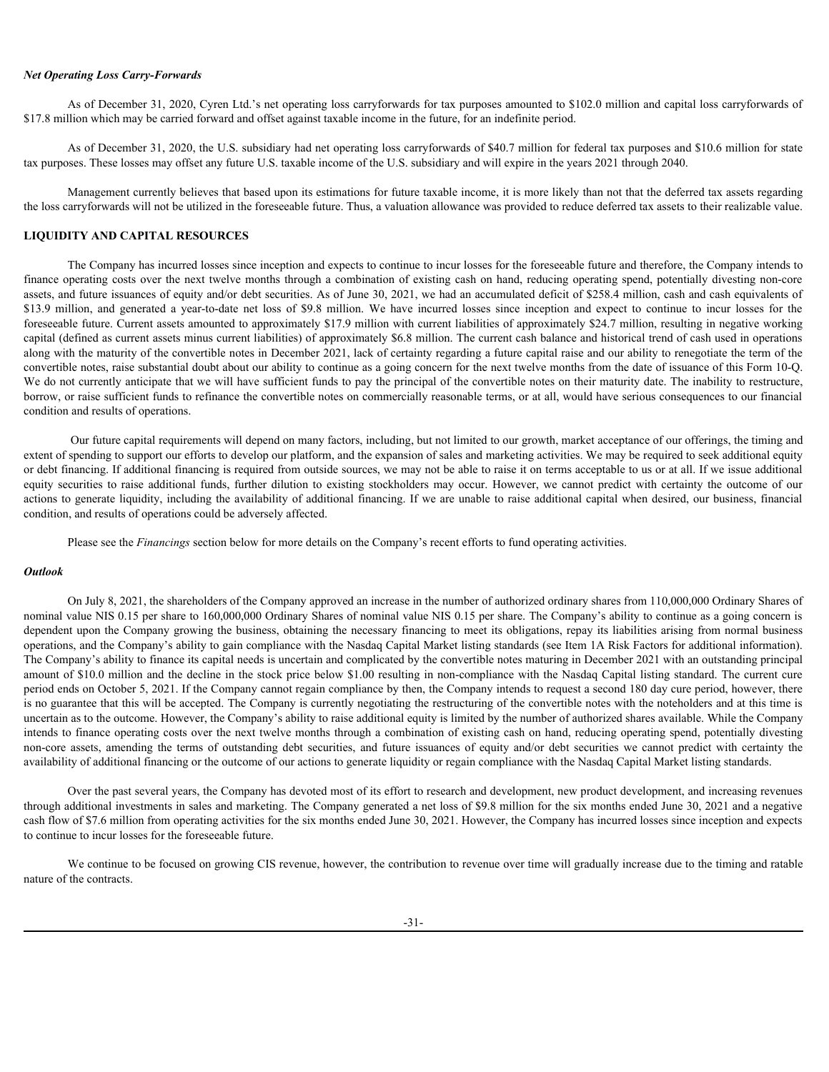#### *Net Operating Loss Carry-Forwards*

As of December 31, 2020, Cyren Ltd.'s net operating loss carryforwards for tax purposes amounted to \$102.0 million and capital loss carryforwards of \$17.8 million which may be carried forward and offset against taxable income in the future, for an indefinite period.

As of December 31, 2020, the U.S. subsidiary had net operating loss carryforwards of \$40.7 million for federal tax purposes and \$10.6 million for state tax purposes. These losses may offset any future U.S. taxable income of the U.S. subsidiary and will expire in the years 2021 through 2040.

Management currently believes that based upon its estimations for future taxable income, it is more likely than not that the deferred tax assets regarding the loss carryforwards will not be utilized in the foreseeable future. Thus, a valuation allowance was provided to reduce deferred tax assets to their realizable value.

#### **LIQUIDITY AND CAPITAL RESOURCES**

The Company has incurred losses since inception and expects to continue to incur losses for the foreseeable future and therefore, the Company intends to finance operating costs over the next twelve months through a combination of existing cash on hand, reducing operating spend, potentially divesting non-core assets, and future issuances of equity and/or debt securities. As of June 30, 2021, we had an accumulated deficit of \$258.4 million, cash and cash equivalents of Net Operating Loss Carry-Forwards<br>
As of December 31, 2020, Cyens Ltd.'s net operating loss carryforwards for tax purposes umovated to \$102.0 million und capital loss carryforwards of<br>
\$17.8 million which may be carried fo foreseeable future. Current assets amounted to approximately \$17.9 million with current liabilities of approximately \$24.7 million, resulting in negative working capital (defined as current assets minus current liabilities) of approximately \$6.8 million. The current cash balance and historical trend of cash used in operations along with the maturity of the convertible notes in December 2021, lack of certainty regarding a future capital raise and our ability to renegotiate the term of the convertible notes, raise substantial doubt about our ability to continue as a going concern for the next twelve months from the date of issuance of this Form 10-Q. We do not currently anticipate that we will have sufficient funds to pay the principal of the convertible notes on their maturity date. The inability to restructure, borrow, or raise sufficient funds to refinance the convertible notes on commercially reasonable terms, or at all, would have serious consequences to our financial condition and results of operations. Net Operating Lens Corry-Forwards<br>
As of December 11, 2020. Cyres Ltd.'s met operating less complete units, for an edeliting period NUC 8 million and explain best carry for each of the Company of the Company of the Compan

 Our future capital requirements will depend on many factors, including, but not limited to our growth, market acceptance of our offerings, the timing and extent of spending to support our efforts to develop our platform, and the expansion of sales and marketing activities. We may be required to seek additional equity or debt financing. If additional financing is required from outside sources, we may not be able to raise it on terms acceptable to us or at all. If we issue additional actions to generate liquidity, including the availability of additional financing. If we are unable to raise additional capital when desired, our business, financial condition, and results of operations could be adversely affected.

Please see the *Financings* section below for more details on the Company's recent efforts to fund operating activities.

#### *Outlook*

On July 8, 2021, the shareholders of the Company approved an increase in the number of authorized ordinary shares from 110,000,000 Ordinary Shares of nominal value NIS 0.15 per share to 160,000,000 Ordinary Shares of nominal value NIS 0.15 per share. The Company's ability to continue as a going concern is dependent upon the Company growing the business, obtaining the necessary financing to meet its obligations, repay its liabilities arising from normal business operations, and the Company's ability to gain compliance with the Nasdaq Capital Market listing standards (see Item 1A Risk Factors for additional information). The Company's ability to finance its capital needs is uncertain and complicated by the convertible notes maturing in December 2021 with an outstanding principal amount of \$10.0 million and the decline in the stock price below \$1.00 resulting in non-compliance with the Nasdaq Capital listing standard. The current cure period ends on October 5, 2021. If the Company cannot regain compliance by then, the Company intends to request a second 180 day cure period, however, there is no guarantee that this will be accepted. The Company is currently negotiating the restructuring of the convertible notes with the noteholders and at this time is uncertain as to the outcome. However, the Company's ability to raise additional equity is limited by the number of authorized shares available. While the Company intends to finance operating costs over the next twelve months through a combination of existing cash on hand, reducing operating spend, potentially divesting 3113 of the minimal is year and the minimal terms the securities of the minimal issues of outstanding the core of the terms in the core of the terms of the terms of the terms of the core of outstanding content and the core availability of additional financing or the outcome of our actions to generate liquidity or regain compliance with the Nasdaq Capital Market listing standards.

Over the past several years, the Company has devoted most of its effort to research and development, new product development, and increasing revenues through additional investments in sales and marketing. The Company generated a net loss of \$9.8 million for the six months ended June 30, 2021 and a negative cash flow of \$7.6 million from operating activities for the six months ended June 30, 2021. However, the Company has incurred losses since inception and expects to continue to incur losses for the foreseeable future.

We continue to be focused on growing CIS revenue, however, the contribution to revenue over time will gradually increase due to the timing and ratable nature of the contracts.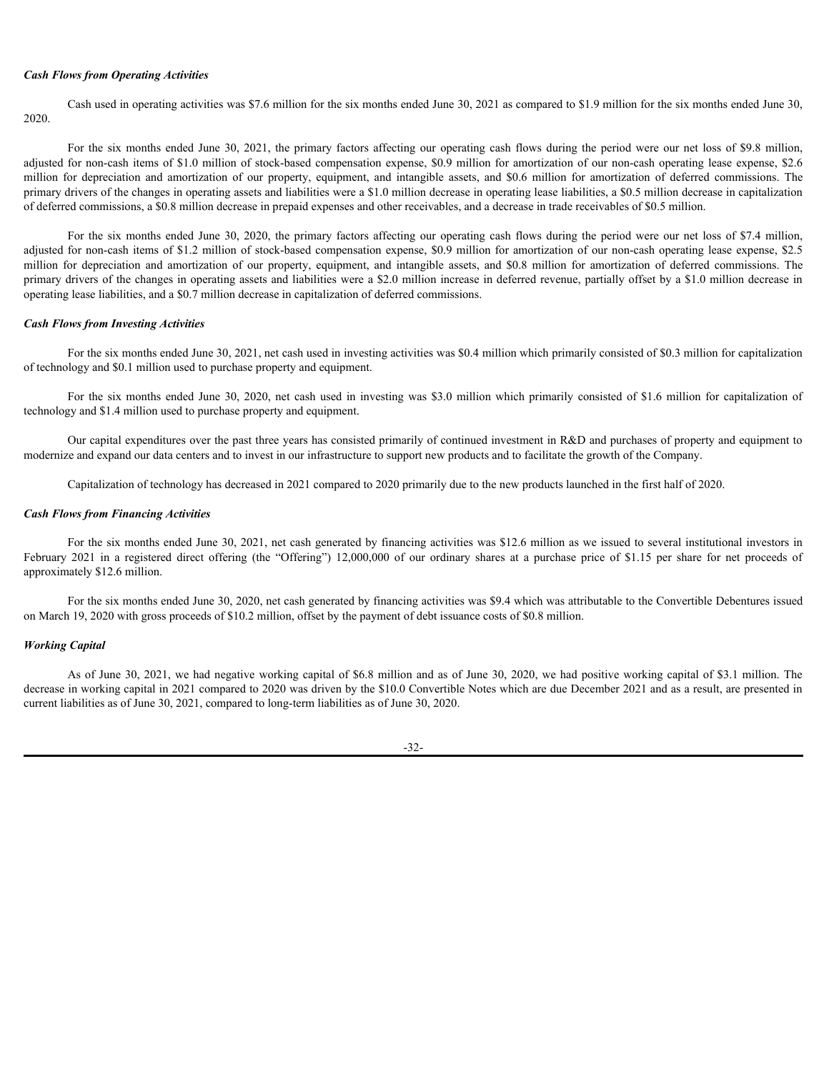### *Cash Flows from Operating Activities*

Cash used in operating activities was \$7.6 million for the six months ended June 30, 2021 as compared to \$1.9 million for the six months ended June 30, 2020.

**Examment Control Control Control Control Control Control Control Control Control Control Control Control Control Control Control Control Control Control Control Control Control Control Control Control Control Control Cont** adjusted for non-cash items of \$1.0 million of stock-based compensation expense, \$0.9 million for amortization of our non-cash operating lease expense, \$2.6 **Cash Flows from Operating Activities**<br>Cash used in operating activities was \$7.6 million for the six months ended June 30, 2021 as compared to \$1.9 million for the six months ended June 30,<br>2020.<br>For the six months ended primary drivers of the changes in operating assets and liabilities were a \$1.0 million decrease in operating lease liabilities, a \$0.5 million decrease in capitalization of deferred commissions, a \$0.8 million decrease in prepaid expenses and other receivables, and a decrease in trade receivables of \$0.5 million.

**Eash used in operating Activities**<br>Cash used in operating activities was \$7.6 million for the six months ended June 30, 2021 as compared to \$1.9 million for the six months ended June 30,<br>Cas for con-cash term of S1.0 mil adjusted for non-cash items of \$1.2 million of stock-based compensation expense, \$0.9 million for amortization of our non-cash operating lease expense, \$2.5 **Cash Flows from Operating Activities**<br>
Cash used in operating activities was \$7.6 million for the six months ended June 30, 2021 as compared to \$1.9 million for the six months ended June 30,<br>
2020.<br>
For the six months en primary drivers of the changes in operating assets and liabilities were a \$2.0 million increase in deferred revenue, partially offset by a \$1.0 million decrease in operating lease liabilities, and a \$0.7 million decrease in capitalization of deferred commissions. For  $\theta$  the six months ended June 30, 2021, the primary factors alternative months to the new products and to find the six months calculates of the six months calculates of 5.0 million of stock-band compensation expects. 2020.<br>
For the six months onded Jone 30, 2021. the primary factor affecting our operating cash flows during the proiol wave our act is such a<br>sulmand for somewhale firms of a main of stude-based composition regions. 309 m

#### *Cash Flows from Investing Activities*

For the six months ended June 30, 2021, net cash used in investing activities was \$0.4 million which primarily consisted of \$0.3 million for capitalization of technology and \$0.1 million used to purchase property and equipment.

technology and \$1.4 million used to purchase property and equipment.

Our capital expenditures over the past three years has consisted primarily of continued investment in R&D and purchases of property and equipment to modernize and expand our data centers and to invest in our infrastructure to support new products and to facilitate the growth of the Company.

Capitalization of technology has decreased in 2021 compared to 2020 primarily due to the new products launched in the first half of 2020.

#### *Cash Flows from Financing Activities*

For the six months ended June 30, 2021, net cash generated by financing activities was \$12.6 million as we issued to several institutional investors in approximately \$12.6 million.

For the six months ended June 30, 2020, net cash generated by financing activities was \$9.4 which was attributable to the Convertible Debentures issued on March 19, 2020 with gross proceeds of \$10.2 million, offset by the payment of debt issuance costs of \$0.8 million.

#### *Working Capital*

As of June 30, 2021, we had negative working capital of \$6.8 million and as of June 30, 2020, we had positive working capital of \$3.1 million. The decrease in working capital in 2021 compared to 2020 was driven by the \$10.0 Convertible Notes which are due December 2021 and as a result, are presented in current liabilities as of June 30, 2021, compared to long-term liabilities as of June 30, 2020.

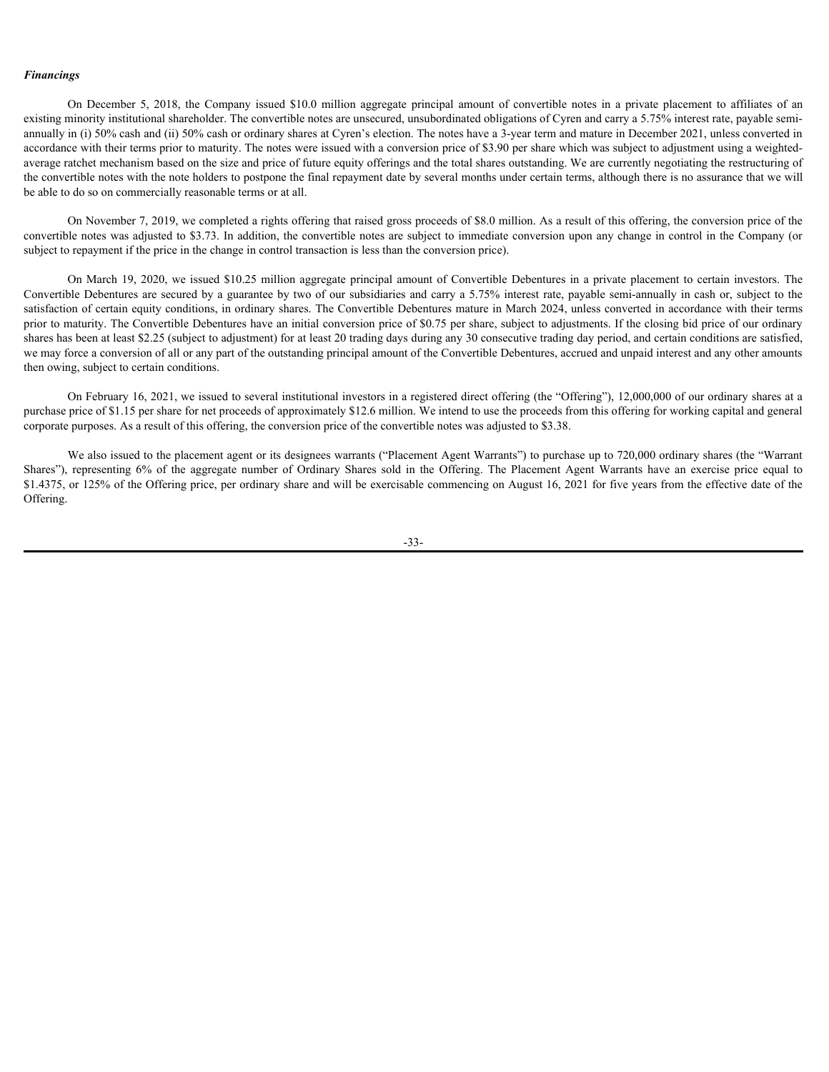### *Financings*

ges<br>
On December 5, 2018, the Company issued \$10.0 million aggregate principal amount of convertible notes in a private placement to affiliates of an<br>
inionity institutional shareholder. The convertible notes are unsecured existing minority institutional shareholder. The convertible notes are unsecured, unsubordinated obligations of Cyren and carry a 5.75% interest rate, payable semiannually in (i) 50% cash and (ii) 50% cash or ordinary shares at Cyren's election. The notes have a 3-year term and mature in December 2021, unless converted in accordance with their terms prior to maturity. The notes were issued with a conversion price of \$3.90 per share which was subject to adjustment using a weightedaverage ratchet mechanism based on the size and price of future equity offerings and the total shares outstanding. We are currently negotiating the restructuring of the convertible notes with the note holders to postpone the final repayment date by several months under certain terms, although there is no assurance that we will be able to do so on commercially reasonable terms or at all. Fhuntings <br>
Fhunders S, 2018, the Company issued \$10.0 milion aggregate principal amount of exercitive notes in a private placement to affiliates of an exercisive member of Cyric and exercise in a gregate member in 0.30%

On November 7, 2019, we completed a rights offering that raised gross proceeds of \$8.0 million. As a result of this offering, the conversion price of the convertible notes was adjusted to \$3.73. In addition, the convertible notes are subject to immediate conversion upon any change in control in the Company (or subject to repayment if the price in the change in control transaction is less than the conversion price).

On March 19, 2020, we issued \$10.25 million aggregate principal amount of Convertible Debentures in a private placement to certain investors. The Convertible Debentures are secured by a guarantee by two of our subsidiaries and carry a 5.75% interest rate, payable semi-annually in cash or, subject to the satisfaction of certain equity conditions, in ordinary shares. The Convertible Debentures mature in March 2024, unless converted in accordance with their terms prior to maturity. The Convertible Debentures have an initial conversion price of \$0.75 per share, subject to adjustments. If the closing bid price of our ordinary shares has been at least \$2.25 (subject to adjustment) for at least 20 trading days during any 30 consecutive trading day period, and certain conditions are satisfied, we may force a conversion of all or any part of the outstanding principal amount of the Convertible Debentures, accrued and unpaid interest and any other amounts then owing, subject to certain conditions.

On February 16, 2021, we issued to several institutional investors in a registered direct offering (the "Offering"), 12,000,000 of our ordinary shares at a purchase price of \$1.15 per share for net proceeds of approximately \$12.6 million. We intend to use the proceeds from this offering for working capital and general corporate purposes. As a result of this offering, the conversion price of the convertible notes was adjusted to \$3.38.

We also issued to the placement agent or its designees warrants ("Placement Agent Warrants") to purchase up to 720,000 ordinary shares (the "Warrant \$1.4375, or 125% of the Offering price, per ordinary share and will be exercisable commencing on August 16, 2021 for five years from the effective date of the Offering.

-33-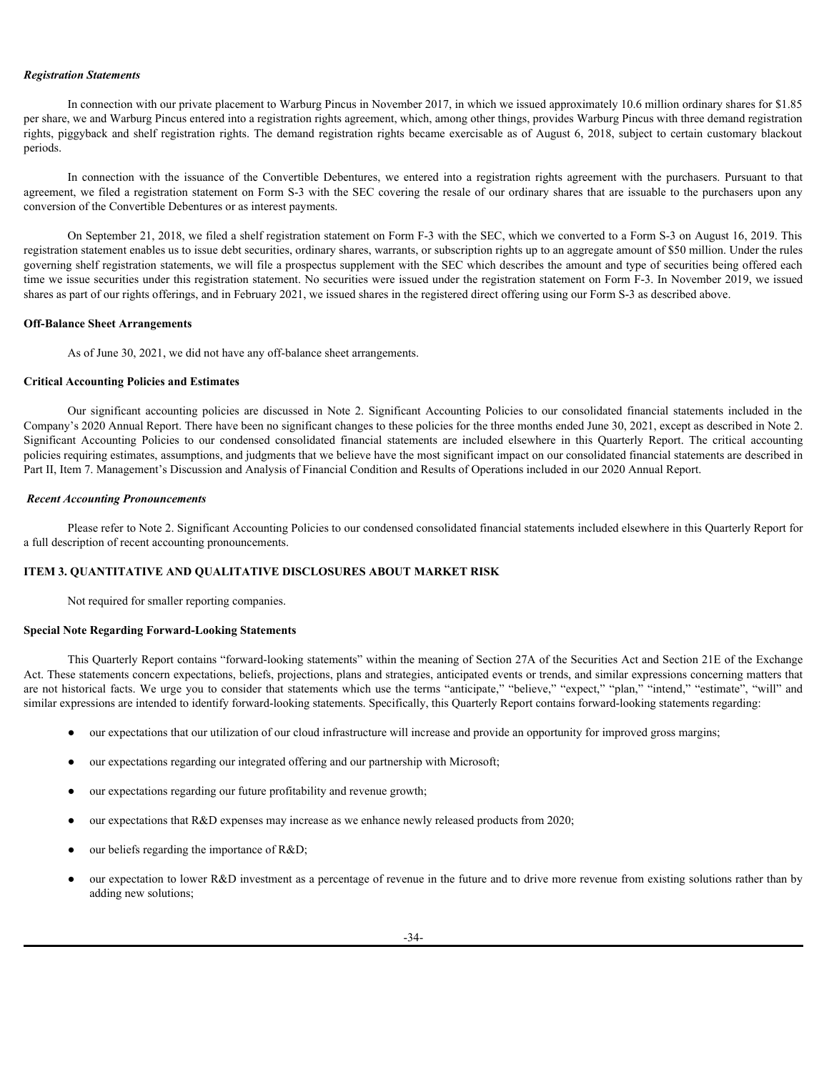#### *Registration Statements*

In connection with our private placement to Warburg Pincus in November 2017, in which we issued approximately 10.6 million ordinary shares for \$1.85 per share, we and Warburg Pincus entered into a registration rights agreement, which, among other things, provides Warburg Pincus with three demand registration rights, piggyback and shelf registration rights. The demand r **Registration Statements**<br>
In connection with our private placement to Warburg Pincus in November 2017, in which we issued approximately 10.6 million ordinary shares for \$1.85<br>
per share, we and Warburg Pincus entered into periods.

agreement, we filed a registration statement on Form S-3 with the SEC covering the resale of our ordinary shares that are issuable to the purchasers upon any conversion of the Convertible Debentures or as interest payments.

In on Statements<br>
In connection with our private placement to Warburg Pineus in November 2017, in which we issued approximately 10.6 million ordinary shares for \$1.85<br>
we and Warburg Pineus entered into a registration righ On September 21, 2018, we filed a shelf registration statement on Form F-3 with the SEC, which we converted to a Form S-3 on August 16, 2019. This registration statement enables us to issue debt securities, ordinary shares, warrants, or subscription rights up to an aggregate amount of \$50 million. Under the rules governing shelf registration statements, we will file a prospectus supplement with the SEC which describes the amount and type of securities being offered each time we issue securities under this registration statement. No securities were issued under the registration statement on Form F-3. In November 2019, we issued shares as part of our rights offerings, and in February 2021, we issued shares in the registered direct offering using our Form S-3 as described above.

### **Off-Balance Sheet Arrangements**

As of June 30, 2021, we did not have any off-balance sheet arrangements.

### **Critical Accounting Policies and Estimates**

**ion Sutements**<br>
On tomection with our private placement to Warburg Places in November 2017, in which we issued approximately 10.6 million ordinary shares for \$1.85<br>
the connection with die issueme of the connection rights Company's 2020 Annual Report. There have been no significant changes to these policies for the three months ended June 30, 2021, except as described in Note 2. Regionalizm Statements<br>
La connection with our private placement to Wafeng Pieces in November 2017, in which we inneed approximately 10.6 million entires our for the<br>
pre-shore, two are the significant our pre-sense of th policies requiring estimates, assumptions, and judgments that we believe have the most significant impact on our consolidated financial statements are described in Part II, Item 7. Management's Discussion and Analysis of Financial Condition and Results of Operations included in our 2020 Annual Report.

### *Recent Accounting Pronouncements*

Please refer to Note 2. Significant Accounting Policies to our condensed consolidated financial statements included elsewhere in this Quarterly Report for a full description of recent accounting pronouncements.

## <span id="page-35-0"></span>**ITEM 3. QUANTITATIVE AND QUALITATIVE DISCLOSURES ABOUT MARKET RISK**

Not required for smaller reporting companies.

## **Special Note Regarding Forward-Looking Statements**

This Quarterly Report contains "forward-looking statements" within the meaning of Section 27A of the Securities Act and Section 21E of the Exchange Act. These statements concern expectations, beliefs, projections, plans and strategies, anticipated events or trends, and similar expressions concerning matters that are not historical facts. We urge you to consider that statements which use the terms "anticipate," "believe," "expect," "plan," "intend," "estimate", "will" and similar expressions are intended to identify forward-looking statements. Specifically, this Quarterly Report contains forward-looking statements regarding:

- our expectations that our utilization of our cloud infrastructure will increase and provide an opportunity for improved gross margins;
- our expectations regarding our integrated offering and our partnership with Microsoft;
- our expectations regarding our future profitability and revenue growth;
- our expectations that R&D expenses may increase as we enhance newly released products from 2020;
- our beliefs regarding the importance of R&D;
- our expectation to lower R&D investment as a percentage of revenue in the future and to drive more revenue from existing solutions rather than by adding new solutions;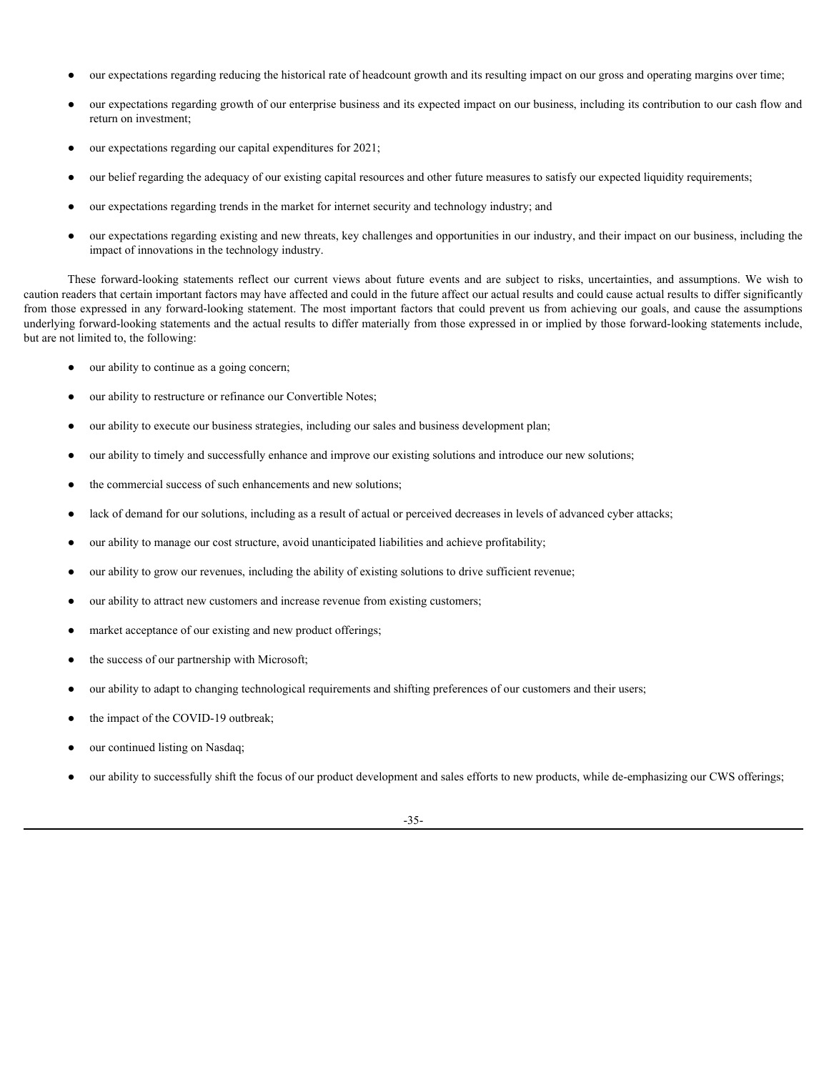- our expectations regarding reducing the historical rate of headcount growth and its resulting impact on our gross and operating margins over time;
- our expectations regarding growth of our enterprise business and its expected impact on our business, including its contribution to our cash flow and return on investment;
- our expectations regarding our capital expenditures for 2021;
- our belief regarding the adequacy of our existing capital resources and other future measures to satisfy our expected liquidity requirements;
- our expectations regarding trends in the market for internet security and technology industry; and
- our expectations regarding existing and new threats, key challenges and opportunities in our industry, and their impact on our business, including the impact of innovations in the technology industry.

• our expectations regarding reducing the historical rate of headcount growth and its resulting impact on our gross and operating margins over time;<br>• our expectations regarding growth of our enterprise business and its caution readers that certain important factors may have affected and could in the future affect our actual results and could cause actual results to differ significantly from those expressed in any forward-looking statement. The most important factors that could prevent us from achieving our goals, and cause the assumptions underlying forward-looking statements and the actual results to differ materially from those expressed in or implied by those forward-looking statements include, but are not limited to, the following:

- our ability to continue as a going concern;
- our ability to restructure or refinance our Convertible Notes;
- our ability to execute our business strategies, including our sales and business development plan;
- our ability to timely and successfully enhance and improve our existing solutions and introduce our new solutions;
- the commercial success of such enhancements and new solutions;
- lack of demand for our solutions, including as a result of actual or perceived decreases in levels of advanced cyber attacks;
- our ability to manage our cost structure, avoid unanticipated liabilities and achieve profitability;
- our ability to grow our revenues, including the ability of existing solutions to drive sufficient revenue;
- our ability to attract new customers and increase revenue from existing customers;
- market acceptance of our existing and new product offerings;
- the success of our partnership with Microsoft;
- our ability to adapt to changing technological requirements and shifting preferences of our customers and their users;
- the impact of the COVID-19 outbreak;
- our continued listing on Nasdaq;
- our ability to successfully shift the focus of our product development and sales efforts to new products, while de-emphasizing our CWS offerings;

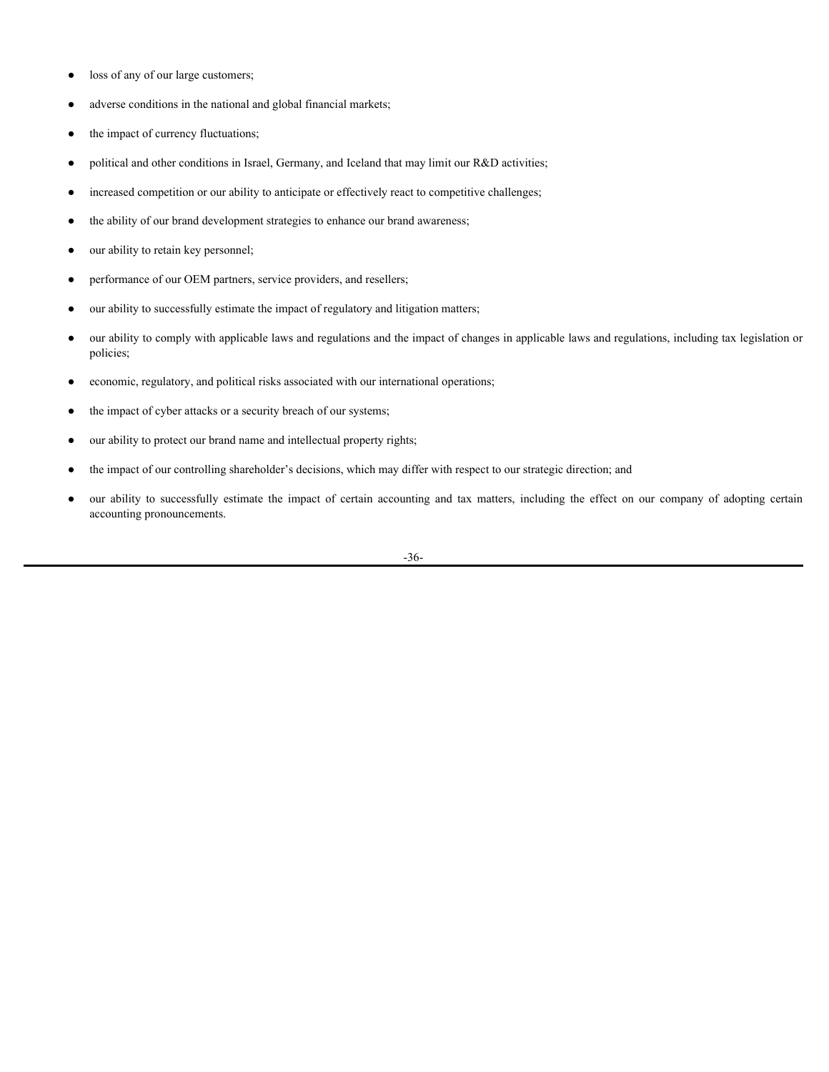- 
- loss of any of our large customers;<br>adverse conditions in the national and global financial markets;
- the impact of currency fluctuations;
- political and other conditions in Israel, Germany, and Iceland that may limit our R&D activities;
- increased competition or our ability to anticipate or effectively react to competitive challenges;
- the ability of our brand development strategies to enhance our brand awareness;
- 
- our ability to retain key personnel;<br>● performance of our OEM partners, service providers, and resellers;
- our ability to successfully estimate the impact of regulatory and litigation matters;
- our ability to comply with applicable laws and regulations and the impact of changes in applicable laws and regulations, including tax legislation or policies;
- economic, regulatory, and political risks associated with our international operations;
- the impact of cyber attacks or a security breach of our systems;
- our ability to protect our brand name and intellectual property rights;
- the impact of our controlling shareholder's decisions, which may differ with respect to our strategic direction; and
- loss of any of our large castomers,<br>
 our terms of currency distersions,<br>
 pointical and other conditions in Barnel, Germany, and lockated that may limit our R&D activities:<br>
 pointical and other conditions in Barne accounting pronouncements.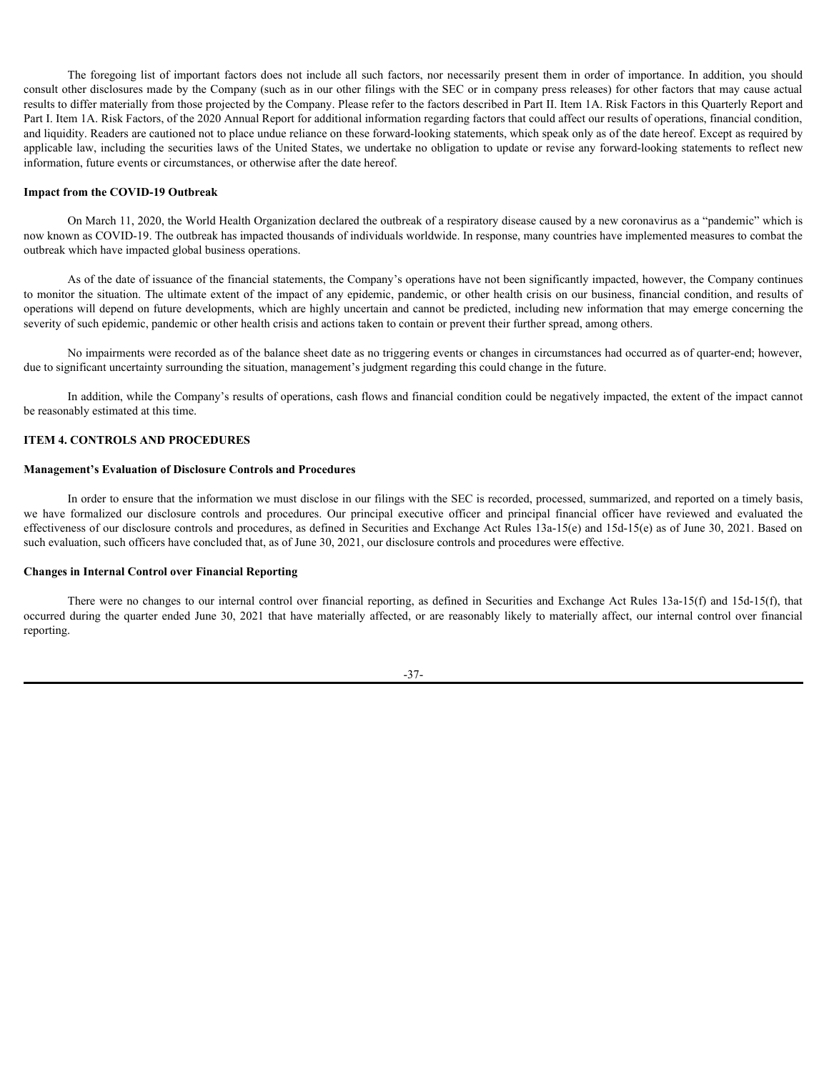The foregoing list of important factors does not include all such factors, nor necessarily present them in order of importance. In addition, you should consult other disclosures made by the Company (such as in our other filings with the SEC or in company press releases) for other factors that may cause actual results to differ materially from those projected by the Company. Please refer to the factors described in Part II. Item 1A. Risk Factors in this Quarterly Report and Part I. Item 1A. Risk Factors, of the 2020 Annual Report for additional information regarding factors that could affect our results of operations, financial condition, and liquidity. Readers are cautioned not to place undue reliance on these forward-looking statements, which speak only as of the date hereof. Except as required by applicable law, including the securities laws of the United States, we undertake no obligation to update or revise any forward-looking statements to reflect new information, future events or circumstances, or otherwise after the date hereof. The formalize is disclosure to the method we have the basis of locating the research pre-oriented and method in the method of method in the method of the method of the method of the method of the method of the method of th

#### **Impact from the COVID-19 Outbreak**

On March 11, 2020, the World Health Organization declared the outbreak of a respiratory disease caused by a new coronavirus as a "pandemic" which is now known as COVID-19. The outbreak has impacted thousands of individuals worldwide. In response, many countries have implemented measures to combat the outbreak which have impacted global business operations.

As of the date of issuance of the financial statements, the Company's operations have not been significantly impacted, however, the Company continues to monitor the situation. The ultimate extent of the impact of any epidemic, pandemic, or other health crisis on our business, financial condition, and results of operations will depend on future developments, which are highly uncertain and cannot be predicted, including new information that may emerge concerning the severity of such epidemic, pandemic or other health crisis and actions taken to contain or prevent their further spread, among others. **On Merch 11. 2005. The Volte Control of During the control of the control of a papeline control of a subset of the control of the control of the control of the control of the control of the control of the control of the** 

No impairments were recorded as of the balance sheet date as no triggering events or changes in circumstances had occurred as of quarter-end; however, due to significant uncertainty surrounding the situation, management's judgment regarding this could change in the future.

In addition, while the Company's results of operations, cash flows and financial condition could be negatively impacted, the extent of the impact cannot be reasonably estimated at this time.

## <span id="page-38-0"></span>**ITEM 4. CONTROLS AND PROCEDURES**

## **Management's Evaluation of Disclosure Controls and Procedures**

In order to ensure that the information we must disclose in our filings with the SEC is recorded, processed, summarized, and reported on a timely basis, effectiveness of our disclosure controls and procedures, as defined in Securities and Exchange Act Rules 13a-15(e) and 15d-15(e) as of June 30, 2021. Based on such evaluation, such officers have concluded that, as of June 30, 2021, our disclosure controls and procedures were effective.

## **Changes in Internal Control over Financial Reporting**

There were no changes to our internal control over financial reporting, as defined in Securities and Exchange Act Rules 13a-15(f) and 15d-15(f), that reporting.

-37-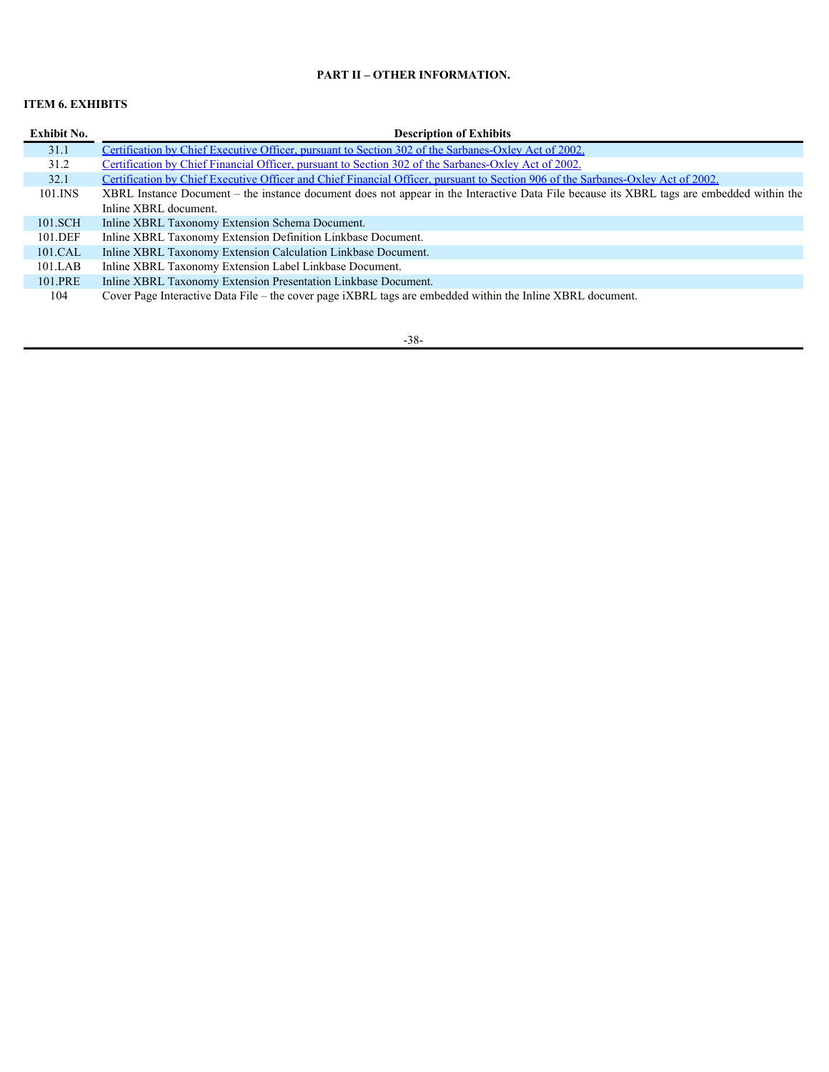# **PART II – OTHER INFORMATION.**

## <span id="page-39-1"></span><span id="page-39-0"></span>**ITEM 6. EXHIBITS**

| <b>Exhibit No.</b> | <b>Description of Exhibits</b>                                                                                                            |
|--------------------|-------------------------------------------------------------------------------------------------------------------------------------------|
| 31.1               | Certification by Chief Executive Officer, pursuant to Section 302 of the Sarbanes-Oxley Act of 2002.                                      |
| 31.2               | Certification by Chief Financial Officer, pursuant to Section 302 of the Sarbanes-Oxley Act of 2002.                                      |
| 32.1               | Certification by Chief Executive Officer and Chief Financial Officer, pursuant to Section 906 of the Sarbanes-Oxley Act of 2002.          |
| 101.INS            | XBRL Instance Document – the instance document does not appear in the Interactive Data File because its XBRL tags are embedded within the |
|                    | Inline XBRL document.                                                                                                                     |
| 101.SCH            | Inline XBRL Taxonomy Extension Schema Document.                                                                                           |
| 101.DEF            | Inline XBRL Taxonomy Extension Definition Linkbase Document.                                                                              |
| 101.CAL            | Inline XBRL Taxonomy Extension Calculation Linkbase Document.                                                                             |
| 101.LAB            | Inline XBRL Taxonomy Extension Label Linkbase Document.                                                                                   |
| 101.PRE            | Inline XBRL Taxonomy Extension Presentation Linkbase Document.                                                                            |
| 104                | Cover Page Interactive Data File – the cover page iXBRL tags are embedded within the Inline XBRL document.                                |

-38-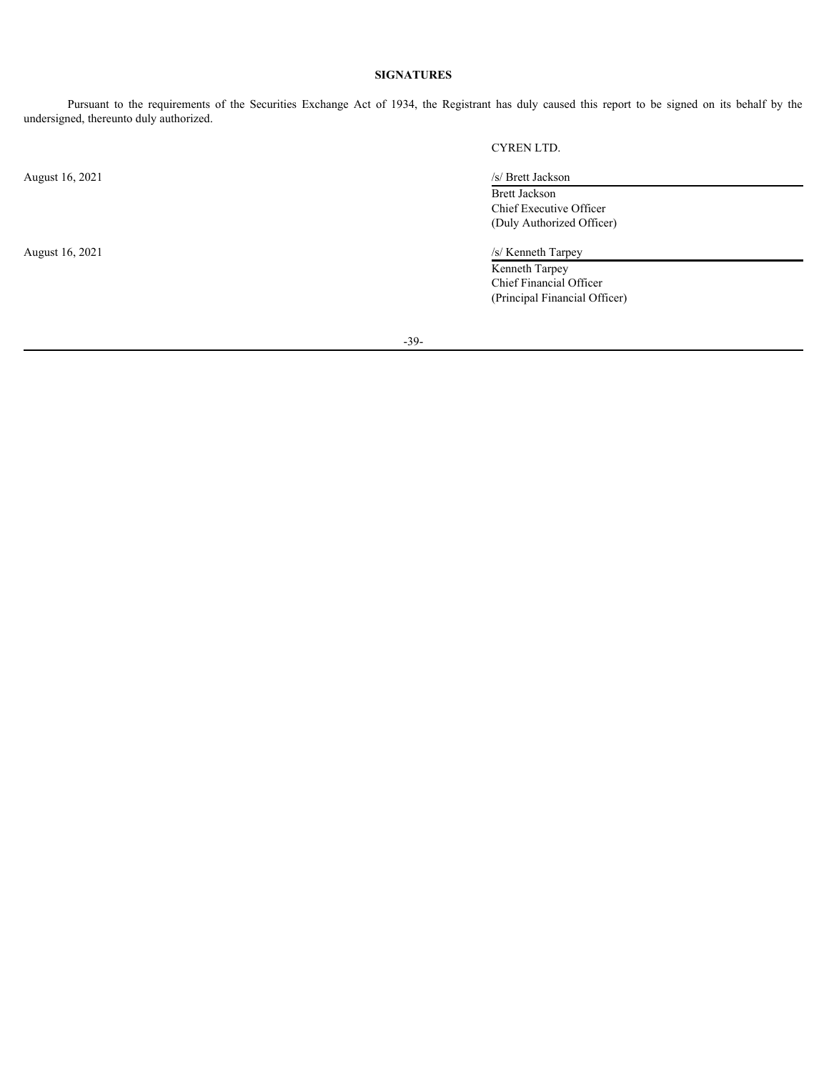## **SIGNATURES**

**SIGNATURES**<br>
Pursuant to the requirements of the Securities Exchange Act of 1934, the Registrant has duly caused this report to be signed on its behalf by the<br>
ed, thereunto duly authorized.<br>
CYREN LTD.<br>
Set Lackson<br>
Dete undersigned, thereunto duly authorized.

<span id="page-40-0"></span>August 16, 2021 /s/ Brett Jackson

## CYREN LTD.

Brett Jackson Chief Executive Officer (Duly Authorized Officer)

August 16, 2021 /s/ Kenneth Tarpey

Kenneth Tarpey Chief Financial Officer (Principal Financial Officer)

-39-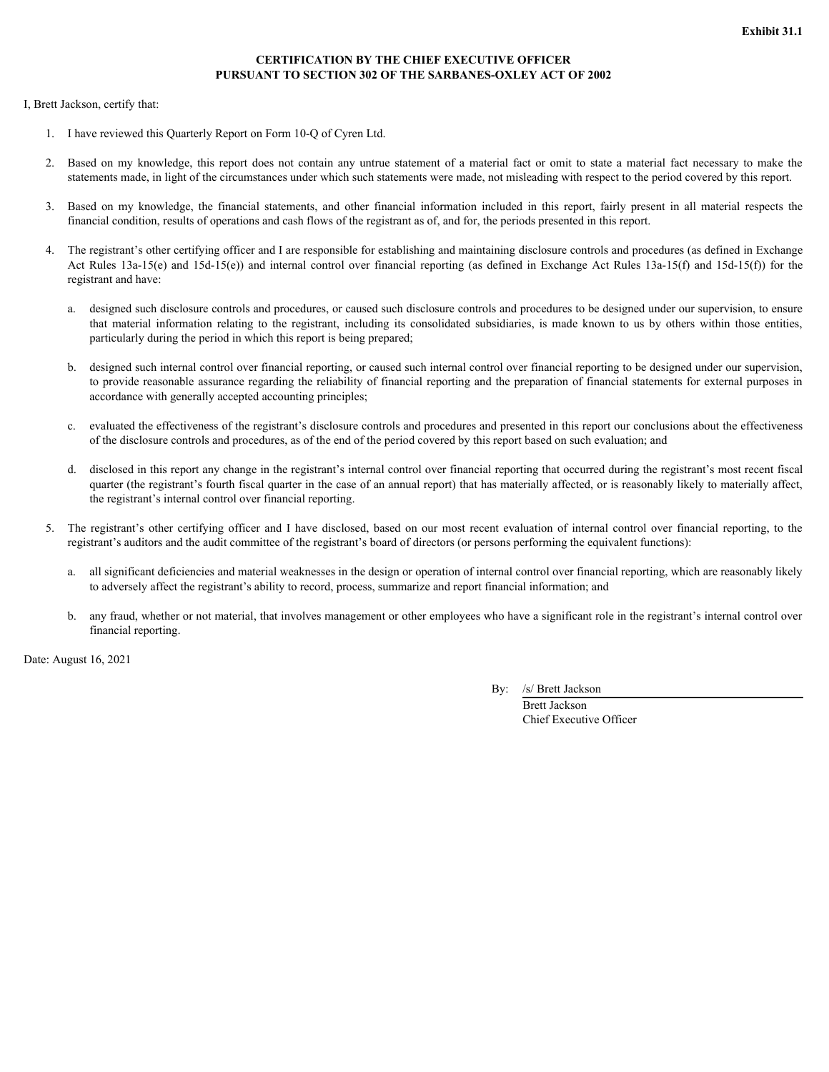## **CERTIFICATION BY THE CHIEF EXECUTIVE OFFICER PURSUANT TO SECTION 302 OF THE SARBANES-OXLEY ACT OF 2002**

I, Brett Jackson, certify that:

- 1. I have reviewed this Quarterly Report on Form 10-Q of Cyren Ltd.
- statements made, in light of the circumstances under which such statements were made, not misleading with respect to the period covered by this report.
- financial condition, results of operations and cash flows of the registrant as of, and for, the periods presented in this report.
- **2. Based on my knowledge, this report on Form 10-Q of Cyren Ltd.**<br>2. Based on my knowledge, this report on Form 10-Q of Cyren Ltd.<br>2. Based on my knowledge, this report does not contain any untrue statement of a material Exhibit 31.1<br>
2. Based on certify that:<br>
2. Based on my knowledge, this report on Form 10-Q of Cyren Ltd.<br>
2. Based on my knowledge, this report ones not contain any untrue statement of a material fact or omit to state a m 4. The registrant's other certifying officer and I are responsible for establishing and maintaining disclosure controls and procedures (as defined in Exchange registrant and have:
	- EXNIFICATION BY THE CHIEF EXECUTIVE OFFICER<br>
	PURSUANT TO SECTION 302 OF THE SARBANES-OXLEY ACT OF 2002<br>
	Have reviewed this Quarterly Report on Form 10-Q of Cyren Ltd.<br>
	Based on my knowledge, this report does not contain an a. designed such disclosure controls and procedures, or caused such disclosure controls and procedures to be designed under our supervision, to ensure Exhibit 31.1<br>
	PURSUANT TO SECTION 302 OF THE SARBANES-OXLEY ACT OF 2002<br>
	on, certify that:<br>
	or everviewed this Quarterly Report on Form 10-Q of Cyren Ltd.<br>
	or everviewed this Quarterly Report on Form 10-Q of Cyren Ltd.<br>
	or particularly during the period in which this report is being prepared;
	- designed such internal control over financial reporting, or caused such internal control over financial reporting to be designed under our supervision, to provide reasonable assurance regarding the reliability of financial reporting and the preparation of financial statements for external purposes in accordance with generally accepted accounting principles;
	- c. evaluated the effectiveness of the registrant's disclosure controls and procedures and presented in this report our conclusions about the effectiveness of the disclosure controls and procedures, as of the end of the period covered by this report based on such evaluation; and
- <span id="page-41-0"></span>d. disclosed in this report any change in the registrant's internal control over financial reporting that occurred during the registrant's most recent fiscal quarter (the registrant's fourth fiscal quarter in the case of an annual report) that has materially affected, or is reasonably likely to materially affect, the registrant's internal control over financial reporting. ext Jeckson, certify that.<br>
1. There reviewed this Quarterly Report on Form 10-Q of Cyren 1at.<br>
2. Based on my knowledge, this regent does not contribute purine antennate of a material field or easie to the schemation by t
- registrant's auditors and the audit committee of the registrant's board of directors (or persons performing the equivalent functions):
	- a. all significant deficiencies and material weaknesses in the design or operation of internal control over financial reporting, which are reasonably likely to adversely affect the registrant's ability to record, process, summarize and report financial information; and
	- b. any fraud, whether or not material, that involves management or other employees who have a significant role in the registrant's internal control over financial reporting.

Date: August 16, 2021

By: /s/ Brett Jackson

Brett Jackson Chief Executive Officer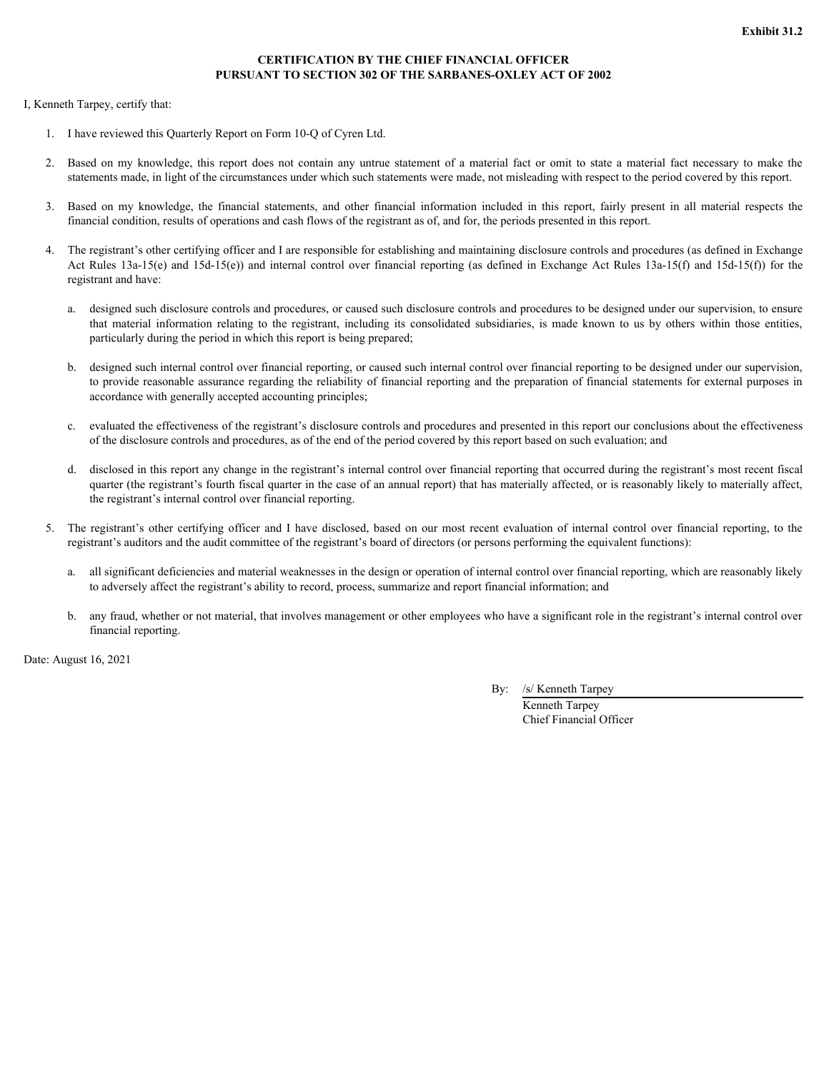## **CERTIFICATION BY THE CHIEF FINANCIAL OFFICER PURSUANT TO SECTION 302 OF THE SARBANES-OXLEY ACT OF 2002**

I, Kenneth Tarpey, certify that:

- 1. I have reviewed this Quarterly Report on Form 10-Q of Cyren Ltd.
- statements made, in light of the circumstances under which such statements were made, not misleading with respect to the period covered by this report.
- financial condition, results of operations and cash flows of the registrant as of, and for, the periods presented in this report.
- **2. Based on my knowledge, this form 10-Q of Cyren Ltd.**<br>
2. Based on my knowledge, this report on Form 10-Q of Cyren Ltd.<br>
2. Based on my knowledge, this report does not contain any untrue statement of a material fact or **EXTIFICATION BY THE CHIEF FINANCIAL OFFICER**<br>**PURSUANT TO SECTION 302 OF THE SARBANES-OXLEV ACT OF 2002**<br>2. Based on my knowledge, this report on Form 10-Q of Cyren Ltd.<br>statements made, in light of the circumstances unde 4. The registrant's other certifying officer and I are responsible for establishing and maintaining disclosure controls and procedures (as defined in Exchange registrant and have:
	- Exhibit 31.2<br>
	PURSUANT TO SECTION 302 OF THE SARBANES-OXLEY ACT OF 2002<br>
	They, certify that:<br>
	They reviewed this Quarterly Report on Form 10-Q of Cyren Ltd.<br>
	Based on my knowledge, this report does not contain any untrue s a. designed such disclosure controls and procedures, or caused such disclosure controls and procedures to be designed under our supervision, to ensure Exhibit 31.2<br>
	PURSUANT TO SECTION 302 OF THE SARBANES-OXLEY ACT OF 2002<br>
	relevend this Quarterly Report on Form 10-Q of Cyren Ltd.<br>
	ereviewed this Quarterly Report on Form 10-Q of Cyren Ltd.<br>
	and on my knowledge, this repo particularly during the period in which this report is being prepared;
	- designed such internal control over financial reporting, or caused such internal control over financial reporting to be designed under our supervision, to provide reasonable assurance regarding the reliability of financial reporting and the preparation of financial statements for external purposes in accordance with generally accepted accounting principles;
	- c. evaluated the effectiveness of the registrant's disclosure controls and procedures and presented in this report our conclusions about the effectiveness of the disclosure controls and procedures, as of the end of the period covered by this report based on such evaluation; and
- <span id="page-42-0"></span>d. disclosed in this report any change in the registrant's internal control over financial reporting that occurred during the registrant's most recent fiscal quarter (the registrant's fourth fiscal quarter in the case of an annual report) that has materially affected, or is reasonably likely to materially affect, the registrant's internal control over financial reporting. medi Tapcy, certify that<br>
1. There eviewed this Quarterly Report on Form 10-Q of Cyen 1.td.<br>
2. Based on my knowledge, this regent does not contribute y uniters antennation for demonstranting with respect in the provision
- registrant's auditors and the audit committee of the registrant's board of directors (or persons performing the equivalent functions):
	- a. all significant deficiencies and material weaknesses in the design or operation of internal control over financial reporting, which are reasonably likely to adversely affect the registrant's ability to record, process, summarize and report financial information; and
	- b. any fraud, whether or not material, that involves management or other employees who have a significant role in the registrant's internal control over financial reporting.

Date: August 16, 2021

By: /s/ Kenneth Tarpey

Kenneth Tarpey Chief Financial Officer